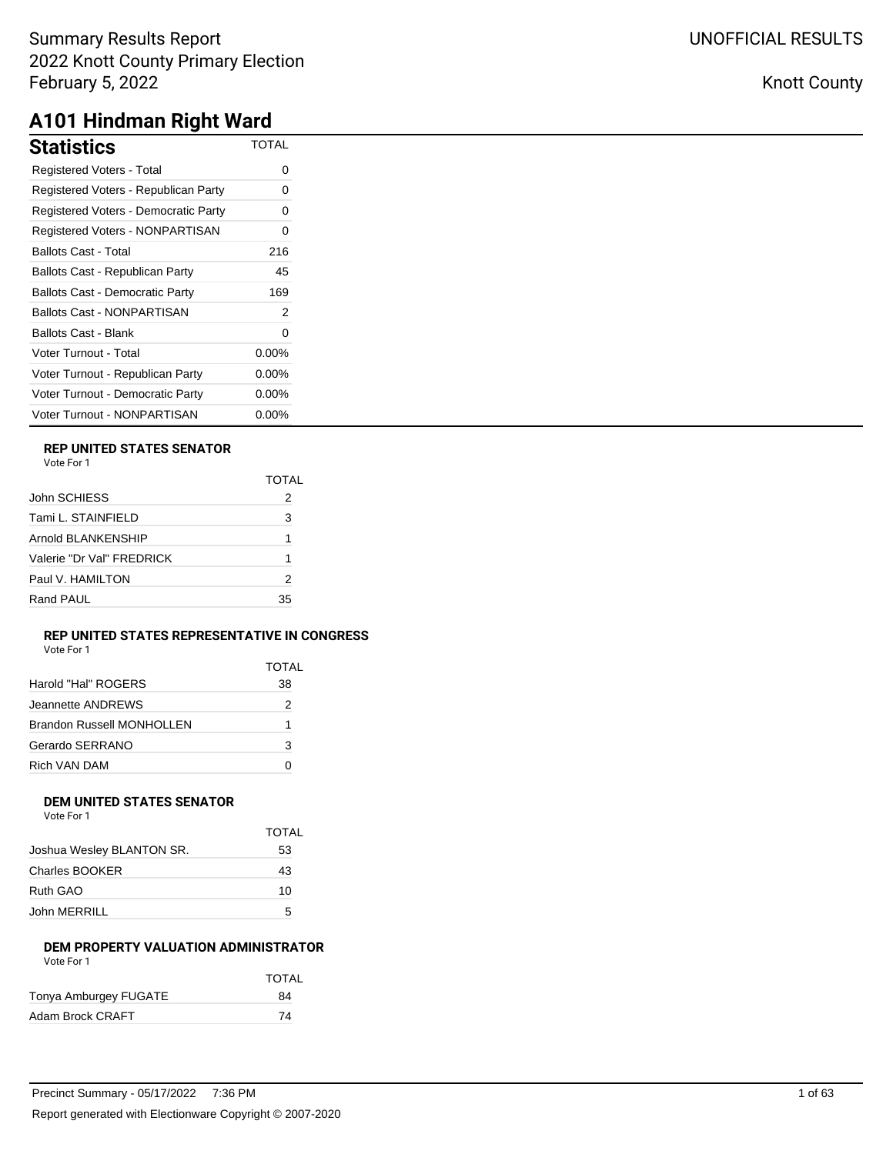| Statistics                             | <b>TOTAL</b> |
|----------------------------------------|--------------|
| <b>Registered Voters - Total</b>       | 0            |
| Registered Voters - Republican Party   | 0            |
| Registered Voters - Democratic Party   | 0            |
| Registered Voters - NONPARTISAN        | 0            |
| Ballots Cast - Total                   | 216          |
| Ballots Cast - Republican Party        | 45           |
| <b>Ballots Cast - Democratic Party</b> | 169          |
| Ballots Cast - NONPARTISAN             | 2            |
| Ballots Cast - Blank                   | 0            |
| Voter Turnout - Total                  | $0.00\%$     |
| Voter Turnout - Republican Party       | $0.00\%$     |
| Voter Turnout - Democratic Party       | $0.00\%$     |
| Voter Turnout - NONPARTISAN            | $0.00\%$     |

### **REP UNITED STATES SENATOR**

Vote For 1

|                           | TOTAL |
|---------------------------|-------|
| John SCHIESS              | 2     |
| Tami L. STAINFIELD        | 3     |
| Arnold BLANKENSHIP        | 1     |
| Valerie "Dr Val" FRFDRICK |       |
| Paul V. HAMILTON          | 2     |
| Rand PAUL                 | 35    |

### **REP UNITED STATES REPRESENTATIVE IN CONGRESS**

Vote For 1

| TOTAI |
|-------|
| 38    |
| 2     |
| 1     |
| 3     |
| n     |
|       |

#### **DEM UNITED STATES SENATOR** Vote For 1

| VULE FUIT                 |       |
|---------------------------|-------|
|                           | TOTAL |
| Joshua Wesley BLANTON SR. | 53    |
| Charles BOOKER            | 43    |
| Ruth GAO                  | 10    |
| John MERRILL              | 5     |

### **DEM PROPERTY VALUATION ADMINISTRATOR** Vote For 1

|                       | <b>TOTAL</b> |
|-----------------------|--------------|
| Tonya Amburgey FUGATE | 84           |
| Adam Brock CRAFT      | 74           |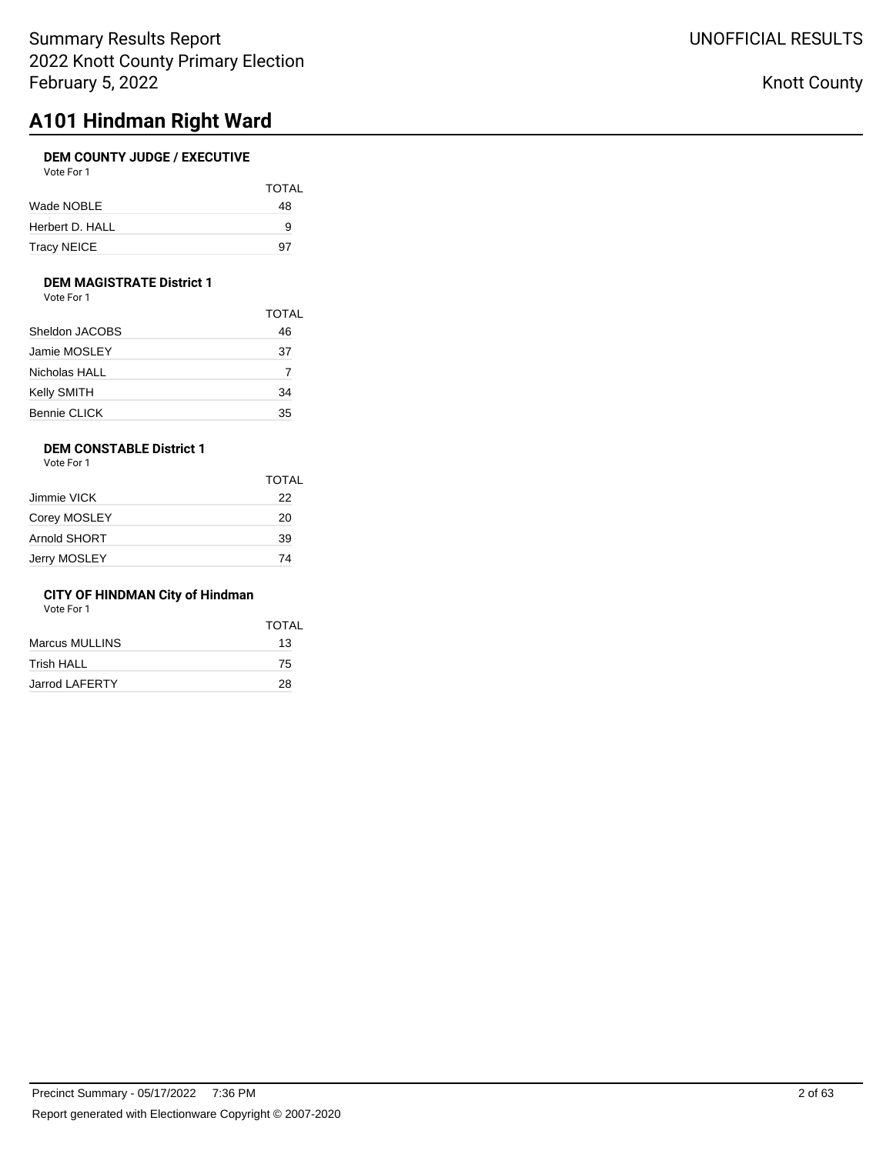# **A101 Hindman Right Ward**

## **DEM COUNTY JUDGE / EXECUTIVE**

| Vote For 1 |  |
|------------|--|
|            |  |

|                 | <b>TOTAL</b> |
|-----------------|--------------|
| Wade NOBLE      | 48           |
| Herbert D. HALL | 9            |
| Tracy NEICE     | 97           |

### **DEM MAGISTRATE District 1**

Vote For 1

|                     | <b>TOTAL</b> |
|---------------------|--------------|
| Sheldon JACOBS      | 46           |
| Jamie MOSLEY        | 37           |
| Nicholas HALL       |              |
| Kelly SMITH         | 34           |
| <b>Bennie CLICK</b> | 35           |

## **DEM CONSTABLE District 1**

Vote For 1

|              | <b>TOTAL</b> |
|--------------|--------------|
| Jimmie VICK  | 22           |
| Corey MOSLEY | 20           |
| Arnold SHORT | 39           |
| Jerry MOSLEY | 74           |

### **CITY OF HINDMAN City of Hindman**

Vote For 1

|                       | <b>TOTAL</b> |
|-----------------------|--------------|
| Marcus MULLINS        | 13           |
| <b>Trish HALL</b>     | 75           |
| <b>Jarrod LAFERTY</b> | 28           |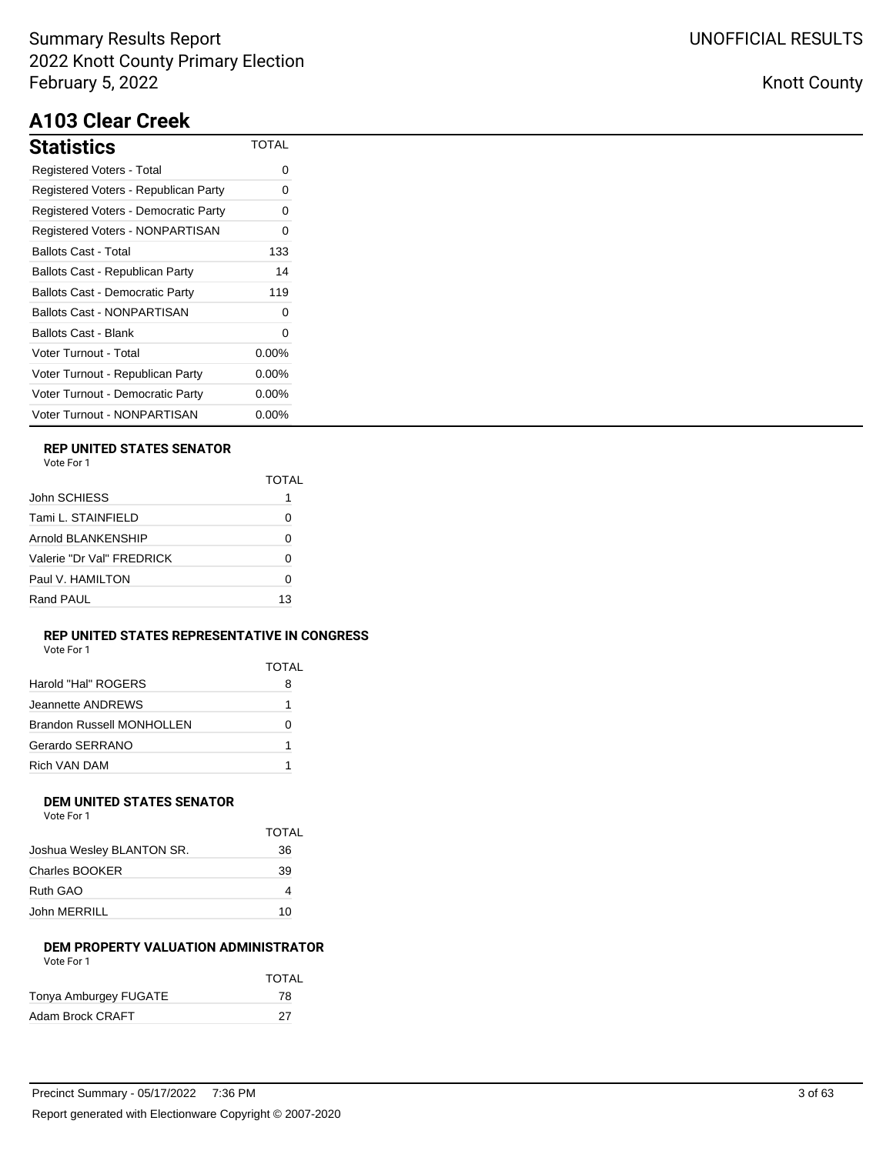# **A103 Clear Creek**

| Statistics                             | TOTAL    |
|----------------------------------------|----------|
| Registered Voters - Total              | ი        |
| Registered Voters - Republican Party   | Ω        |
| Registered Voters - Democratic Party   | Ω        |
| Registered Voters - NONPARTISAN        | 0        |
| Ballots Cast - Total                   | 133      |
| Ballots Cast - Republican Party        | 14       |
| <b>Ballots Cast - Democratic Party</b> | 119      |
| Ballots Cast - NONPARTISAN             | ი        |
| Ballots Cast - Blank                   | Ω        |
| Voter Turnout - Total                  | $0.00\%$ |
| Voter Turnout - Republican Party       | $0.00\%$ |
| Voter Turnout - Democratic Party       | $0.00\%$ |
| Voter Turnout - NONPARTISAN            | $0.00\%$ |

## **REP UNITED STATES SENATOR**

| Vote For |  |
|----------|--|
|          |  |

|                           | TOTAL |
|---------------------------|-------|
| John SCHIESS              |       |
| Tami L. STAINFIELD        | 0     |
| Arnold BLANKENSHIP        | O     |
| Valerie "Dr Val" FREDRICK | Ω     |
| Paul V. HAMILTON          | O     |
| Rand PAUL                 | 13    |

#### **REP UNITED STATES REPRESENTATIVE IN CONGRESS** Vote For 1

| VULTUII |  |  |
|---------|--|--|
|         |  |  |
|         |  |  |

|                                  | TOTAL |
|----------------------------------|-------|
| Harold "Hal" ROGERS              | 8     |
| Jeannette ANDREWS                | 1     |
| <b>Brandon Russell MONHOLLEN</b> | 0     |
| Gerardo SERRANO                  | 1     |
| Rich VAN DAM                     | 1     |

#### **DEM UNITED STATES SENATOR** Vote For 1

| VOTE FOL L                |              |
|---------------------------|--------------|
|                           | <b>TOTAL</b> |
| Joshua Wesley BLANTON SR. | 36           |
| Charles BOOKER            | 39           |
| Ruth GAO                  |              |
| John MERRILL              | 10           |

### **DEM PROPERTY VALUATION ADMINISTRATOR** Vote For 1

|                       | <b>TOTAL</b> |
|-----------------------|--------------|
| Tonya Amburgey FUGATE | 78           |
| Adam Brock CRAFT      | 27           |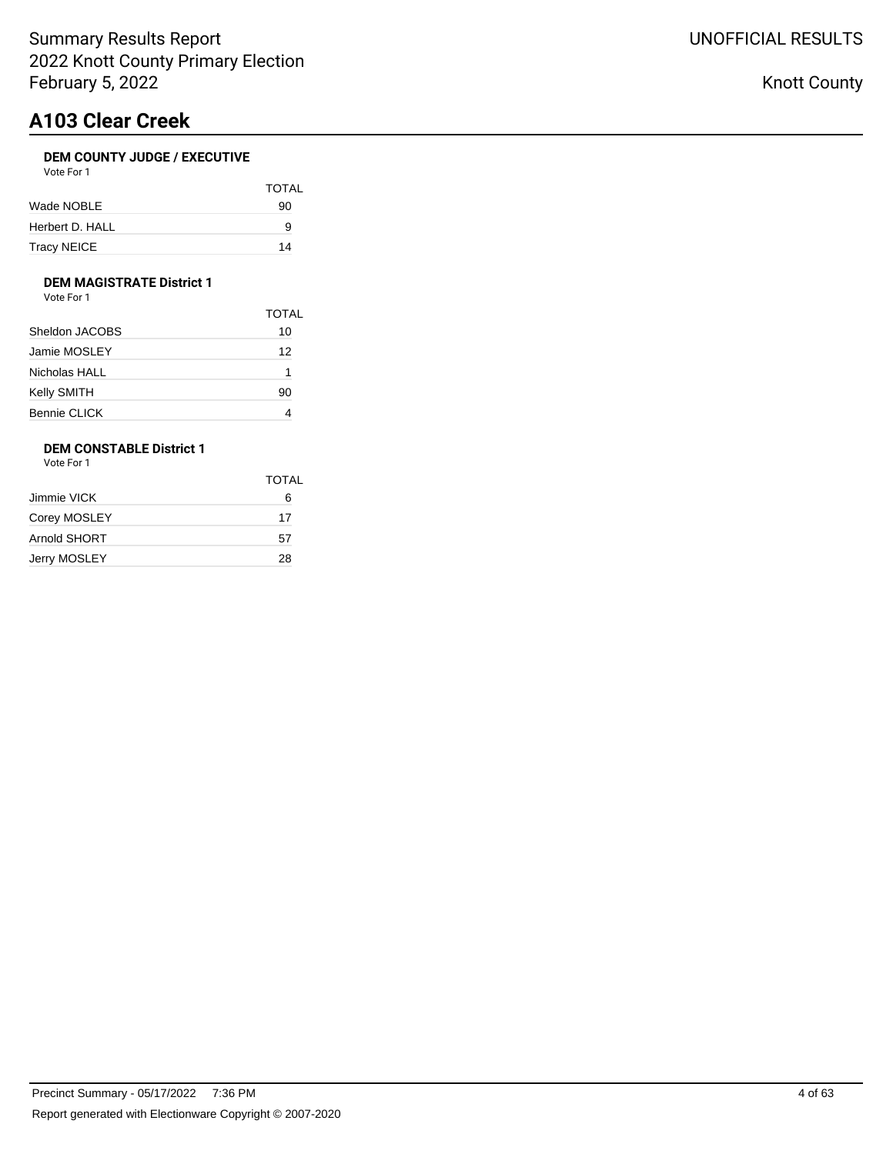# **A103 Clear Creek**

## **DEM COUNTY JUDGE / EXECUTIVE**

| Vote For 1 |  |
|------------|--|
|            |  |

|                 | <b>TOTAL</b> |
|-----------------|--------------|
| Wade NOBLE      | 90           |
| Herbert D. HALL | 9            |
| Tracy NEICE     | 14           |

### **DEM MAGISTRATE District 1**

Vote For 1

|                     | <b>TOTAL</b> |
|---------------------|--------------|
| Sheldon JACOBS      | 10           |
| Jamie MOSLEY        | 12           |
| Nicholas HALL       | 1            |
| Kelly SMITH         | 90           |
| <b>Bennie CLICK</b> |              |

## **DEM CONSTABLE District 1**

Vote For 1

|              | <b>TOTAL</b> |
|--------------|--------------|
| Jimmie VICK  | 6            |
| Corey MOSLEY | 17           |
| Arnold SHORT | 57           |
| Jerry MOSLEY | 28           |
|              |              |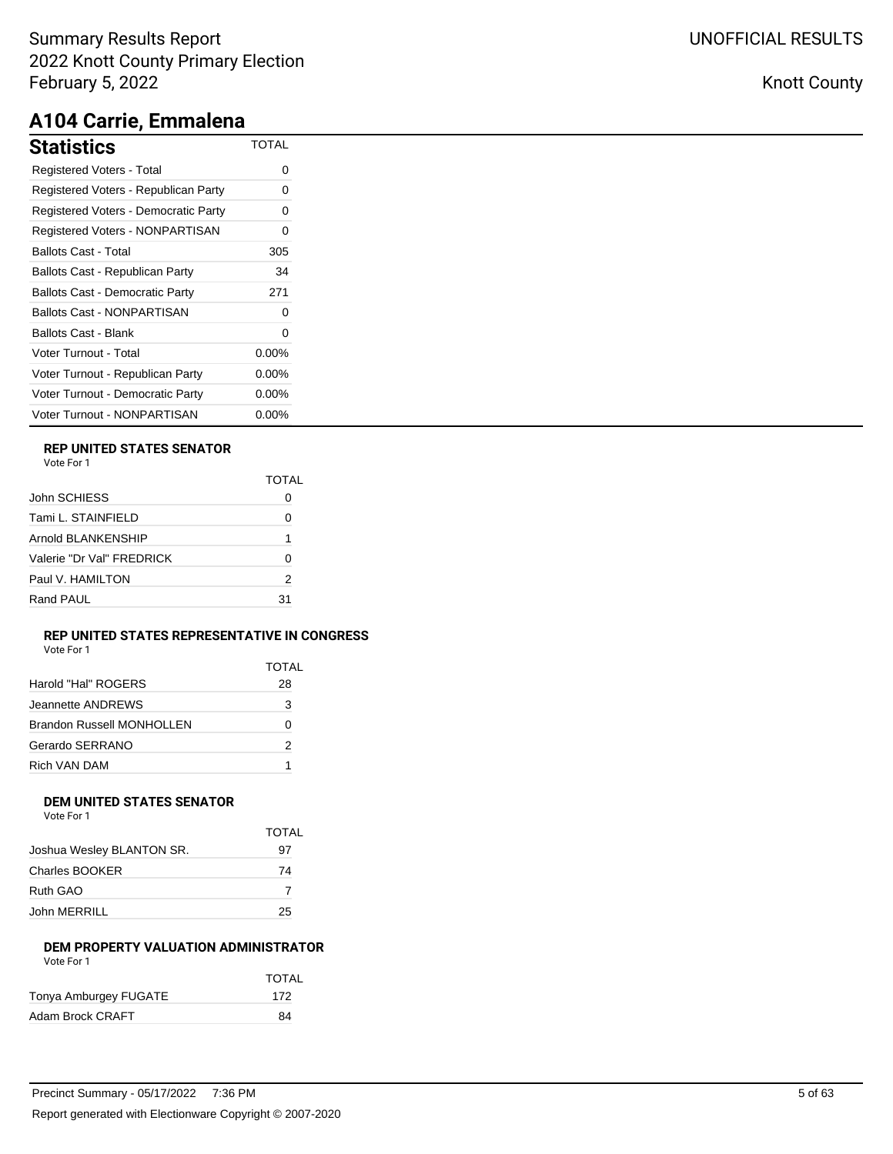# **A104 Carrie, Emmalena**

| <b>Statistics</b>                      | TOTAL    |
|----------------------------------------|----------|
| <b>Registered Voters - Total</b>       | 0        |
| Registered Voters - Republican Party   | Ω        |
| Registered Voters - Democratic Party   | ი        |
| Registered Voters - NONPARTISAN        | 0        |
| <b>Ballots Cast - Total</b>            | 305      |
| Ballots Cast - Republican Party        | 34       |
| <b>Ballots Cast - Democratic Party</b> | 271      |
| <b>Ballots Cast - NONPARTISAN</b>      | 0        |
| Ballots Cast - Blank                   | 0        |
| Voter Turnout - Total                  | $0.00\%$ |
| Voter Turnout - Republican Party       | $0.00\%$ |
| Voter Turnout - Democratic Party       | $0.00\%$ |
| Voter Turnout - NONPARTISAN            | $0.00\%$ |

### **REP UNITED STATES SENATOR**

|                           | TOTAI |
|---------------------------|-------|
| John SCHIESS              |       |
| Tami L. STAINFIELD        | 0     |
| Arnold BLANKENSHIP        | 1     |
| Valerie "Dr Val" FRFDRICK | ŋ     |
| Paul V. HAMILTON          | 2     |
| Rand PAUL                 | 31    |

### **REP UNITED STATES REPRESENTATIVE IN CONGRESS** Vote For 1

| .<br>.,<br>۰.<br>$\sim$<br>×<br>۰. | ັ<br>۰.<br>v | ٠ |  |
|------------------------------------|--------------|---|--|
|                                    |              |   |  |
|                                    |              |   |  |
|                                    |              |   |  |
|                                    |              |   |  |

|                                  | <b>TOTAL</b> |
|----------------------------------|--------------|
| Harold "Hal" ROGERS              | 28           |
| Jeannette ANDREWS                | 3            |
| <b>Brandon Russell MONHOLLEN</b> | 0            |
| Gerardo SERRANO                  | 2            |
| Rich VAN DAM                     | 1            |

#### **DEM UNITED STATES SENATOR** Vote For 1

| <u>vuusi uli</u>          |       |
|---------------------------|-------|
|                           | TOTAL |
| Joshua Wesley BLANTON SR. | 97    |
| Charles BOOKER            | 74    |
| Ruth GAO                  |       |
| John MERRILL              | 25    |

### **DEM PROPERTY VALUATION ADMINISTRATOR** Vote For 1

|                       | <b>TOTAL</b> |
|-----------------------|--------------|
| Tonya Amburgey FUGATE | 172          |
| Adam Brock CRAFT      | 84           |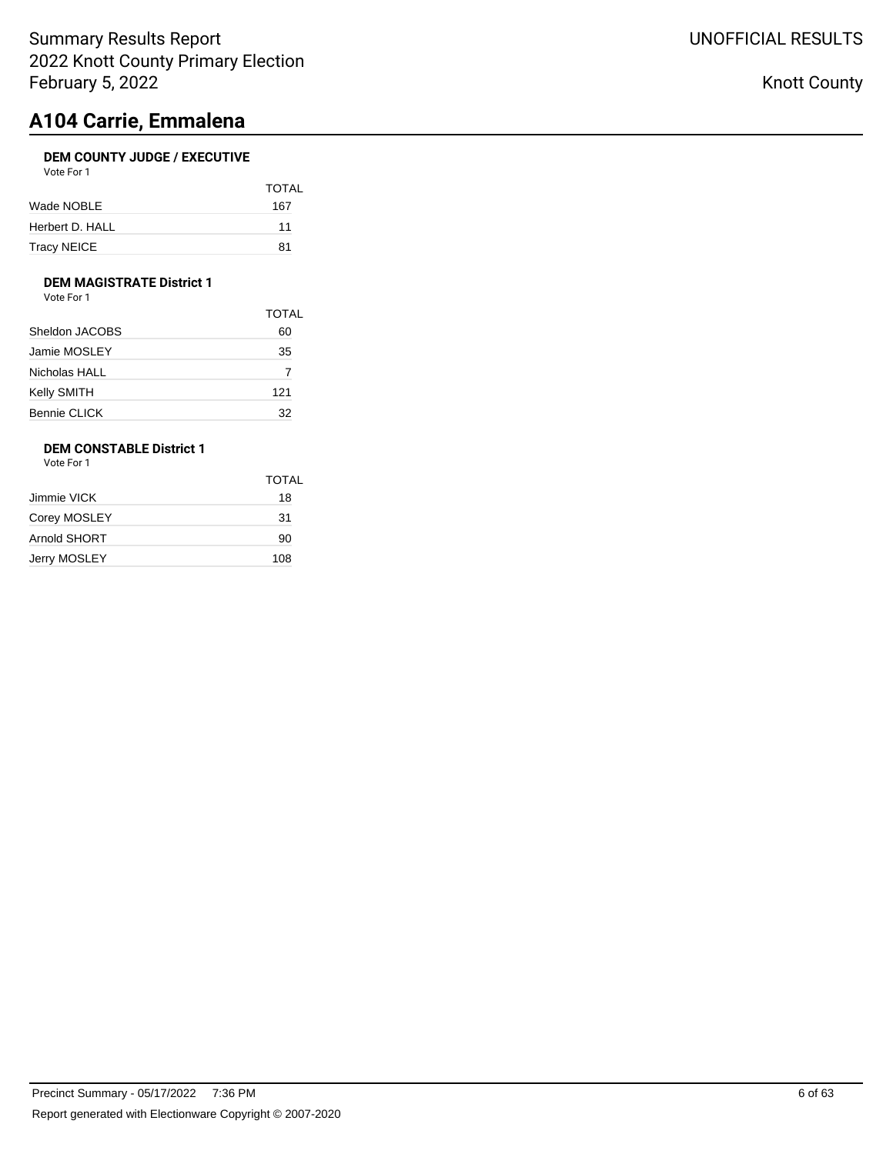# **A104 Carrie, Emmalena**

## **DEM COUNTY JUDGE / EXECUTIVE**

| Vote For 1      |              |
|-----------------|--------------|
|                 | <b>TOTAL</b> |
| Wade NOBLE      | 167          |
| Herbert D. HALL | 11           |
| Tracy NEICE     | 81           |

## **DEM MAGISTRATE District 1**

Vote For 1

| <b>TOTAL</b> |
|--------------|
| 60           |
| 35           |
| 7            |
| 121          |
| 32           |
|              |

## **DEM CONSTABLE District 1**

Vote For 1

|              | <b>TOTAL</b> |
|--------------|--------------|
| Jimmie VICK  | 18           |
| Corey MOSLEY | 31           |
| Arnold SHORT | 90           |
| Jerry MOSLEY | 108          |
|              |              |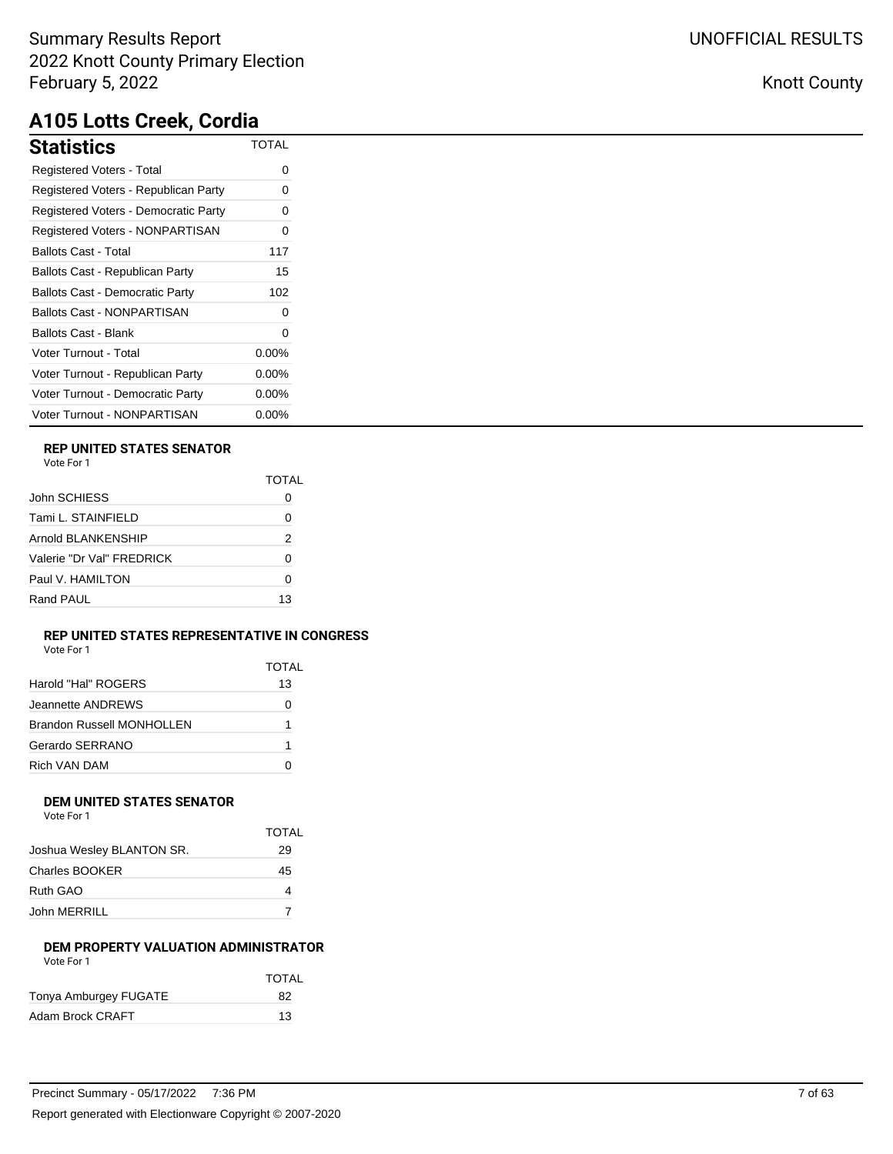| Statistics                             | <b>TOTAL</b> |
|----------------------------------------|--------------|
| Registered Voters - Total              | ი            |
| Registered Voters - Republican Party   | ი            |
| Registered Voters - Democratic Party   | 0            |
| Registered Voters - NONPARTISAN        | 0            |
| Ballots Cast - Total                   | 117          |
| Ballots Cast - Republican Party        | 15           |
| <b>Ballots Cast - Democratic Party</b> | 102          |
| Ballots Cast - NONPARTISAN             | ∩            |
| Ballots Cast - Blank                   | 0            |
| Voter Turnout - Total                  | $0.00\%$     |
| Voter Turnout - Republican Party       | $0.00\%$     |
| Voter Turnout - Democratic Party       | $0.00\%$     |
| Voter Turnout - NONPARTISAN            | $0.00\%$     |

## **REP UNITED STATES SENATOR**

Vote For 1

|                           | TOTAL |
|---------------------------|-------|
| John SCHIESS              |       |
| Tami L. STAINFIELD        | Ω     |
| Arnold BLANKENSHIP        | 2     |
| Valerie "Dr Val" FRFDRICK | O     |
| Paul V. HAMILTON          |       |
| Rand PAUL                 | 13    |

### **REP UNITED STATES REPRESENTATIVE IN CONGRESS**

Vote For 1

| Harold "Hal" ROGERS              | TOTAL<br>13 |
|----------------------------------|-------------|
| Jeannette ANDREWS                | O           |
| <b>Brandon Russell MONHOLLEN</b> | 1           |
| Gerardo SERRANO                  | 1           |
| Rich VAN DAM                     |             |

### **DEM UNITED STATES SENATOR** Vote For 1

|                           | TOTAL |
|---------------------------|-------|
| Joshua Wesley BLANTON SR. | 29    |
| Charles BOOKER            | 45    |
| Ruth GAO                  |       |
| John MERRILL              |       |
|                           |       |

### **DEM PROPERTY VALUATION ADMINISTRATOR** Vote For 1

|                       | <b>TOTAL</b> |
|-----------------------|--------------|
| Tonya Amburgey FUGATE | 82           |
| Adam Brock CRAFT      | 13           |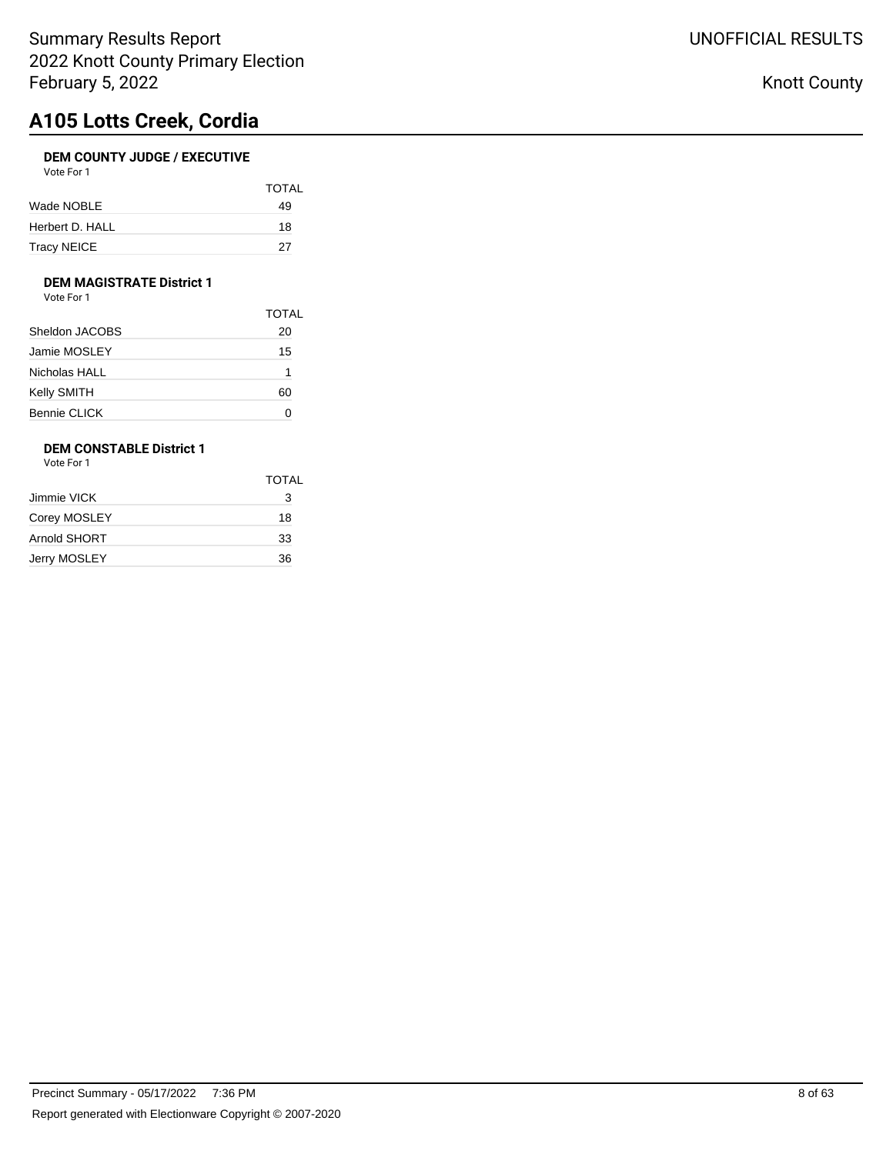# **A105 Lotts Creek, Cordia**

#### **DEM COUNTY JUDGE / EXECUTIVE**  $\overline{V}$ ote For

| VOIE FOL L         |              |
|--------------------|--------------|
|                    | <b>TOTAL</b> |
| Wade NOBLE         | 49           |
| Herbert D. HALL    | 18           |
| <b>Tracy NEICE</b> | 27           |

### **DEM MAGISTRATE District 1**

Vote For 1

|                     | <b>TOTAL</b> |
|---------------------|--------------|
| Sheldon JACOBS      | 20           |
| Jamie MOSLEY        | 15           |
| Nicholas HALL       | 1            |
| Kelly SMITH         | 60           |
| <b>Bennie CLICK</b> | O            |

## **DEM CONSTABLE District 1**

Vote For 1

|              | <b>TOTAL</b> |
|--------------|--------------|
| Jimmie VICK  | 3            |
| Corey MOSLEY | 18           |
| Arnold SHORT | 33           |
| Jerry MOSLEY | 36           |
|              |              |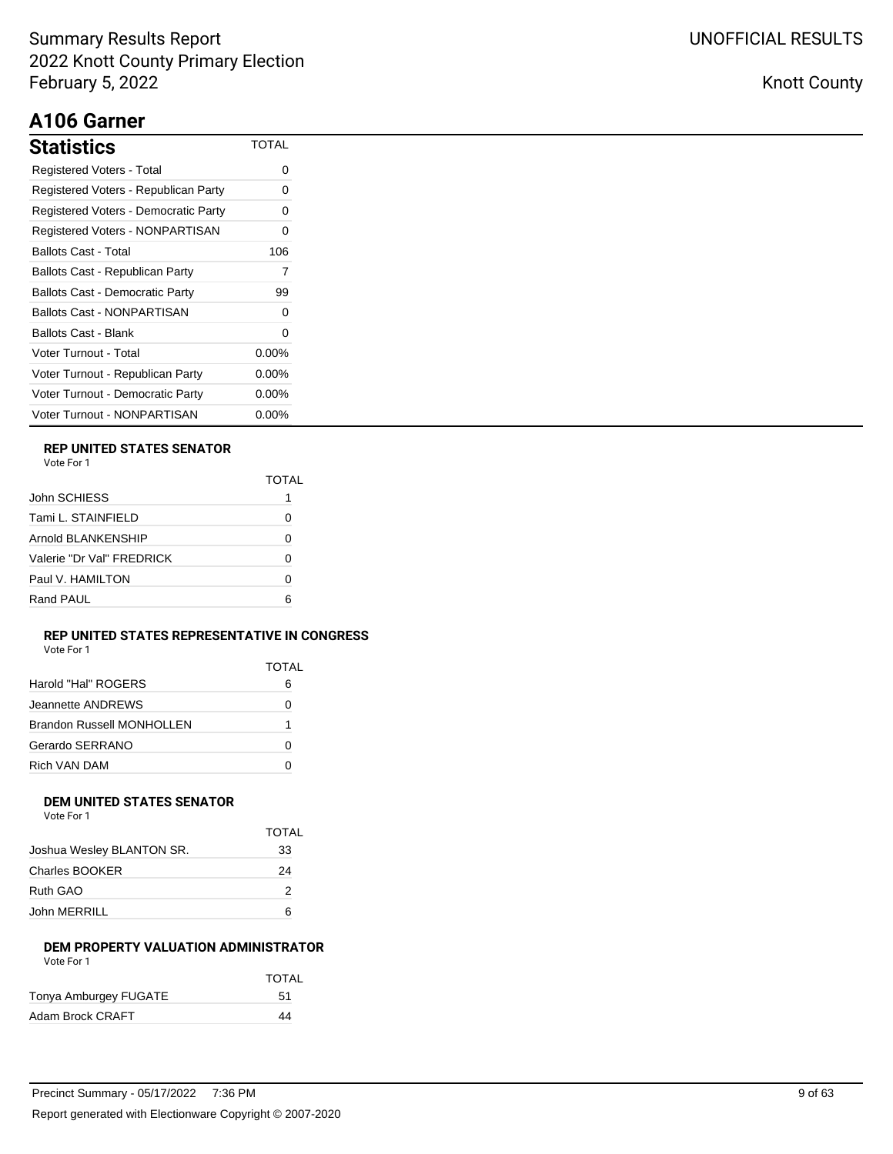# **A106 Garner**

| Statistics                             | TOTAL    |
|----------------------------------------|----------|
| Registered Voters - Total              | $\Omega$ |
| Registered Voters - Republican Party   | 0        |
| Registered Voters - Democratic Party   | 0        |
| Registered Voters - NONPARTISAN        | 0        |
| Ballots Cast - Total                   | 106      |
| Ballots Cast - Republican Party        | 7        |
| <b>Ballots Cast - Democratic Party</b> | 99       |
| Ballots Cast - NONPARTISAN             | O        |
| Ballots Cast - Blank                   | 0        |
| Voter Turnout - Total                  | $0.00\%$ |
| Voter Turnout - Republican Party       | $0.00\%$ |
| Voter Turnout - Democratic Party       | $0.00\%$ |
| Voter Turnout - NONPARTISAN            | $0.00\%$ |

## **REP UNITED STATES SENATOR**

|                           | TOTAI |
|---------------------------|-------|
| John SCHIESS              | 1     |
| Tami L. STAINFIELD        | Ω     |
| Arnold BLANKENSHIP        | O     |
| Valerie "Dr Val" FREDRICK | Ω     |
| Paul V. HAMILTON          | O     |
| Rand PAUL                 | ี     |

### **REP UNITED STATES REPRESENTATIVE IN CONGRESS**

| Vote For 1                       |       |
|----------------------------------|-------|
|                                  | TOTAL |
| Harold "Hal" ROGERS              | 6     |
| Jeannette ANDREWS                |       |
| <b>Brandon Russell MONHOLLEN</b> |       |
| Gerardo SERRANO                  |       |

#### **DEM UNITED STATES SENATOR** Vote For 1

| <b>VAJILI I VJI I</b>     |              |
|---------------------------|--------------|
|                           | <b>TOTAL</b> |
| Joshua Wesley BLANTON SR. | 33           |
| <b>Charles BOOKER</b>     | 24           |
| Ruth GAO                  | 2            |
| John MERRILL              | ค            |

Rich VAN DAM 0

### **DEM PROPERTY VALUATION ADMINISTRATOR** Vote For 1

|                       | <b>TOTAL</b> |
|-----------------------|--------------|
| Tonya Amburgey FUGATE | 51           |
| Adam Brock CRAFT      | 44           |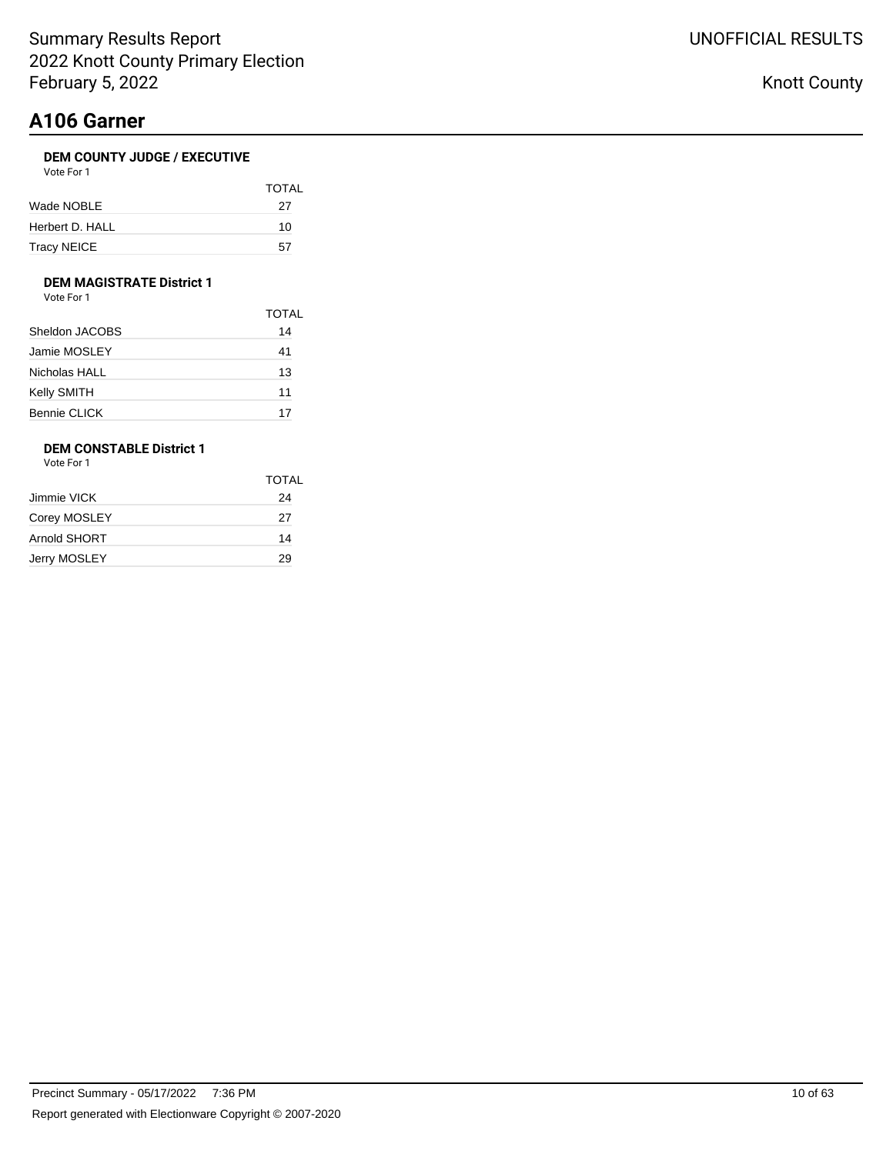## **A106 Garner**

### **DEM COUNTY JUDGE / EXECUTIVE**

| Vote For 1 |  |
|------------|--|
|------------|--|

|                 | <b>TOTAL</b> |
|-----------------|--------------|
| Wade NOBLE      | 27           |
| Herbert D. HALL | 10           |
| Tracy NEICE     | 57           |

### **DEM MAGISTRATE District 1**

Vote For 1

|                     | <b>TOTAL</b> |
|---------------------|--------------|
| Sheldon JACOBS      | 14           |
| Jamie MOSLEY        | 41           |
| Nicholas HALL       | 13           |
| Kelly SMITH         | 11           |
| <b>Bennie CLICK</b> | 17           |

## **DEM CONSTABLE District 1**

Vote For 1

|              | <b>TOTAL</b> |
|--------------|--------------|
| Jimmie VICK  | 24           |
| Corey MOSLEY | 27           |
| Arnold SHORT | 14           |
| Jerry MOSLEY | 29           |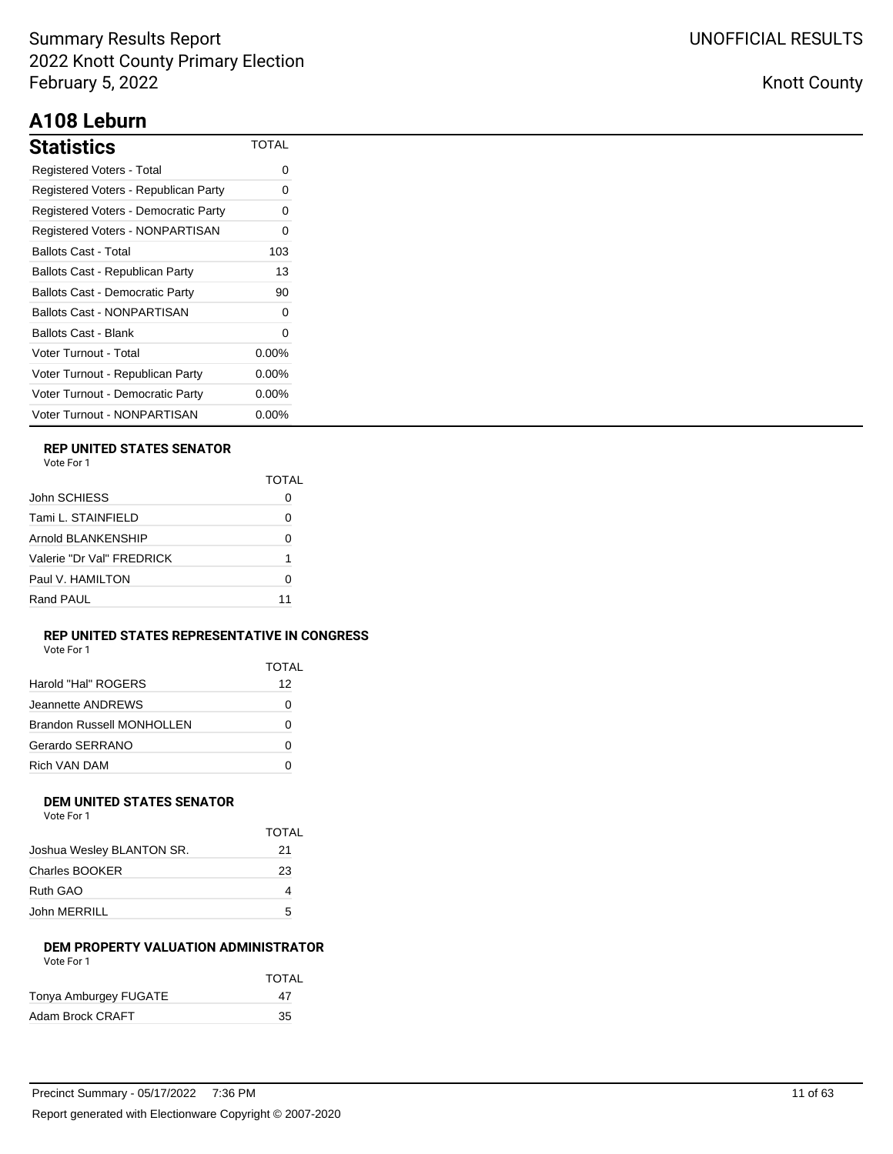# **A108 Leburn**

| Statistics                             | TOTAL    |
|----------------------------------------|----------|
| Registered Voters - Total              | 0        |
| Registered Voters - Republican Party   | 0        |
| Registered Voters - Democratic Party   | O        |
| Registered Voters - NONPARTISAN        | 0        |
| Ballots Cast - Total                   | 103      |
| Ballots Cast - Republican Party        | 13       |
| <b>Ballots Cast - Democratic Party</b> | 90       |
| <b>Ballots Cast - NONPARTISAN</b>      | 0        |
| Ballots Cast - Blank                   | 0        |
| Voter Turnout - Total                  | $0.00\%$ |
| Voter Turnout - Republican Party       | $0.00\%$ |
| Voter Turnout - Democratic Party       | $0.00\%$ |
| Voter Turnout - NONPARTISAN            | $0.00\%$ |

### **REP UNITED STATES SENATOR**

| Vote For |  |
|----------|--|
|          |  |

|                           | TOTAI |
|---------------------------|-------|
| John SCHIESS              |       |
| Tami L. STAINFIELD        | Ω     |
| Arnold BLANKENSHIP        |       |
| Valerie "Dr Val" FRFDRICK | 1     |
| Paul V. HAMILTON          | O     |
| Rand PAUL                 | 11    |

### **REP UNITED STATES REPRESENTATIVE IN CONGRESS** Vote For 1

TOTAL

|                           | 1 U J I AI |
|---------------------------|------------|
| Harold "Hal" ROGERS       | 12         |
| Jeannette ANDREWS         |            |
| Brandon Russell MONHOLLEN | 0          |
| Gerardo SERRANO           | 0          |
| Rich VAN DAM              |            |
|                           |            |

#### **DEM UNITED STATES SENATOR** Vote For 1

|                           | <b>TOTAL</b> |
|---------------------------|--------------|
| Joshua Wesley BLANTON SR. | 21           |
| <b>Charles BOOKER</b>     | 23           |
| Ruth GAO                  |              |
| John MERRILL              | 5            |

### **DEM PROPERTY VALUATION ADMINISTRATOR** Vote For 1

|                       | <b>TOTAL</b> |
|-----------------------|--------------|
| Tonya Amburgey FUGATE | 47           |
| Adam Brock CRAFT      | 35           |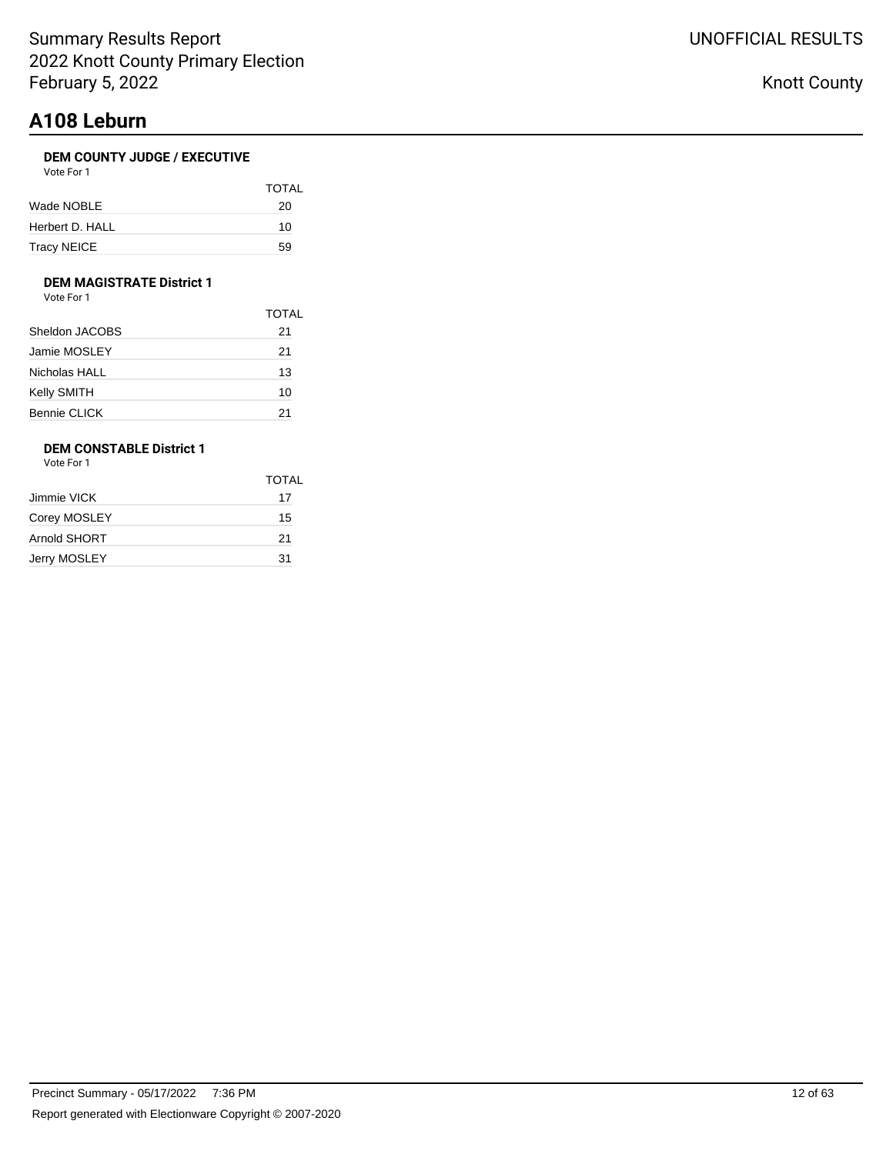# **A108 Leburn**

## **DEM COUNTY JUDGE / EXECUTIVE**

| Vote For |  |
|----------|--|
|----------|--|

|                 | <b>TOTAL</b> |
|-----------------|--------------|
| Wade NOBLE      | 20           |
| Herbert D. HALL | 10           |
| Tracy NEICE     | 59           |

## **DEM MAGISTRATE District 1**

Vote For 1

|                | <b>TOTAL</b> |
|----------------|--------------|
| Sheldon JACOBS | 21           |
| Jamie MOSLEY   | 21           |
| Nicholas HALL  | 13           |
| Kelly SMITH    | 10           |
| Bennie CLICK   | 21           |

## **DEM CONSTABLE District 1**

Vote For 1

|              | <b>TOTAL</b> |
|--------------|--------------|
| Jimmie VICK  | 17           |
| Corey MOSLEY | 15           |
| Arnold SHORT | 21           |
| Jerry MOSLEY | 31           |
|              |              |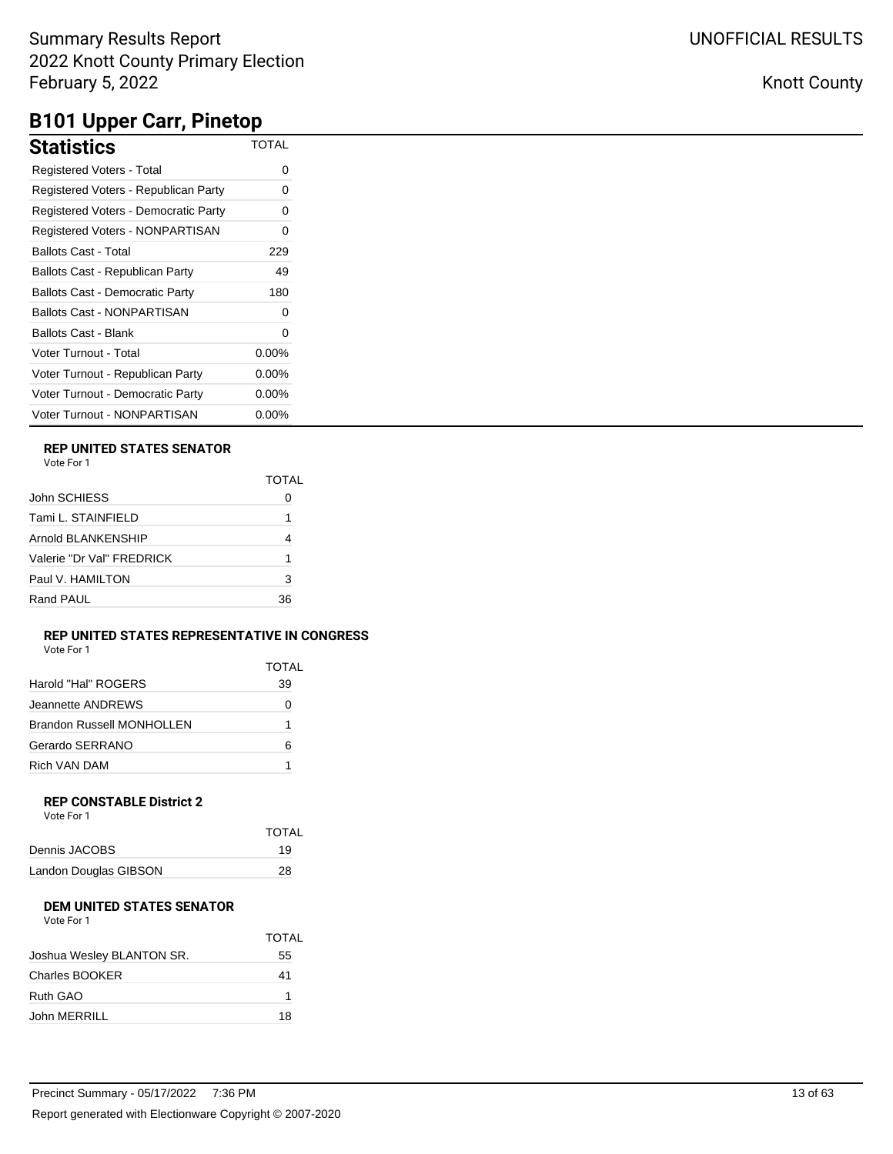| Statistics                             | <b>TOTAL</b> |
|----------------------------------------|--------------|
| <b>Registered Voters - Total</b>       | 0            |
| Registered Voters - Republican Party   | 0            |
| Registered Voters - Democratic Party   | 0            |
| Registered Voters - NONPARTISAN        | 0            |
| Ballots Cast - Total                   | 229          |
| Ballots Cast - Republican Party        | 49           |
| <b>Ballots Cast - Democratic Party</b> | 180          |
| Ballots Cast - NONPARTISAN             | 0            |
| Ballots Cast - Blank                   | 0            |
| Voter Turnout - Total                  | $0.00\%$     |
| Voter Turnout - Republican Party       | $0.00\%$     |
| Voter Turnout - Democratic Party       | $0.00\%$     |
| Voter Turnout - NONPARTISAN            | 0.00%        |

## **REP UNITED STATES SENATOR**

Vote For 1

|                           | TOTAL |
|---------------------------|-------|
| John SCHIESS              |       |
| Tami L. STAINFIELD        |       |
| Arnold BLANKENSHIP        |       |
| Valerie "Dr Val" FRFDRICK |       |
| Paul V. HAMILTON          | 3     |
| Rand PAUL                 | 36    |

#### **REP UNITED STATES REPRESENTATIVE IN CONGRESS** Vote For 1

| vuuttuu 1                        |       |
|----------------------------------|-------|
|                                  | TOTAL |
| Harold "Hal" ROGERS              | 39    |
| Jeannette ANDREWS                |       |
| <b>Brandon Russell MONHOLLEN</b> | 1     |
| Gerardo SERRANO                  | 6     |
| Rich VAN DAM                     |       |

#### **REP CONSTABLE District 2** Vote For 1

| VULTE FUIL            |              |
|-----------------------|--------------|
|                       | <b>TOTAL</b> |
| Dennis JACOBS         | 19           |
| Landon Douglas GIBSON | 28           |

### **DEM UNITED STATES SENATOR**

| Vote For 1                |              |  |
|---------------------------|--------------|--|
|                           | <b>TOTAL</b> |  |
| Joshua Wesley BLANTON SR. | 55           |  |
| Charles BOOKER            | 41           |  |
| Ruth GAO                  | 1            |  |
| John MERRILL              | 18           |  |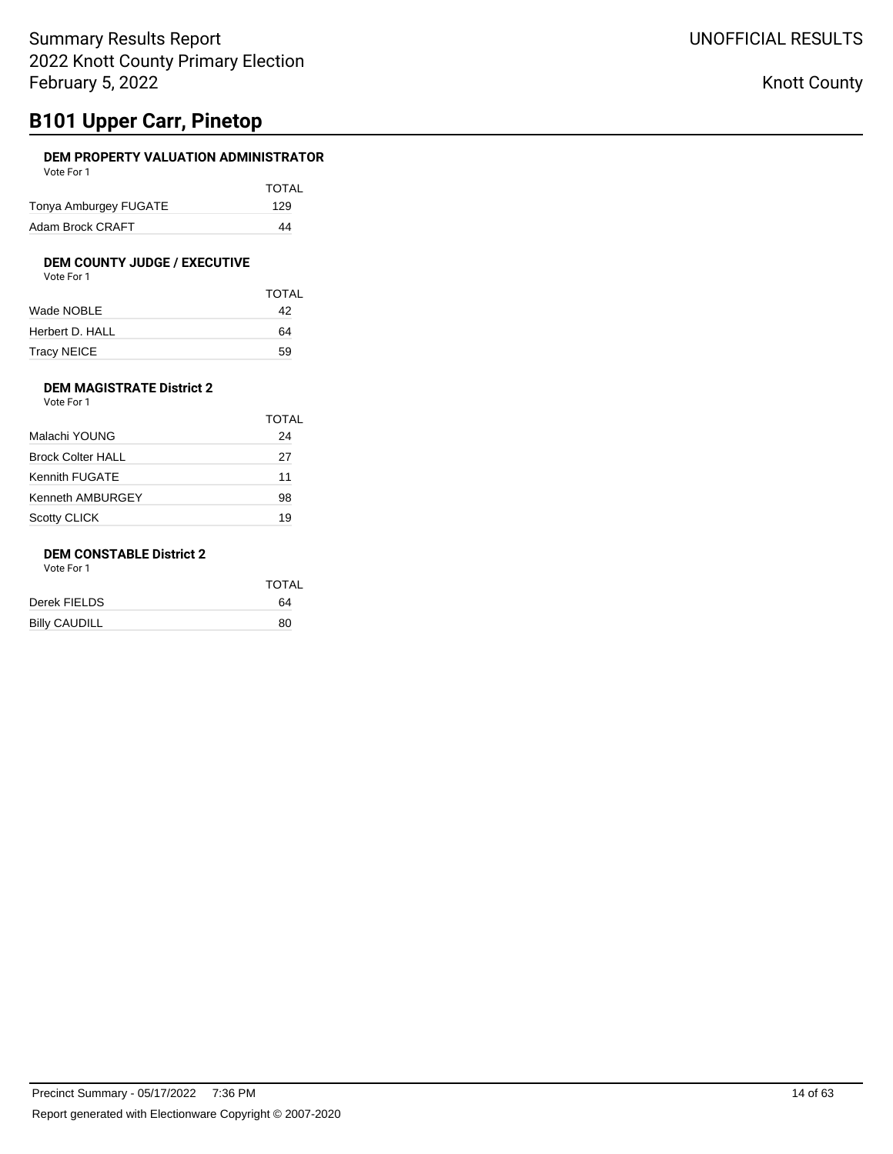# **B101 Upper Carr, Pinetop**

### **DEM PROPERTY VALUATION ADMINISTRATOR** Vote For 1

| .                     |              |
|-----------------------|--------------|
|                       | <b>TOTAL</b> |
| Tonya Amburgey FUGATE | 129          |
| Adam Brock CRAFT      | 44           |

# **DEM COUNTY JUDGE / EXECUTIVE**<br>Vote For 1

| Vote For 1 |  |
|------------|--|
|------------|--|

|                 | <b>TOTAL</b> |
|-----------------|--------------|
| Wade NOBLE      | 42           |
| Herbert D. HALL | 64           |
| Tracy NEICE     | 59           |

### **DEM MAGISTRATE District 2** Vote For 1

|                          | TOTAL |
|--------------------------|-------|
| Malachi YOUNG            | 24    |
| <b>Brock Colter HALL</b> | 27    |
| Kennith FUGATE           | 11    |
| Kenneth AMBURGEY         | 98    |
| <b>Scotty CLICK</b>      | 19    |

### **DEM CONSTABLE District 2**

Vote For 1

|                      | <b>TOTAL</b> |
|----------------------|--------------|
| Derek FIELDS         | 64           |
| <b>Billy CAUDILL</b> | 80           |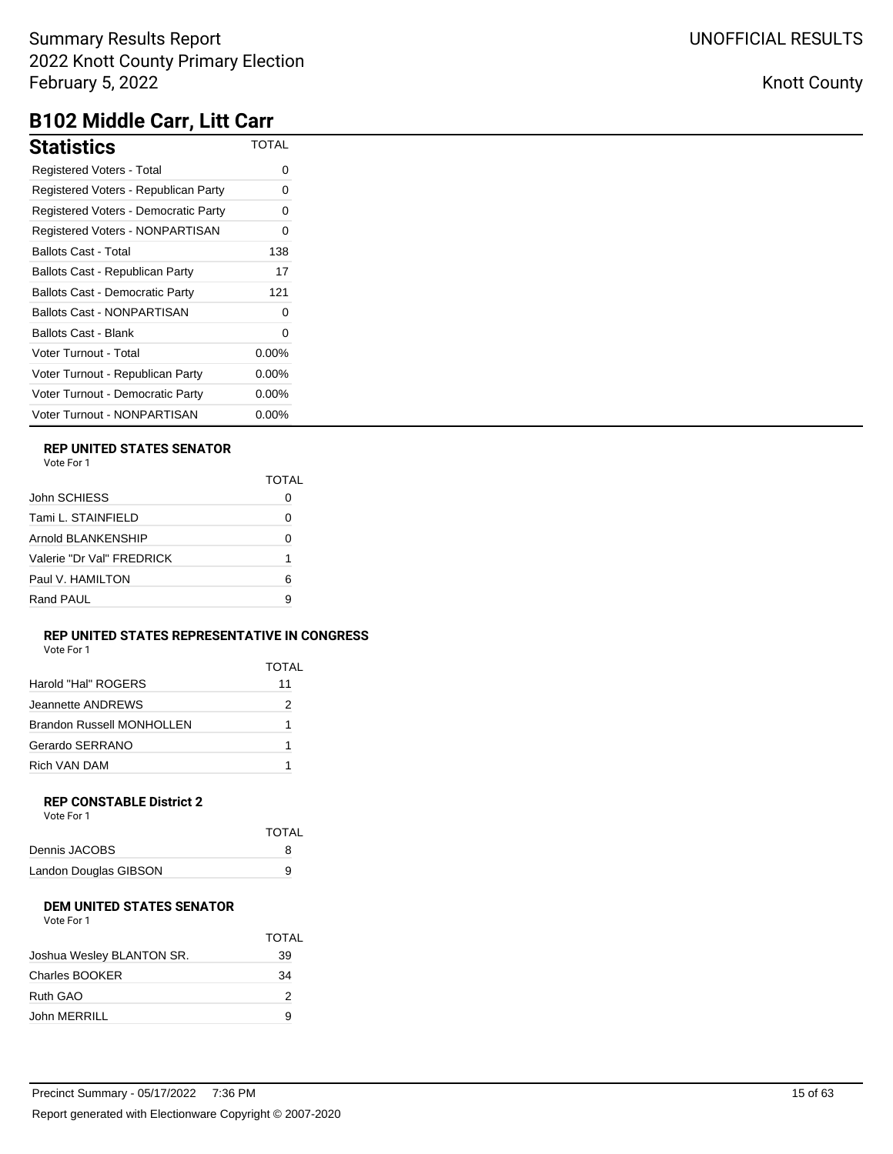Knott County

# **B102 Middle Carr, Litt Carr**

| <b>Statistics</b>                      | <b>TOTAL</b> |
|----------------------------------------|--------------|
| Registered Voters - Total              | Ω            |
| Registered Voters - Republican Party   | ი            |
| Registered Voters - Democratic Party   | Ω            |
| Registered Voters - NONPARTISAN        | ი            |
| <b>Ballots Cast - Total</b>            | 138          |
| Ballots Cast - Republican Party        | 17           |
| <b>Ballots Cast - Democratic Party</b> | 121          |
| Ballots Cast - NONPARTISAN             | Ω            |
| Ballots Cast - Blank                   | ი            |
| Voter Turnout - Total                  | $0.00\%$     |
| Voter Turnout - Republican Party       | $0.00\%$     |
| Voter Turnout - Democratic Party       | $0.00\%$     |
| Voter Turnout - NONPARTISAN            | 0.00%        |

## **REP UNITED STATES SENATOR**

| Vote For 1 |  |
|------------|--|
|------------|--|

|                           | TOTAI |
|---------------------------|-------|
| John SCHIESS              |       |
| Tami L. STAINFIELD        | Ω     |
| Arnold BLANKENSHIP        |       |
| Valerie "Dr Val" FREDRICK |       |
| Paul V. HAMILTON          | 6     |
| Rand PAUL                 | 9     |

#### **REP UNITED STATES REPRESENTATIVE IN CONGRESS** Vote For 1

| <b>VOLE FOI</b> I |  |  |
|-------------------|--|--|
|                   |  |  |
|                   |  |  |

|                                  | TOTAL |
|----------------------------------|-------|
| Harold "Hal" ROGERS              | 11    |
| Jeannette ANDRFWS                | 2     |
| <b>Brandon Russell MONHOLLEN</b> |       |
| Gerardo SERRANO                  | 1     |
| Rich VAN DAM                     |       |

#### **REP CONSTABLE District 2** Vote For 1

| VOLE FOI T            |              |
|-----------------------|--------------|
|                       | <b>TOTAL</b> |
| Dennis JACOBS         | 8            |
| Landon Douglas GIBSON | 9            |

## **DEM UNITED STATES SENATOR**

| Vote For 1 |  |
|------------|--|
|            |  |

|                           | <b>TOTAL</b> |
|---------------------------|--------------|
| Joshua Wesley BLANTON SR. | 39           |
| Charles BOOKER            | 34           |
| Ruth GAO                  | 2            |
| John MERRILL              | 9            |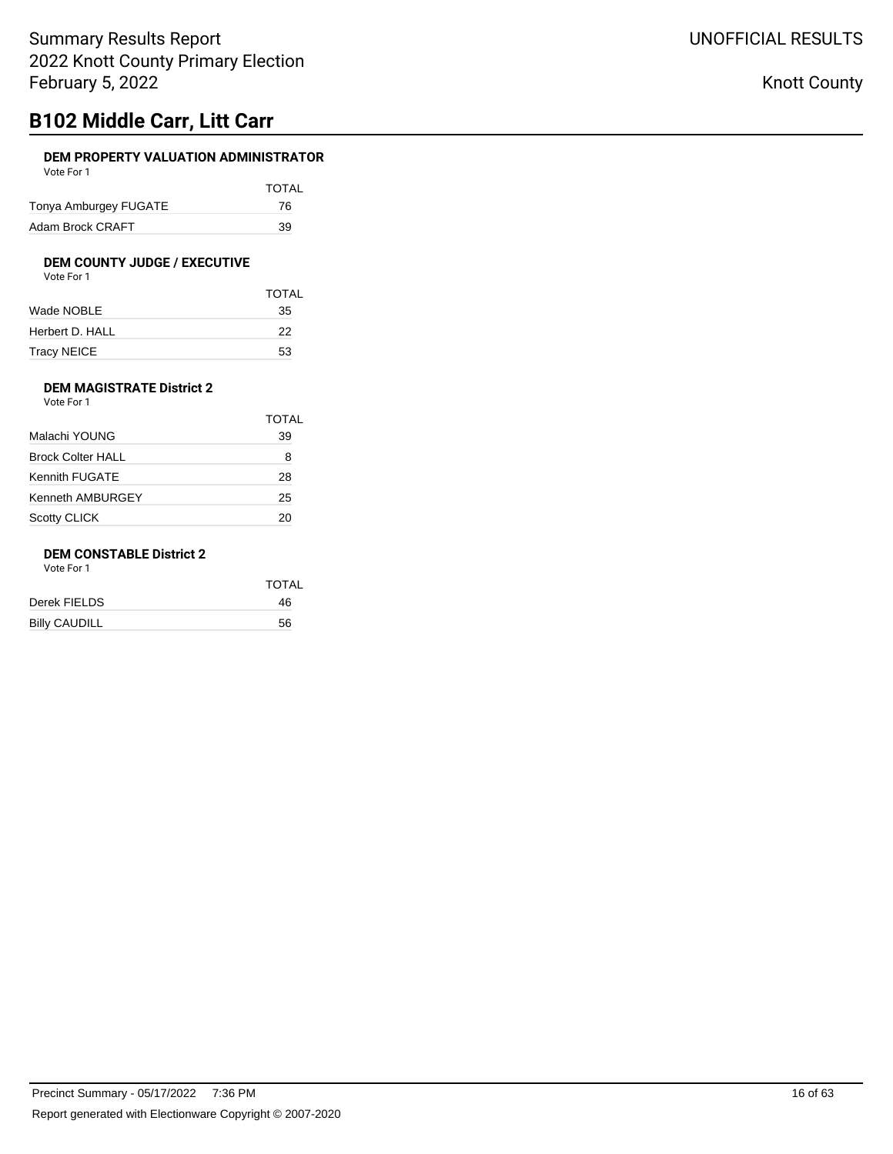# **B102 Middle Carr, Litt Carr**

### **DEM PROPERTY VALUATION ADMINISTRATOR** Vote For 1

| VULCIUI I             |              |
|-----------------------|--------------|
|                       | <b>TOTAL</b> |
| Tonya Amburgey FUGATE | 76           |
| Adam Brock CRAFT      | 39           |

# **DEM COUNTY JUDGE / EXECUTIVE**<br>Vote For 1

|                 | <b>TOTAL</b> |
|-----------------|--------------|
| Wade NOBLE      | 35           |
| Herbert D. HALL | 22           |
| Tracy NEICE     | 53           |

### **DEM MAGISTRATE District 2** Vote For 1

|                          | TOTAL |
|--------------------------|-------|
| Malachi YOUNG            | 39    |
| <b>Brock Colter HALL</b> | 8     |
| Kennith FUGATE           | 28    |
| Kenneth AMBURGEY         | 25    |
| <b>Scotty CLICK</b>      | 20    |

## **DEM CONSTABLE District 2**

Vote For 1

|                      | <b>TOTAL</b> |
|----------------------|--------------|
| Derek FIELDS         | 46           |
| <b>Billy CAUDILL</b> | 56           |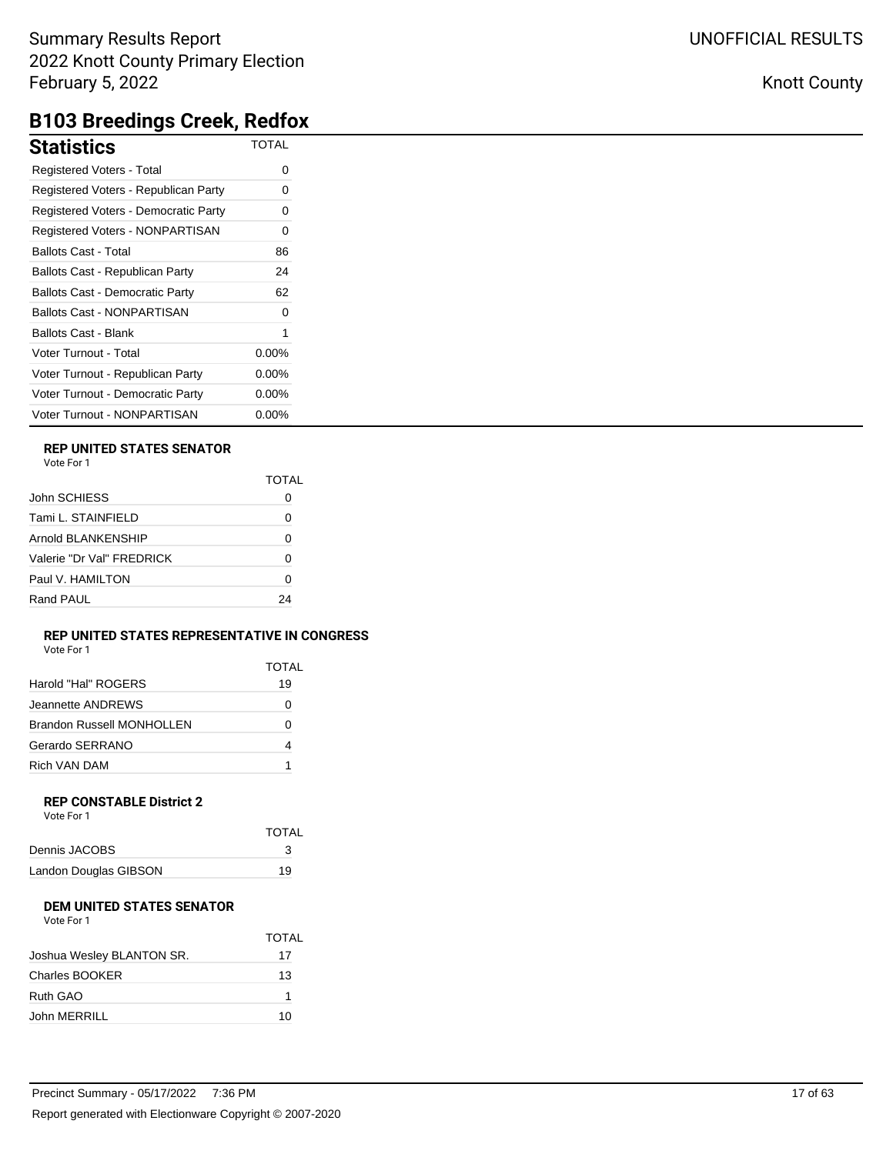## Knott County

# **B103 Breedings Creek, Redfox**

| <b>Statistics</b>                      | <b>TOTAL</b> |
|----------------------------------------|--------------|
| Registered Voters - Total              | 0            |
| Registered Voters - Republican Party   |              |
| Registered Voters - Democratic Party   | 0            |
| Registered Voters - NONPARTISAN        | 0            |
| <b>Ballots Cast - Total</b>            | 86           |
| Ballots Cast - Republican Party        | 24           |
| <b>Ballots Cast - Democratic Party</b> | 62           |
| <b>Ballots Cast - NONPARTISAN</b>      |              |
| <b>Ballots Cast - Blank</b>            |              |
| Voter Turnout - Total                  | $0.00\%$     |
| Voter Turnout - Republican Party       | 0.00%        |
| Voter Turnout - Democratic Party       | $0.00\%$     |
| Voter Turnout - NONPARTISAN            | $0.00\%$     |

### **REP UNITED STATES SENATOR**

|                           | TOTAL |
|---------------------------|-------|
| John SCHIESS              |       |
| Tami L. STAINFIELD        | Ω     |
| Arnold BLANKENSHIP        | 0     |
| Valerie "Dr Val" FRFDRICK | ŋ     |
| Paul V. HAMILTON          | Ω     |
| Rand PAUL                 | 24    |

### **REP UNITED STATES REPRESENTATIVE IN CONGRESS**

| Vote For 1 |  |
|------------|--|
|            |  |

|                                  | <b>TOTAL</b> |
|----------------------------------|--------------|
| Harold "Hal" ROGERS              | 19           |
| Jeannette ANDREWS                | O            |
| <b>Brandon Russell MONHOLLEN</b> | O            |
| Gerardo SERRANO                  | 4            |
| Rich VAN DAM                     |              |

#### **REP CONSTABLE District 2** Vote For 1

| VULTE FUIL            |              |
|-----------------------|--------------|
|                       | <b>TOTAL</b> |
| Dennis JACOBS         | 3            |
| Landon Douglas GIBSON | 19           |

## **DEM UNITED STATES SENATOR**

| Vote For 1 |
|------------|
|            |

|                           | TOTAL |
|---------------------------|-------|
| Joshua Wesley BLANTON SR. | 17    |
| <b>Charles BOOKER</b>     | 13    |
| Ruth GAO                  |       |
| John MERRILL              | 10    |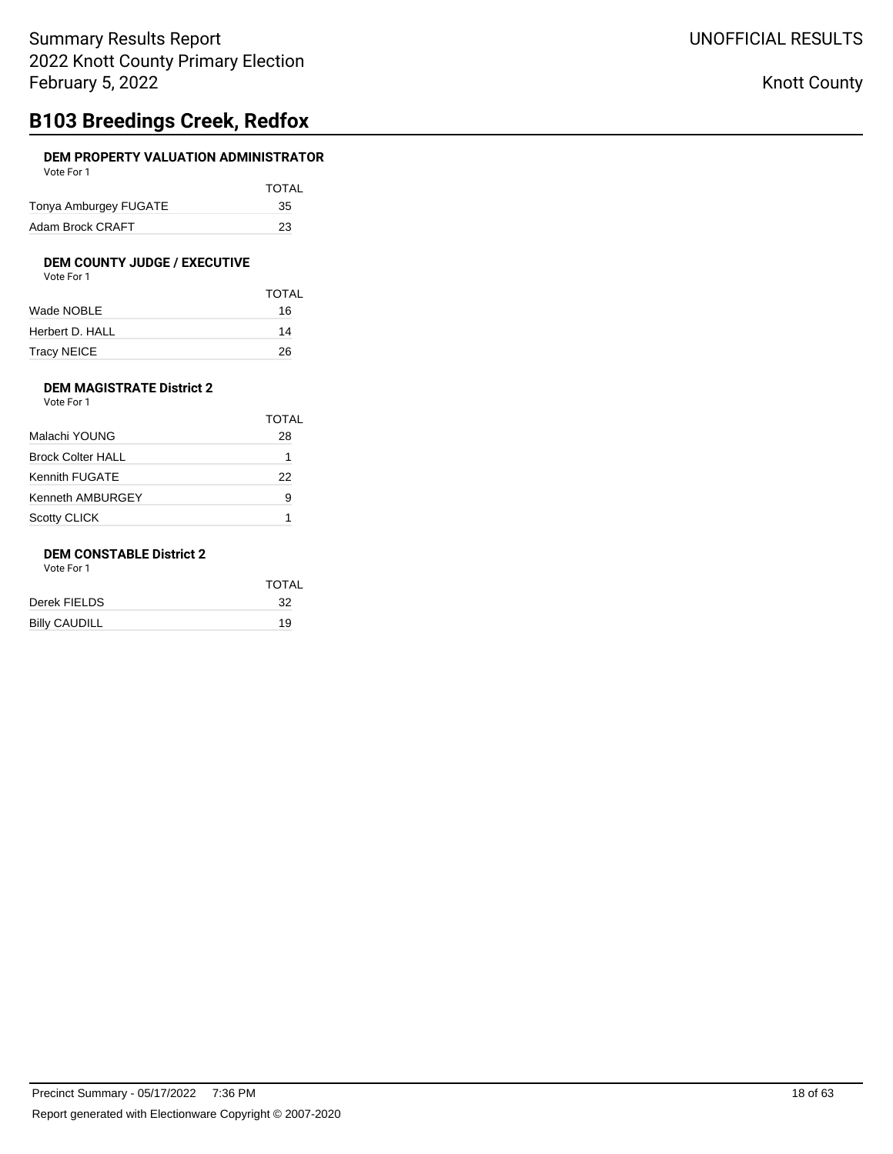# **B103 Breedings Creek, Redfox**

### **DEM PROPERTY VALUATION ADMINISTRATOR** Vote For 1

|                       | <b>TOTAL</b> |
|-----------------------|--------------|
| Tonya Amburgey FUGATE | 35           |
| Adam Brock CRAFT      | 23           |

# **DEM COUNTY JUDGE / EXECUTIVE**<br>Vote For 1

| Vote For 1 |  |
|------------|--|
|------------|--|

|                 | <b>TOTAL</b> |
|-----------------|--------------|
| Wade NOBLE      | 16           |
| Herbert D. HALL | 14           |
| Tracy NEICE     | 26           |

### **DEM MAGISTRATE District 2** Vote For 1

|                          | TOTAL |
|--------------------------|-------|
| Malachi YOUNG            | 28    |
| <b>Brock Colter HALL</b> |       |
| Kennith FUGATE           | 22    |
| Kenneth AMBURGEY         | 9     |
| <b>Scotty CLICK</b>      |       |

### **DEM CONSTABLE District 2**

Vote For 1

|                      | <b>TOTAL</b> |
|----------------------|--------------|
| Derek FIELDS         | -32          |
| <b>Billy CAUDILL</b> | 19           |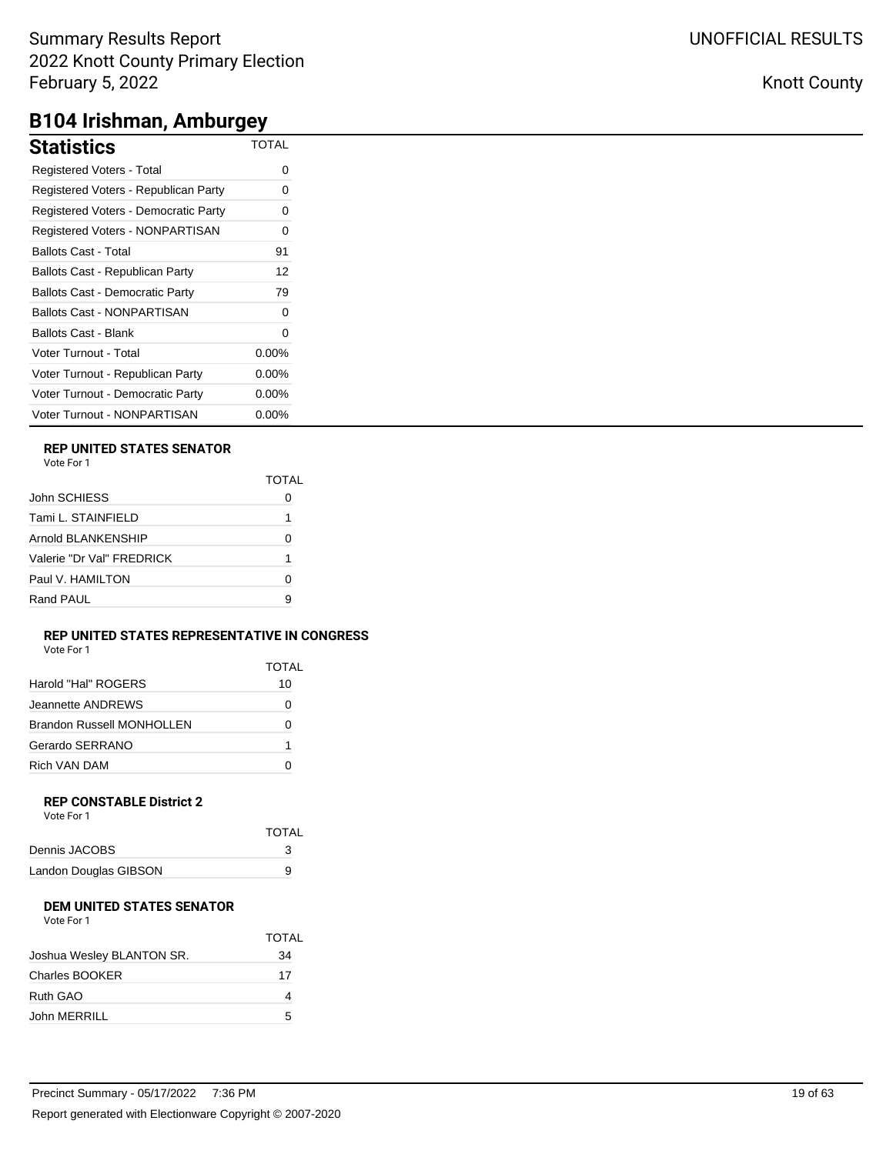## Knott County

# **B104 Irishman, Amburgey**

| <b>Statistics</b>                      | <b>TOTAL</b> |
|----------------------------------------|--------------|
| Registered Voters - Total              | O            |
| Registered Voters - Republican Party   | 0            |
| Registered Voters - Democratic Party   | 0            |
| Registered Voters - NONPARTISAN        | 0            |
| Ballots Cast - Total                   | 91           |
| Ballots Cast - Republican Party        | 12           |
| <b>Ballots Cast - Democratic Party</b> | 79           |
| Ballots Cast - NONPARTISAN             | O            |
| Ballots Cast - Blank                   | 0            |
| Voter Turnout - Total                  | $0.00\%$     |
| Voter Turnout - Republican Party       | $0.00\%$     |
| Voter Turnout - Democratic Party       | $0.00\%$     |
| Voter Turnout - NONPARTISAN            | 0.00%        |

### **REP UNITED STATES SENATOR**

| TOTAI |
|-------|
|       |
|       |
| O     |
|       |
| O     |
| я     |
|       |

### **REP UNITED STATES REPRESENTATIVE IN CONGRESS**

|  | Vote For 1 |  |
|--|------------|--|
|  |            |  |

|                           | TOTAI |
|---------------------------|-------|
| Harold "Hal" ROGERS       | 10    |
| Jeannette ANDREWS         | Ω     |
| Brandon Russell MONHOLLEN | 0     |
| Gerardo SERRANO           | 1     |
| Rich VAN DAM              |       |

#### **REP CONSTABLE District 2** Vote For 1

| VULTE FUIL            |              |
|-----------------------|--------------|
|                       | <b>TOTAL</b> |
| Dennis JACOBS         |              |
| Landon Douglas GIBSON | 9            |

### **DEM UNITED STATES SENATOR**

|                           | <b>TOTAL</b> |
|---------------------------|--------------|
| Joshua Wesley BLANTON SR. | 34           |
| Charles BOOKER            | 17           |
| Ruth GAO                  |              |
| John MERRILL              | 5            |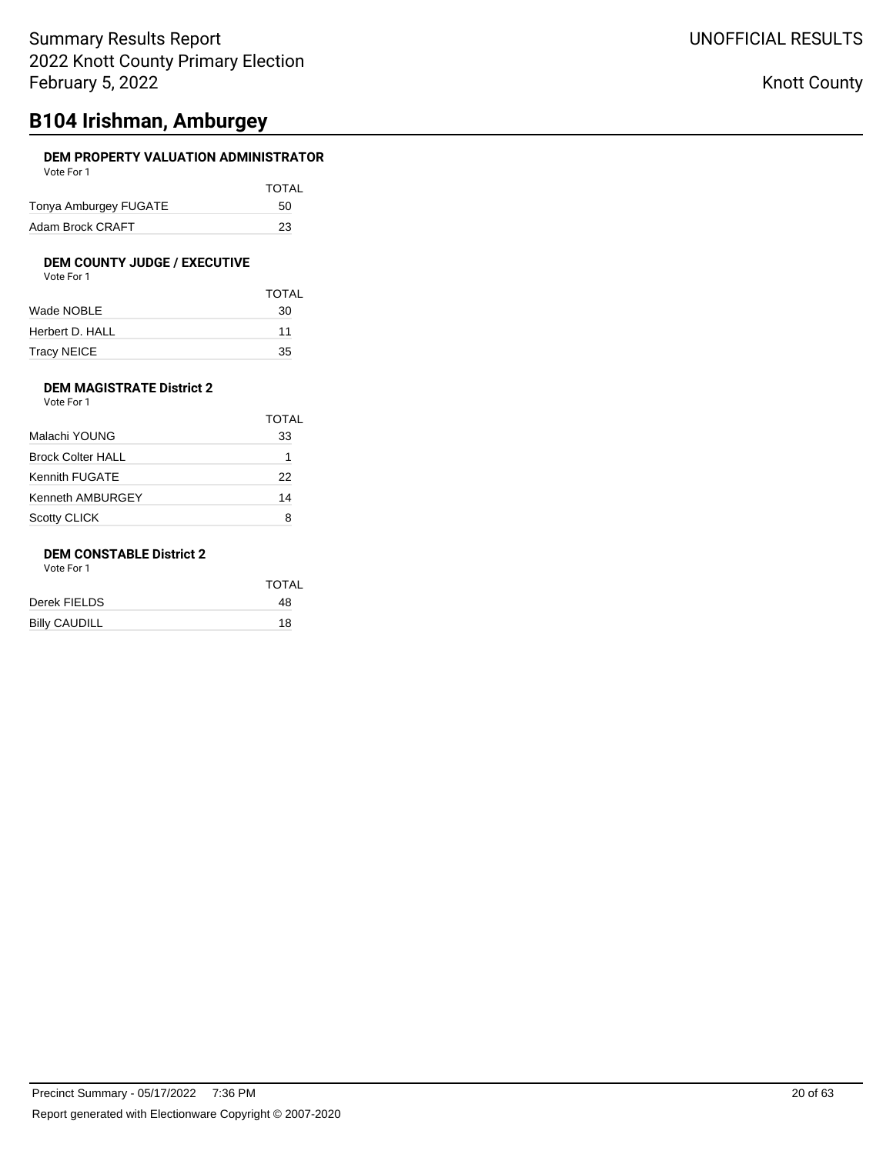# **B104 Irishman, Amburgey**

### **DEM PROPERTY VALUATION ADMINISTRATOR** Vote For 1

| VULCIUII              |              |
|-----------------------|--------------|
|                       | <b>TOTAL</b> |
| Tonya Amburgey FUGATE | 50           |
| Adam Brock CRAFT      | 23           |

# **DEM COUNTY JUDGE / EXECUTIVE**<br>Vote For 1

|                 | <b>TOTAL</b> |
|-----------------|--------------|
| Wade NOBLE      | 30           |
| Herbert D. HALL | 11           |
| Tracy NEICE     | 35           |

### **DEM MAGISTRATE District 2** Vote For 1

|                          | TOTAL |
|--------------------------|-------|
| Malachi YOUNG            | 33    |
| <b>Brock Colter HALL</b> | 1     |
| <b>Kennith FUGATE</b>    | 22    |
| Kenneth AMBURGEY         | 14    |
| <b>Scotty CLICK</b>      | я     |

## **DEM CONSTABLE District 2**

Vote For 1

| TOTAL |
|-------|
| 48    |
| 18    |
|       |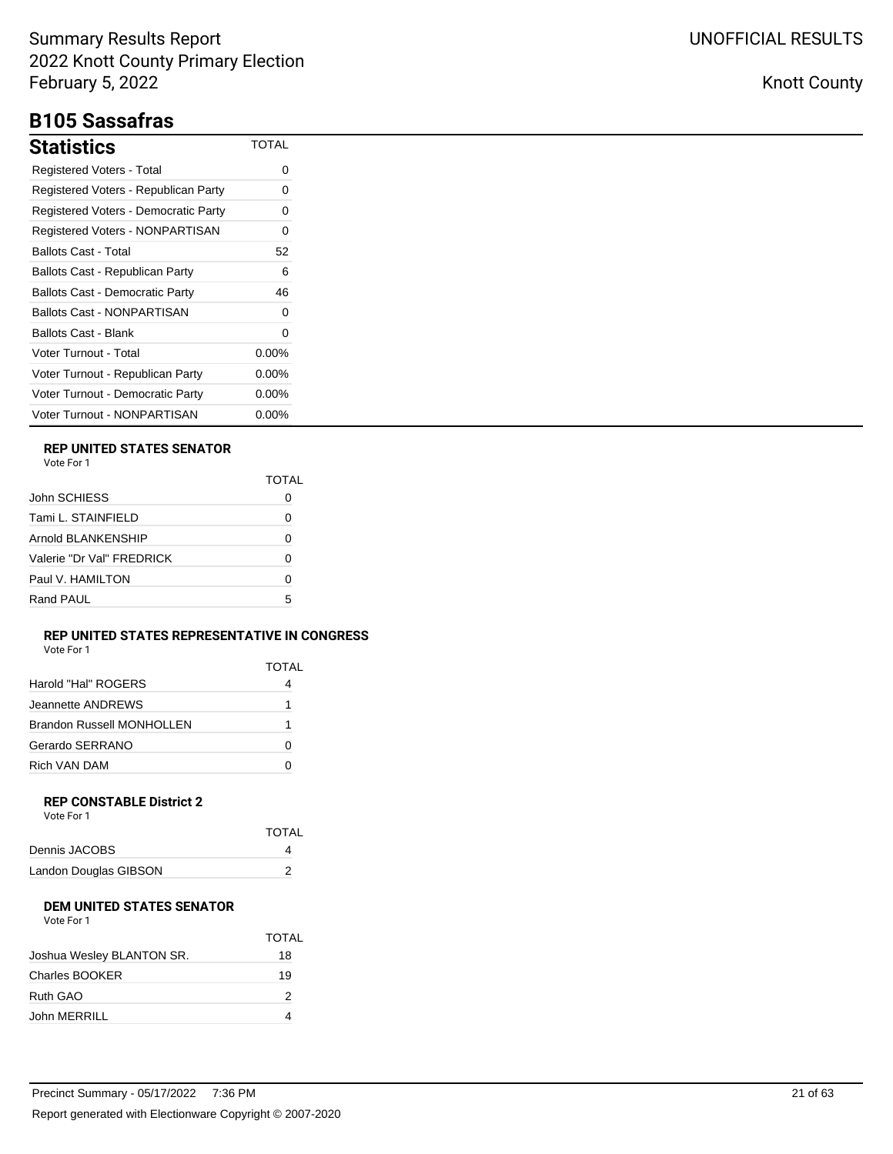# **B105 Sassafras**

| Statistics                             | TOTAL    |
|----------------------------------------|----------|
| Registered Voters - Total              | 0        |
| Registered Voters - Republican Party   | 0        |
| Registered Voters - Democratic Party   | O        |
| Registered Voters - NONPARTISAN        | 0        |
| Ballots Cast - Total                   | 52       |
| Ballots Cast - Republican Party        | 6        |
| <b>Ballots Cast - Democratic Party</b> | 46       |
| <b>Ballots Cast - NONPARTISAN</b>      | 0        |
| Ballots Cast - Blank                   | 0        |
| Voter Turnout - Total                  | $0.00\%$ |
| Voter Turnout - Republican Party       | $0.00\%$ |
| Voter Turnout - Democratic Party       | $0.00\%$ |
| Voter Turnout - NONPARTISAN            | $0.00\%$ |

### **REP UNITED STATES SENATOR**

|                           | <b>TOTAL</b> |
|---------------------------|--------------|
| John SCHIESS              |              |
| Tami L. STAINFIELD        | O            |
| Arnold BLANKENSHIP        | ŋ            |
| Valerie "Dr Val" FREDRICK | 0            |
| Paul V. HAMILTON          |              |
| Rand PAUL                 | 5            |
|                           |              |

### **REP UNITED STATES REPRESENTATIVE IN CONGRESS** Vote For 1

|                                  | TOTAL |
|----------------------------------|-------|
| Harold "Hal" ROGERS              |       |
| Jeannette ANDREWS                |       |
| <b>Brandon Russell MONHOLLEN</b> |       |
| Gerardo SERRANO                  |       |
| Rich VAN DAM                     |       |

#### **REP CONSTABLE District 2** Vote For 1

| <b>TOTAL</b> |
|--------------|
|              |
|              |
|              |

#### **DEM UNITED STATES SENATOR**  $V$ oto Fo

| VOIE FOL L                |      |
|---------------------------|------|
|                           | TOT. |
| Joshua Wesley BLANTON SR. | 18   |
| <b>Charles BOOKER</b>     | 19   |
| Ruth GAO                  | 2    |

John MERRILL 4

TOTAL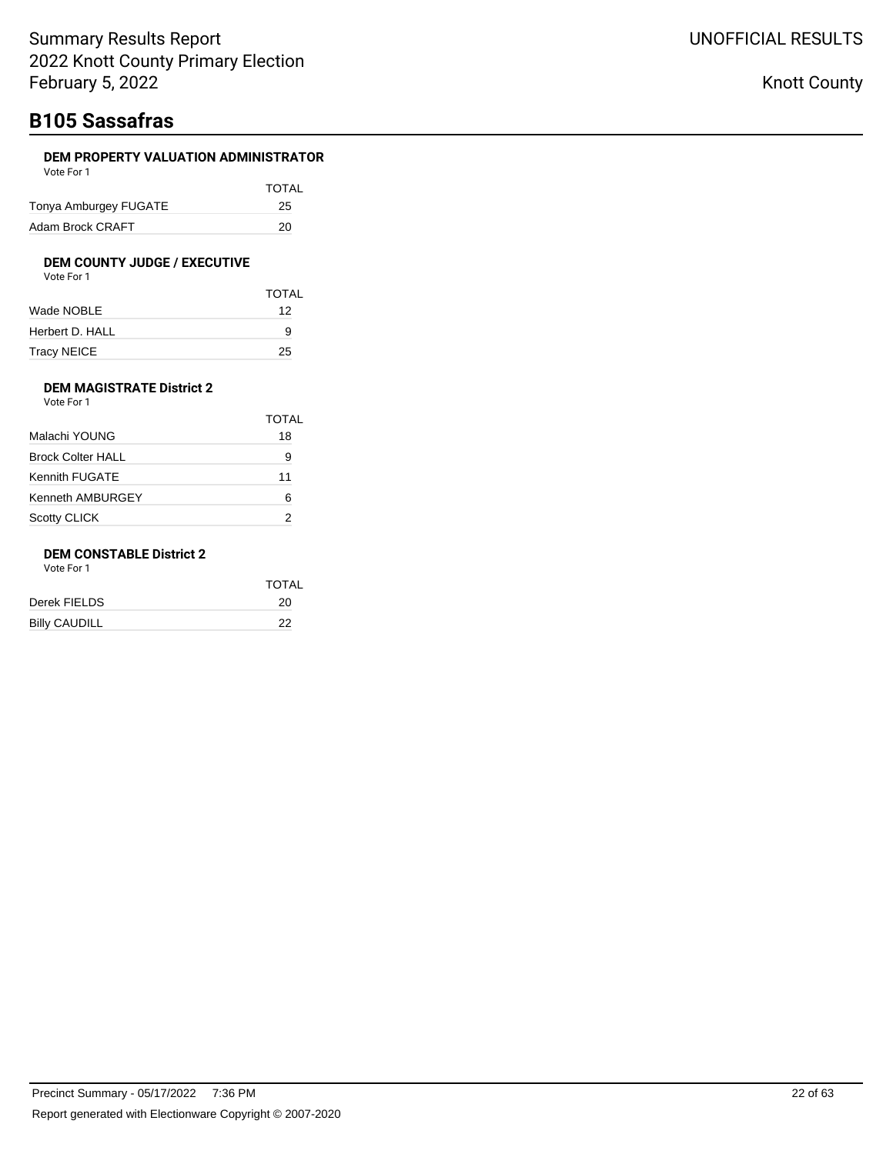# **B105 Sassafras**

### **DEM PROPERTY VALUATION ADMINISTRATOR** Vote For 1

| <b>VULLET UIL</b>     |              |
|-----------------------|--------------|
|                       | <b>TOTAL</b> |
| Tonya Amburgey FUGATE | 25           |
| Adam Brock CRAFT      | 20           |

#### **DEM COUNTY JUDGE / EXECUTIVE** Vote For 1

| VULTUII |  |
|---------|--|
|         |  |
|         |  |
|         |  |

| Wade NOBLE      | 12 |
|-----------------|----|
| Herbert D. HALL | 9  |
| Tracy NEICE     | 25 |

TOTAL

### **DEM MAGISTRATE District 2** Vote For 1

|                          | TOTAL |
|--------------------------|-------|
| Malachi YOUNG            | 18    |
| <b>Brock Colter HALL</b> | 9     |
| Kennith FUGATE           | 11    |
| <b>Kenneth AMBURGEY</b>  | 6     |
| <b>Scotty CLICK</b>      |       |

### **DEM CONSTABLE District 2**

Vote For 1

|                      | <b>TOTAL</b> |
|----------------------|--------------|
| Derek FIELDS         | 20           |
| <b>Billy CAUDILL</b> | 22           |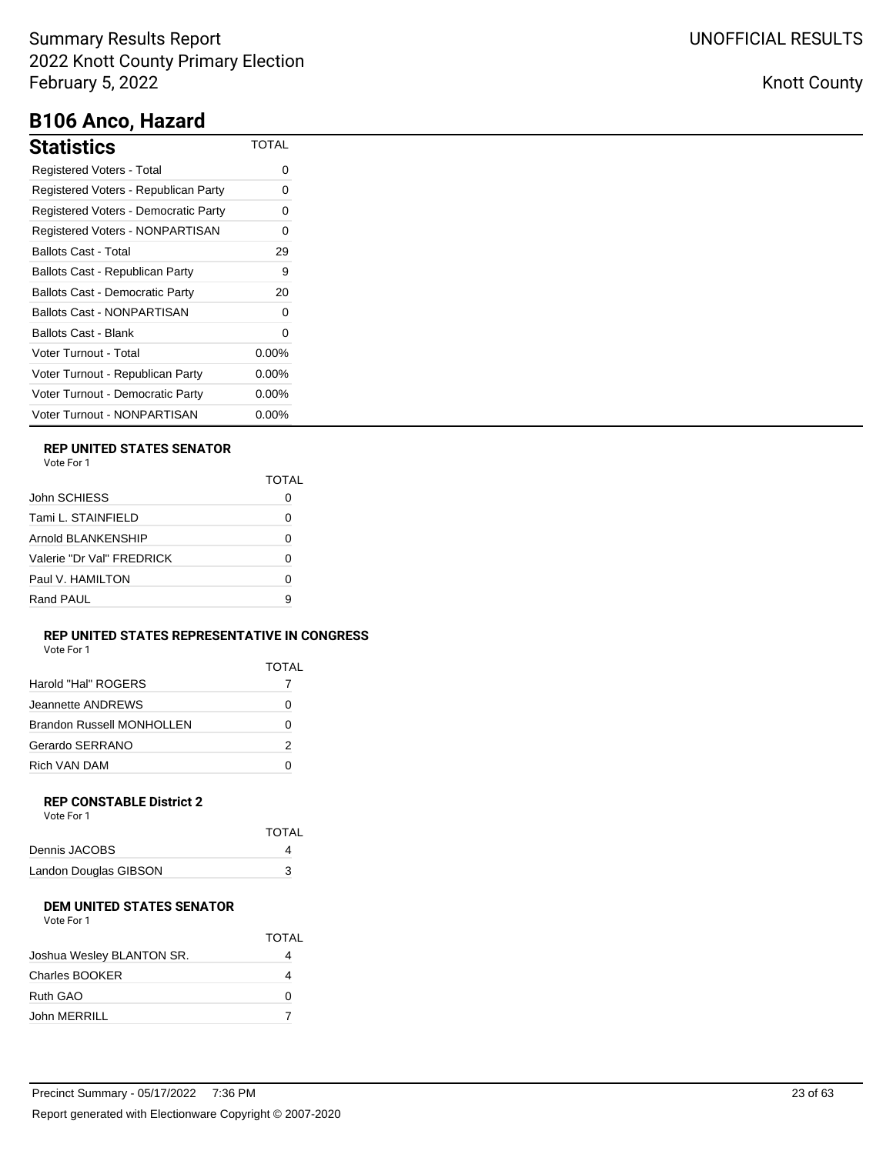# **B106 Anco, Hazard**

| <b>Statistics</b>                      | TOTAL    |
|----------------------------------------|----------|
| Registered Voters - Total              | ი        |
| Registered Voters - Republican Party   | Ω        |
| Registered Voters - Democratic Party   | Ω        |
| Registered Voters - NONPARTISAN        | 0        |
| <b>Ballots Cast - Total</b>            | 29       |
| Ballots Cast - Republican Party        | 9        |
| <b>Ballots Cast - Democratic Party</b> | 20       |
| Ballots Cast - NONPARTISAN             | ი        |
| Ballots Cast - Blank                   | Ω        |
| Voter Turnout - Total                  | $0.00\%$ |
| Voter Turnout - Republican Party       | $0.00\%$ |
| Voter Turnout - Democratic Party       | $0.00\%$ |
| Voter Turnout - NONPARTISAN            | $0.00\%$ |

### **REP UNITED STATES SENATOR**

|                           | TOTAL |
|---------------------------|-------|
| John SCHIESS              |       |
| Tami L. STAINFIELD        | 0     |
| Arnold BLANKENSHIP        | O     |
| Valerie "Dr Val" FRFDRICK | O     |
| Paul V. HAMILTON          | O     |
| Rand PAUL                 | я     |
|                           |       |

### **REP UNITED STATES REPRESENTATIVE IN CONGRESS** Vote For 1

|                                  | TOTAL |
|----------------------------------|-------|
| Harold "Hal" ROGERS              |       |
| Jeannette ANDREWS                |       |
| <b>Brandon Russell MONHOLLEN</b> | O     |
| Gerardo SERRANO                  | 2     |
| Rich VAN DAM                     |       |
|                                  |       |

#### **REP CONSTABLE District 2** Vote For 1

| <b>TOTAL</b> |
|--------------|
|              |
| 3            |
|              |

#### **DEM UNITED STATES SENATOR** Vote For 1

| vote For T                |       |
|---------------------------|-------|
|                           | TOTAL |
| Joshua Wesley BLANTON SR. |       |
| <b>Charles BOOKER</b>     |       |
| Ruth GAO                  | O     |
| John MERRILL              |       |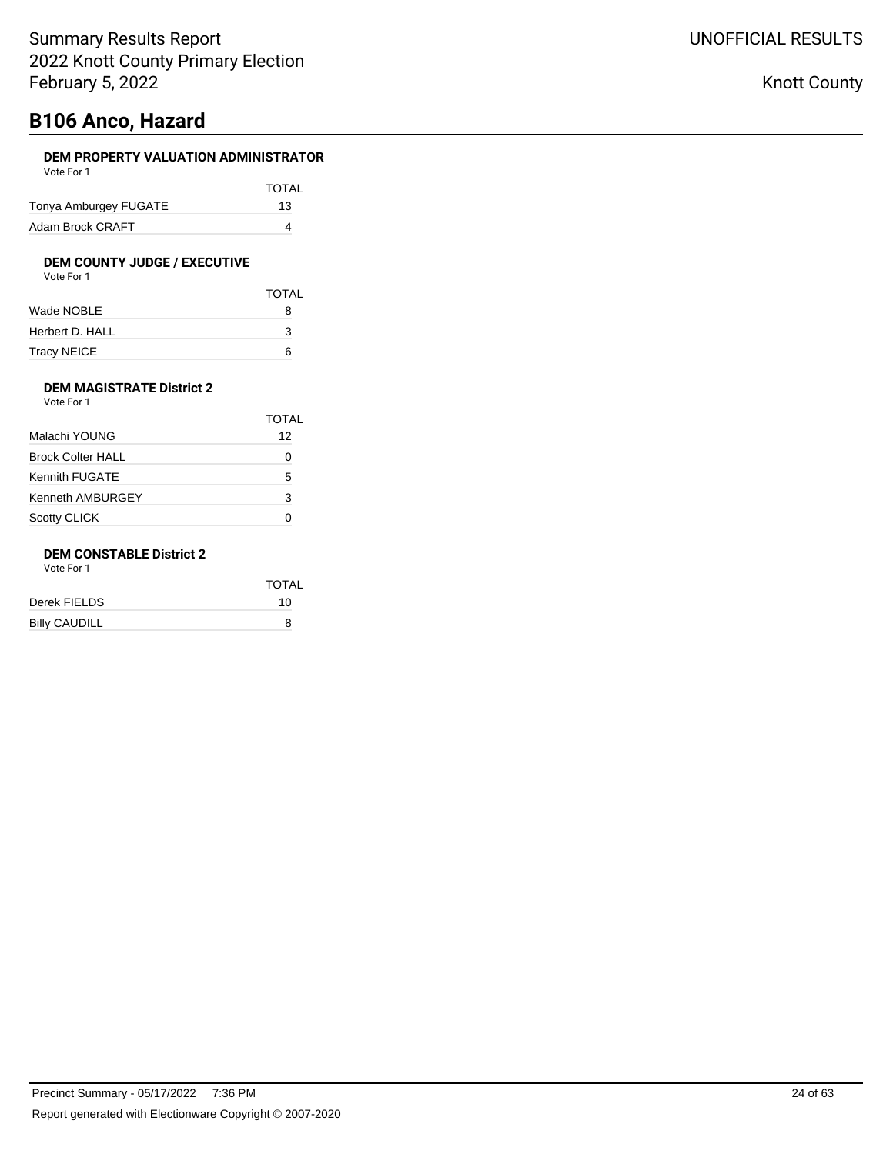# **B106 Anco, Hazard**

### **DEM PROPERTY VALUATION ADMINISTRATOR** Vote For 1

| VULCIUI I             |              |
|-----------------------|--------------|
|                       | <b>TOTAL</b> |
| Tonya Amburgey FUGATE | 13           |
| Adam Brock CRAFT      |              |

# **DEM COUNTY JUDGE / EXECUTIVE**<br>Vote For 1

| Vote For |  |  |  |
|----------|--|--|--|
|----------|--|--|--|

|                 | <b>TOTAL</b> |
|-----------------|--------------|
| Wade NOBLE      | 8            |
| Herbert D. HALL | 3            |
| Tracy NEICE     | ี            |

### **DEM MAGISTRATE District 2** Vote For 1

|                          | <b>TOTAL</b> |
|--------------------------|--------------|
| Malachi YOUNG            | 12           |
| <b>Brock Colter HALL</b> |              |
| Kennith FUGATE           | 5            |
| <b>Kenneth AMBURGEY</b>  | 3            |
| <b>Scotty CLICK</b>      |              |

### **DEM CONSTABLE District 2**

Vote For 1

|                      | <b>TOTAL</b> |
|----------------------|--------------|
| Derek FIELDS         | 10           |
| <b>Billy CAUDILL</b> | 8            |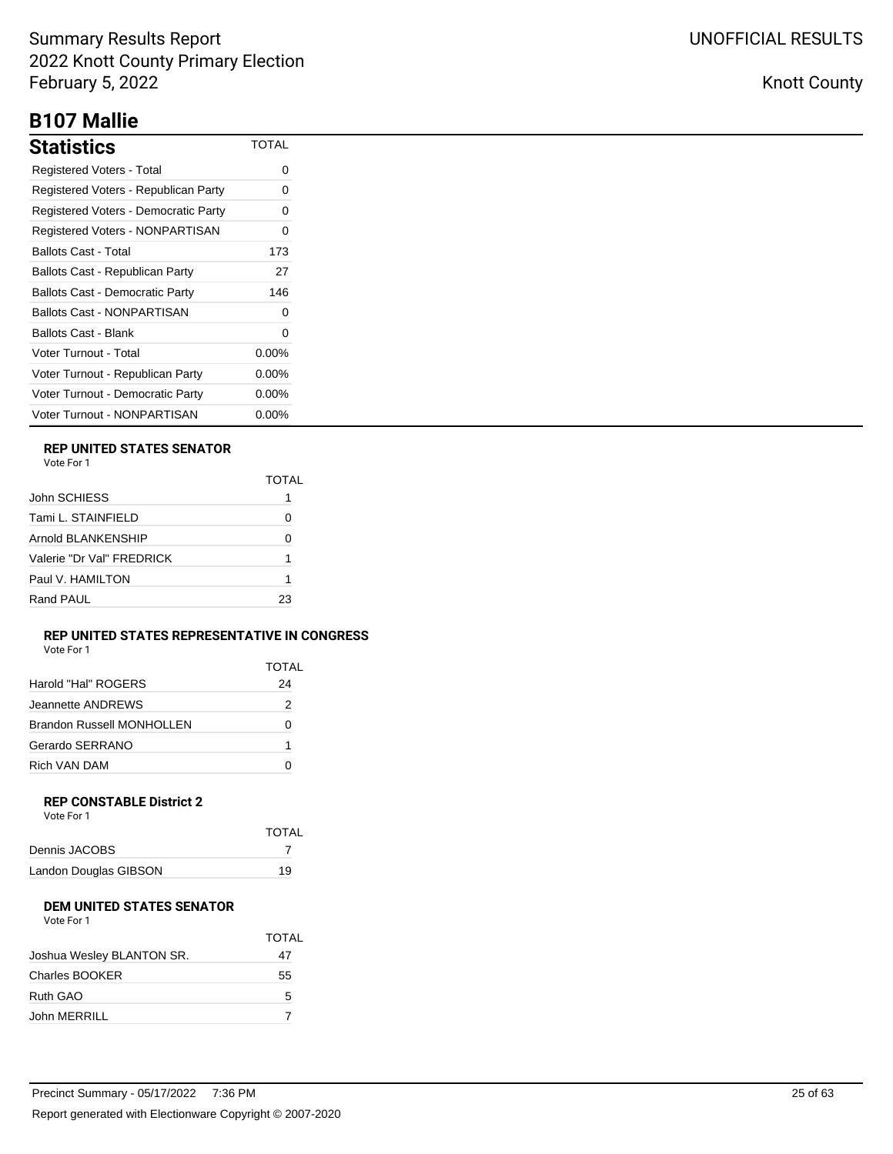# **B107 Mallie**

| Statistics                             | TOTAL    |
|----------------------------------------|----------|
| Registered Voters - Total              | O        |
| Registered Voters - Republican Party   | 0        |
| Registered Voters - Democratic Party   | O        |
| Registered Voters - NONPARTISAN        | 0        |
| Ballots Cast - Total                   | 173      |
| Ballots Cast - Republican Party        | 27       |
| <b>Ballots Cast - Democratic Party</b> | 146      |
| <b>Ballots Cast - NONPARTISAN</b>      | 0        |
| Ballots Cast - Blank                   | ი        |
| Voter Turnout - Total                  | 0.00%    |
| Voter Turnout - Republican Party       | $0.00\%$ |
| Voter Turnout - Democratic Party       | $0.00\%$ |
| Voter Turnout - NONPARTISAN            | $0.00\%$ |

## **REP UNITED STATES SENATOR**

|                           | TOTAI |
|---------------------------|-------|
| John SCHIESS              |       |
| Tami L. STAINFIELD        | Ω     |
| Arnold BI ANKENSHIP       | 0     |
| Valerie "Dr Val" FREDRICK | 1     |
| Paul V. HAMILTON          | 1     |
| Rand PAUL                 | 23    |

### **REP UNITED STATES REPRESENTATIVE IN CONGRESS** Vote For 1

|                           | <b>TOTAL</b> |
|---------------------------|--------------|
| Harold "Hal" ROGERS       | 24           |
| Jeannette ANDREWS         | 2            |
| Brandon Russell MONHOLLEN | 0            |
| Gerardo SERRANO           |              |
| <b>Rich VAN DAM</b>       |              |

#### **REP CONSTABLE District 2** Vote For 1

| <b>TOTAL</b> |
|--------------|
|              |
| 19           |
|              |

## **DEM UNITED STATES SENATOR**

| Vote For 1 |
|------------|
|------------|

|                           | <b>TOTAL</b> |
|---------------------------|--------------|
| Joshua Wesley BLANTON SR. | 47           |
| Charles BOOKER            | 55           |
| Ruth GAO                  | 5            |
| John MERRILL              |              |

| Precinct Summary - 05/17/2022 7:36 PM                    | 25 of 63 |
|----------------------------------------------------------|----------|
| Report generated with Electionware Copyright © 2007-2020 |          |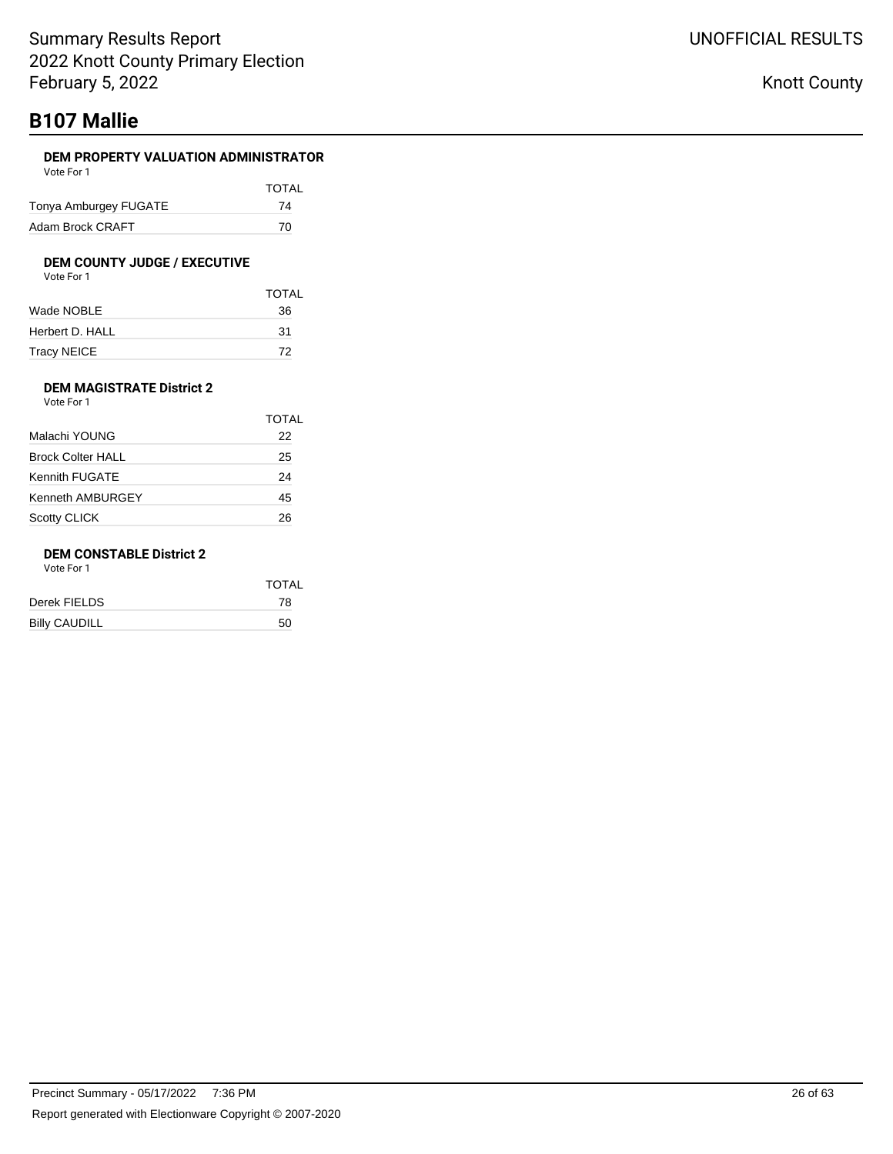# **B107 Mallie**

### **DEM PROPERTY VALUATION ADMINISTRATOR**

| Vote For 1            |              |
|-----------------------|--------------|
|                       | <b>TOTAL</b> |
| Tonya Amburgey FUGATE | 74           |
| Adam Brock CRAFT      | 70           |

### **DEM COUNTY JUDGE / EXECUTIVE**

|                 | <b>TOTAL</b> |
|-----------------|--------------|
| Wade NOBLE      | 36           |
| Herbert D. HALL | 31           |
| Tracy NEICE     | 72           |

### **DEM MAGISTRATE District 2** Vote For 1

|                          | TOTAL |
|--------------------------|-------|
| Malachi YOUNG            | 22    |
| <b>Brock Colter HALL</b> | 25    |
| Kennith FUGATE           | 24    |
| <b>Kenneth AMBURGEY</b>  | 45    |
| <b>Scotty CLICK</b>      | 26    |

### **DEM CONSTABLE District 2**

Vote For 1

| TOTAL |
|-------|
| 78    |
| 50    |
|       |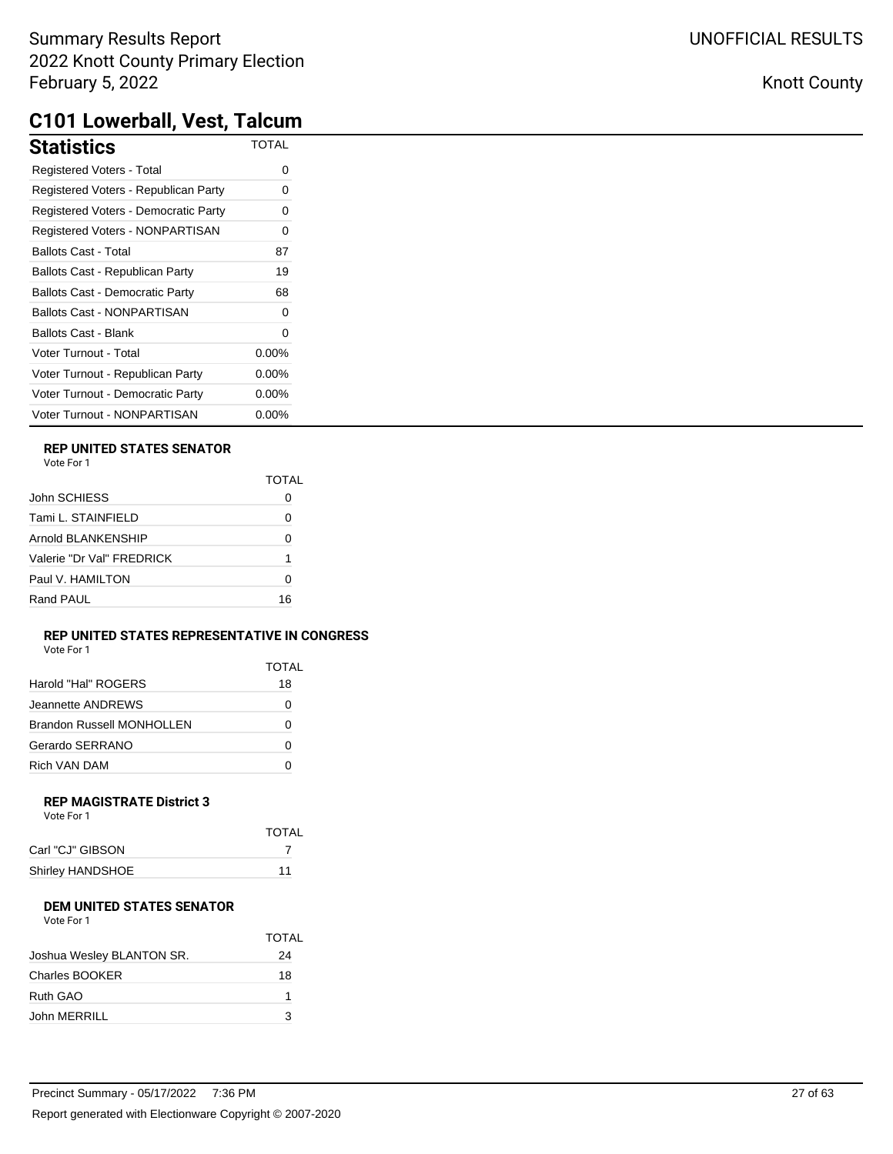## Knott County

# **C101 Lowerball, Vest, Talcum**

| <b>Statistics</b>                      | <b>TOTAL</b> |
|----------------------------------------|--------------|
| Registered Voters - Total              | 0            |
| Registered Voters - Republican Party   | 0            |
| Registered Voters - Democratic Party   | 0            |
| Registered Voters - NONPARTISAN        | 0            |
| <b>Ballots Cast - Total</b>            | 87           |
| Ballots Cast - Republican Party        | 19           |
| <b>Ballots Cast - Democratic Party</b> | 68           |
| <b>Ballots Cast - NONPARTISAN</b>      | 0            |
| <b>Ballots Cast - Blank</b>            | 0            |
| Voter Turnout - Total                  | $0.00\%$     |
| Voter Turnout - Republican Party       | 0.00%        |
| Voter Turnout - Democratic Party       | $0.00\%$     |
| Voter Turnout - NONPARTISAN            | 0.00%        |

### **REP UNITED STATES SENATOR**

|                           | TOTAI |
|---------------------------|-------|
| John SCHIESS              |       |
| Tami L. STAINFIELD        | Ω     |
| Arnold BLANKENSHIP        | 0     |
| Valerie "Dr Val" FRFDRICK | 1     |
| Paul V. HAMILTON          | O     |
| Rand PAUL                 | 16    |

### **REP UNITED STATES REPRESENTATIVE IN CONGRESS**

| Vote For 1 |  |
|------------|--|
|------------|--|

|                           | TOTAL |
|---------------------------|-------|
| Harold "Hal" ROGERS       | 18    |
| Jeannette ANDREWS         | Ω     |
| Brandon Russell MONHOLLEN | Ω     |
| Gerardo SERRANO           | Ω     |
| Rich VAN DAM              |       |

#### **REP MAGISTRATE District 3** Vote For 1

| <b>TOTAL</b> |
|--------------|
|              |
| 11           |
|              |

## **DEM UNITED STATES SENATOR**

| Vote For 1 |
|------------|
|            |

|                           | <b>TOTAL</b> |
|---------------------------|--------------|
| Joshua Wesley BLANTON SR. | 24           |
| Charles BOOKER            | 18           |
| Ruth GAO                  |              |
| John MERRILL              | 3            |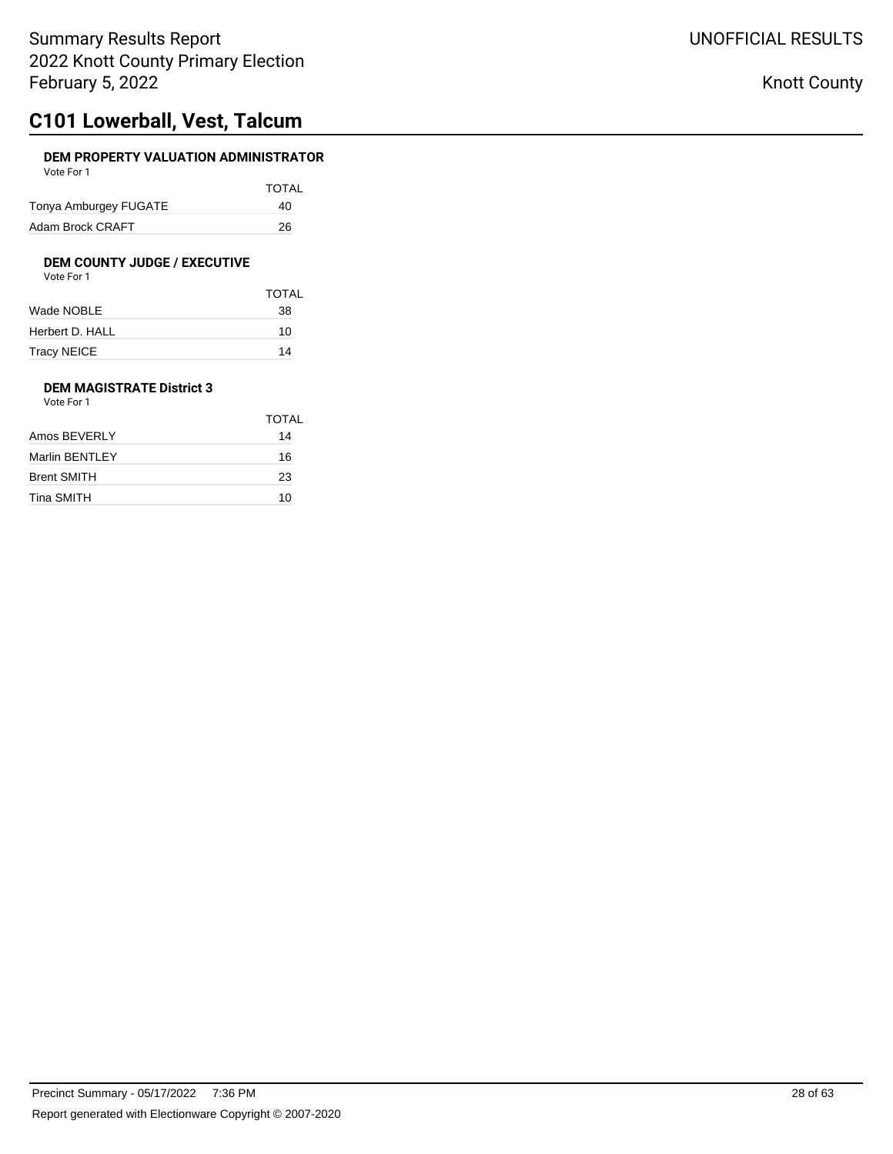## **C101 Lowerball, Vest, Talcum**

### **DEM PROPERTY VALUATION ADMINISTRATOR** Vote For 1

| VULCIUI I             |              |
|-----------------------|--------------|
|                       | <b>TOTAL</b> |
| Tonya Amburgey FUGATE | 40           |
| Adam Brock CRAFT      | 26           |

# **DEM COUNTY JUDGE / EXECUTIVE**<br>Vote For 1

| Vote For 1 |
|------------|
|------------|

|                 | <b>TOTAL</b> |
|-----------------|--------------|
| Wade NOBLE      | 38           |
| Herbert D. HALL | 10           |
| Tracy NEICE     | 14           |

### **DEM MAGISTRATE District 3** Vote For 1

|                | TOTAL |
|----------------|-------|
| Amos BEVERLY   | 14    |
| Marlin BENTLEY | 16    |
| Brent SMITH    | 23    |
| Tina SMITH     | 10    |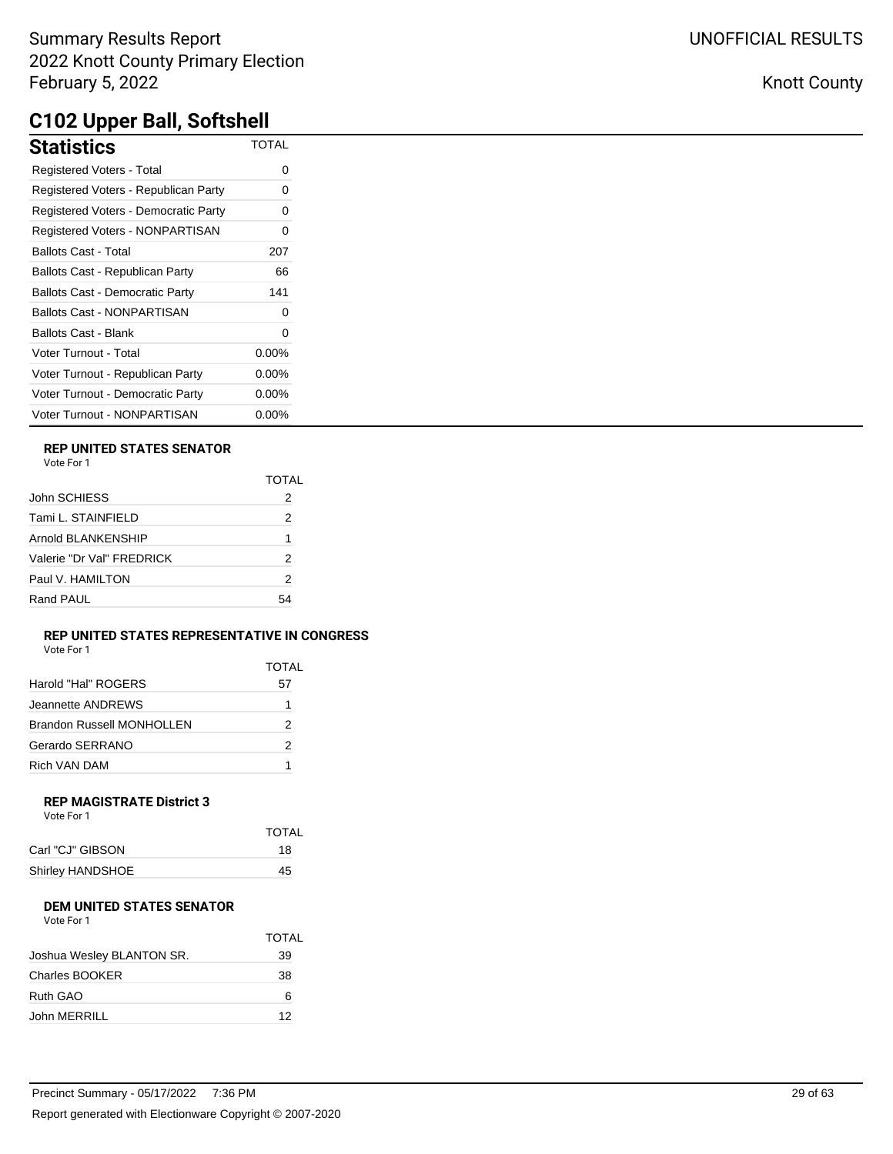| Statistics                             | <b>TOTAL</b> |
|----------------------------------------|--------------|
| <b>Registered Voters - Total</b>       | Ω            |
| Registered Voters - Republican Party   | 0            |
| Registered Voters - Democratic Party   | 0            |
| Registered Voters - NONPARTISAN        | 0            |
| Ballots Cast - Total                   | 207          |
| Ballots Cast - Republican Party        | 66           |
| <b>Ballots Cast - Democratic Party</b> | 141          |
| Ballots Cast - NONPARTISAN             | 0            |
| Ballots Cast - Blank                   | 0            |
| Voter Turnout - Total                  | $0.00\%$     |
| Voter Turnout - Republican Party       | $0.00\%$     |
| Voter Turnout - Democratic Party       | $0.00\%$     |
| Voter Turnout - NONPARTISAN            | $0.00\%$     |

## **REP UNITED STATES SENATOR**

| Vote For 1 |  |
|------------|--|
|------------|--|

|                           | TOTAL |
|---------------------------|-------|
| John SCHIESS              | 2     |
| Tami L. STAINFIELD        | 2     |
| Arnold BLANKENSHIP        | 1     |
| Valerie "Dr Val" FREDRICK | 2     |
| Paul V. HAMILTON          | 2     |
| Rand PAUL                 | 54    |

#### **REP UNITED STATES REPRESENTATIVE IN CONGRESS** Vote For 1

| VOTE FOL L                       |       |
|----------------------------------|-------|
|                                  | TOTAL |
| Harold "Hal" ROGERS              | 57    |
| Jeannette ANDREWS                | 1     |
| <b>Brandon Russell MONHOLLEN</b> | 2     |
| Gerardo SERRANO                  | 2     |
| Rich VAN DAM                     |       |

## **REP MAGISTRATE District 3**

| TOTAL |
|-------|
| 18    |
| 45    |
|       |

## **DEM UNITED STATES SENATOR**

| Vote For 1 |  |
|------------|--|
|            |  |

|                           | <b>TOTAL</b> |
|---------------------------|--------------|
| Joshua Wesley BLANTON SR. | 39           |
| Charles BOOKER            | 38           |
| Ruth GAO                  | 6            |
| John MERRILL              | 12           |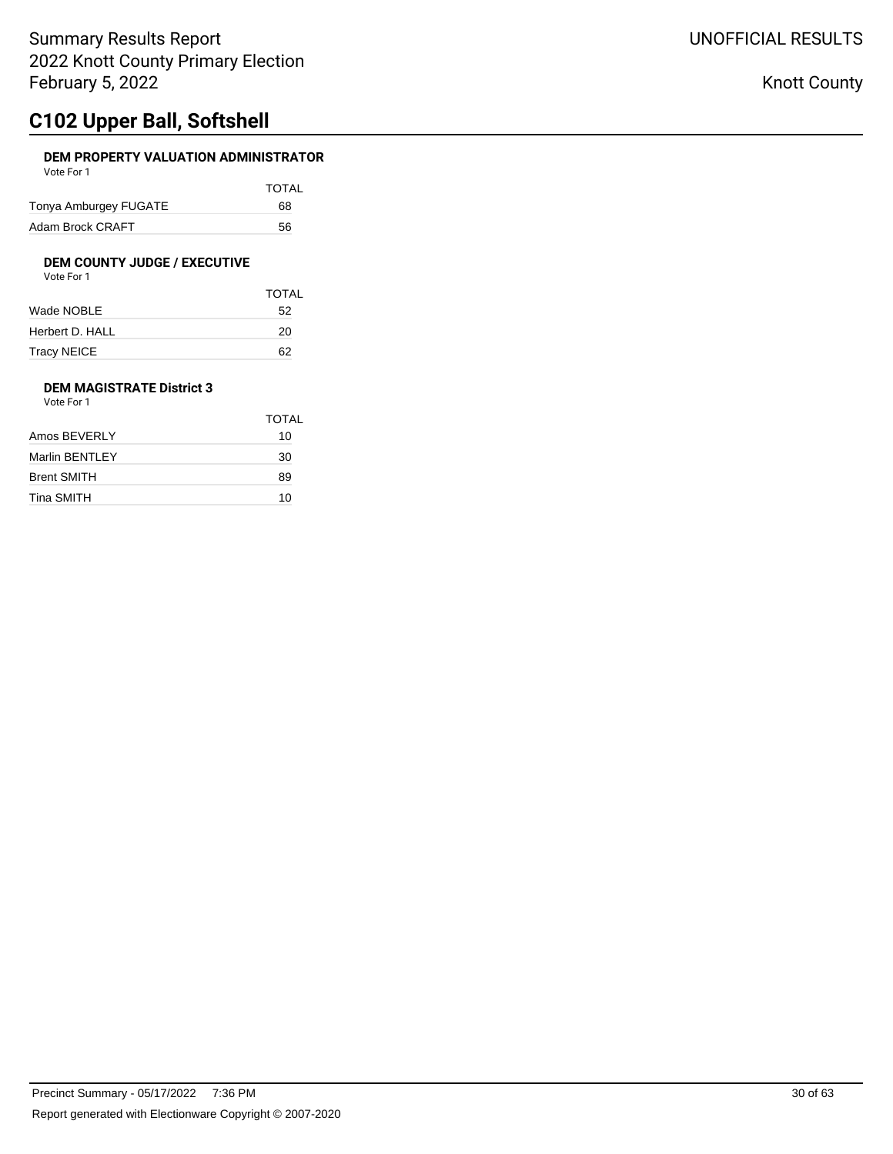# **C102 Upper Ball, Softshell**

### **DEM PROPERTY VALUATION ADMINISTRATOR** Vote For 1

| <b>VULLET UIL</b>     |              |
|-----------------------|--------------|
|                       | <b>TOTAL</b> |
| Tonya Amburgey FUGATE | 68           |
| Adam Brock CRAFT      | 56           |

# **DEM COUNTY JUDGE / EXECUTIVE**<br>Vote For 1

| Vote For 1 |  |
|------------|--|
|------------|--|

|                 | <b>TOTAL</b> |
|-----------------|--------------|
| Wade NOBLE      | 52           |
| Herbert D. HALL | 20           |
| Tracy NEICE     | 62           |

### **DEM MAGISTRATE District 3** Vote For 1

| TOTAL |
|-------|
| 10    |
| 30    |
| 89    |
| 10    |
|       |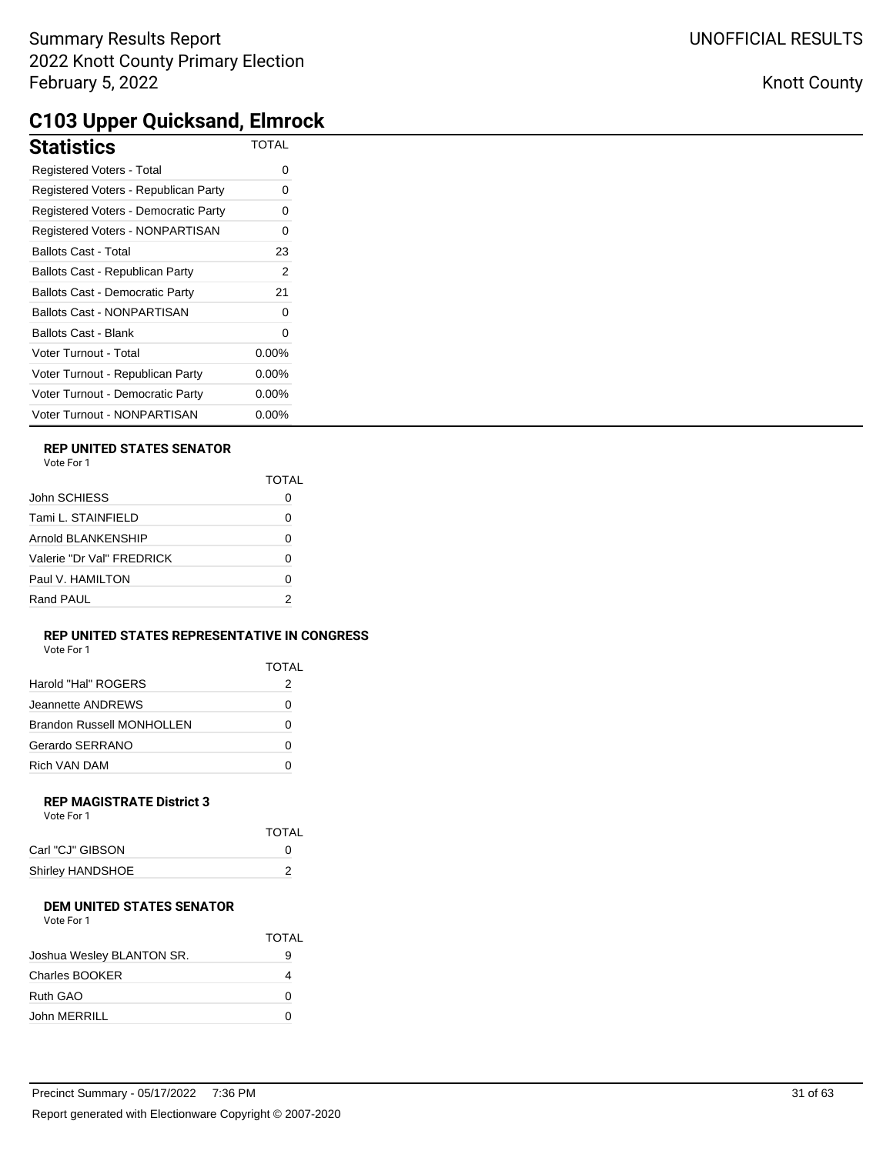# **C103 Upper Quicksand, Elmrock**

| . .                                    |              |
|----------------------------------------|--------------|
| <b>Statistics</b>                      | <b>TOTAL</b> |
| Registered Voters - Total              | 0            |
| Registered Voters - Republican Party   | 0            |
| Registered Voters - Democratic Party   | 0            |
| Registered Voters - NONPARTISAN        | 0            |
| <b>Ballots Cast - Total</b>            | 23           |
| Ballots Cast - Republican Party        | 2            |
| <b>Ballots Cast - Democratic Party</b> | 21           |
| <b>Ballots Cast - NONPARTISAN</b>      |              |
| <b>Ballots Cast - Blank</b>            | 0            |
| Voter Turnout - Total                  | 0.00%        |
| Voter Turnout - Republican Party       | $0.00\%$     |
| Voter Turnout - Democratic Party       | $0.00\%$     |
| Voter Turnout - NONPARTISAN            | $0.00\%$     |

### **REP UNITED STATES SENATOR**

| Vote For 1 |  |
|------------|--|
|------------|--|

|                           | TOTAI |
|---------------------------|-------|
| John SCHIESS              |       |
| Tami L. STAINFIELD        | Ω     |
| Arnold BI ANKENSHIP       | 0     |
| Valerie "Dr Val" FRFDRICK | ŋ     |
| Paul V. HAMILTON          | Ω     |
| Rand PAUL                 | 2     |

### **REP UNITED STATES REPRESENTATIVE IN CONGRESS**

| Vote For 1 |  |
|------------|--|
|            |  |

|                           | TOTAI |
|---------------------------|-------|
| Harold "Hal" ROGERS       | 2     |
| Jeannette ANDREWS         |       |
| Brandon Russell MONHOLLEN | Ω     |
| Gerardo SERRANO           |       |
| Rich VAN DAM              |       |

### **REP MAGISTRATE District 3**

| <b>TOTAL</b> |
|--------------|
| 0            |
|              |
|              |

### **DEM UNITED STATES SENATOR**

| Vote For 1 |  |
|------------|--|
|            |  |
| sh(10/10)  |  |

| Joshua Wesley BLANTON SR. |  |
|---------------------------|--|
| Charles BOOKER            |  |
| Ruth GAO                  |  |
| John MERRILL              |  |

TOTAL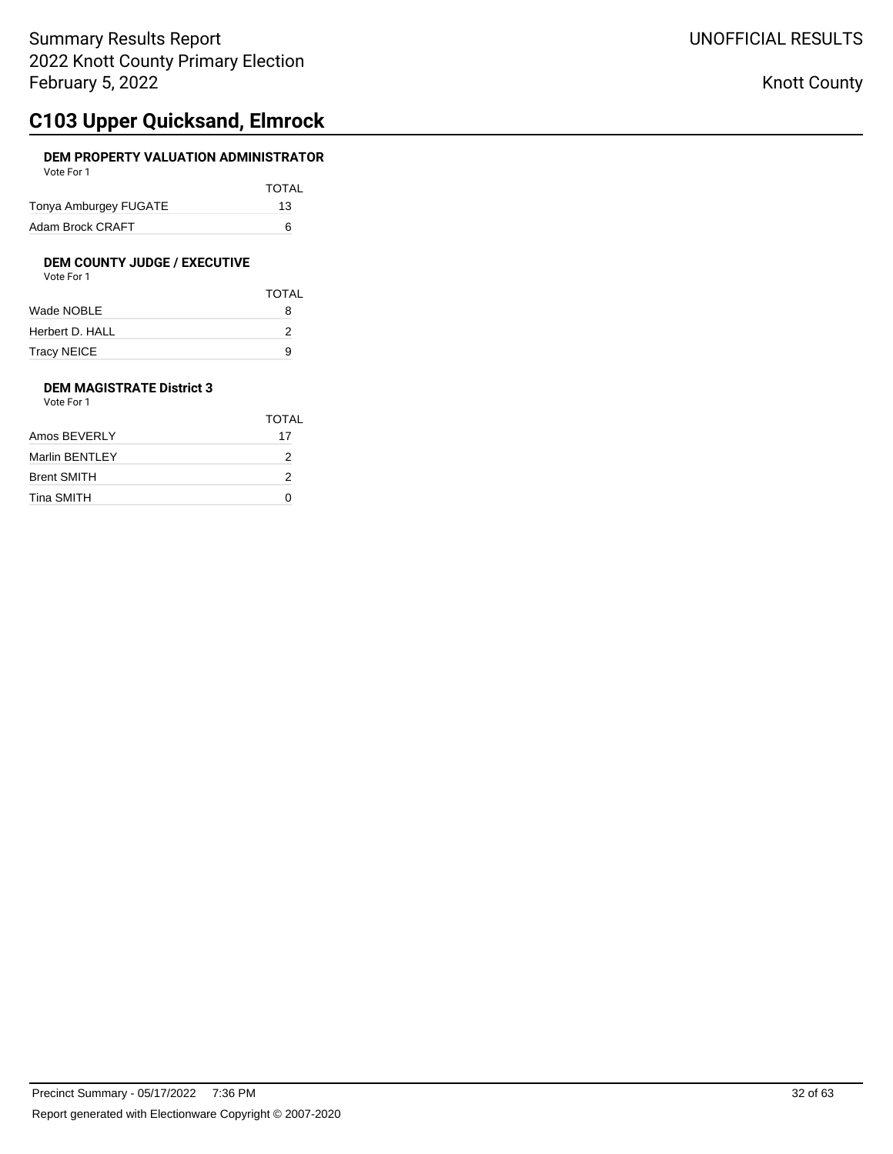# **C103 Upper Quicksand, Elmrock**

### **DEM PROPERTY VALUATION ADMINISTRATOR** Vote For 1

| <b>VULLET UIL</b>     |              |
|-----------------------|--------------|
|                       | <b>TOTAL</b> |
| Tonya Amburgey FUGATE | 13           |
| Adam Brock CRAFT      | ี            |

# **DEM COUNTY JUDGE / EXECUTIVE**<br>Vote For 1

| Vote For 1 |  |
|------------|--|
|            |  |

|                 | <b>TOTAL</b> |
|-----------------|--------------|
| Wade NOBLE      | 8            |
| Herbert D. HALL | 2            |
| Tracy NEICE     | 9            |

### **DEM MAGISTRATE District 3** Vote For 1

|                | <b>TOTAL</b> |
|----------------|--------------|
| Amos BEVERLY   | 17           |
| Marlin BENTLEY | 2            |
| Brent SMITH    | 2            |
| Tina SMITH     |              |
|                |              |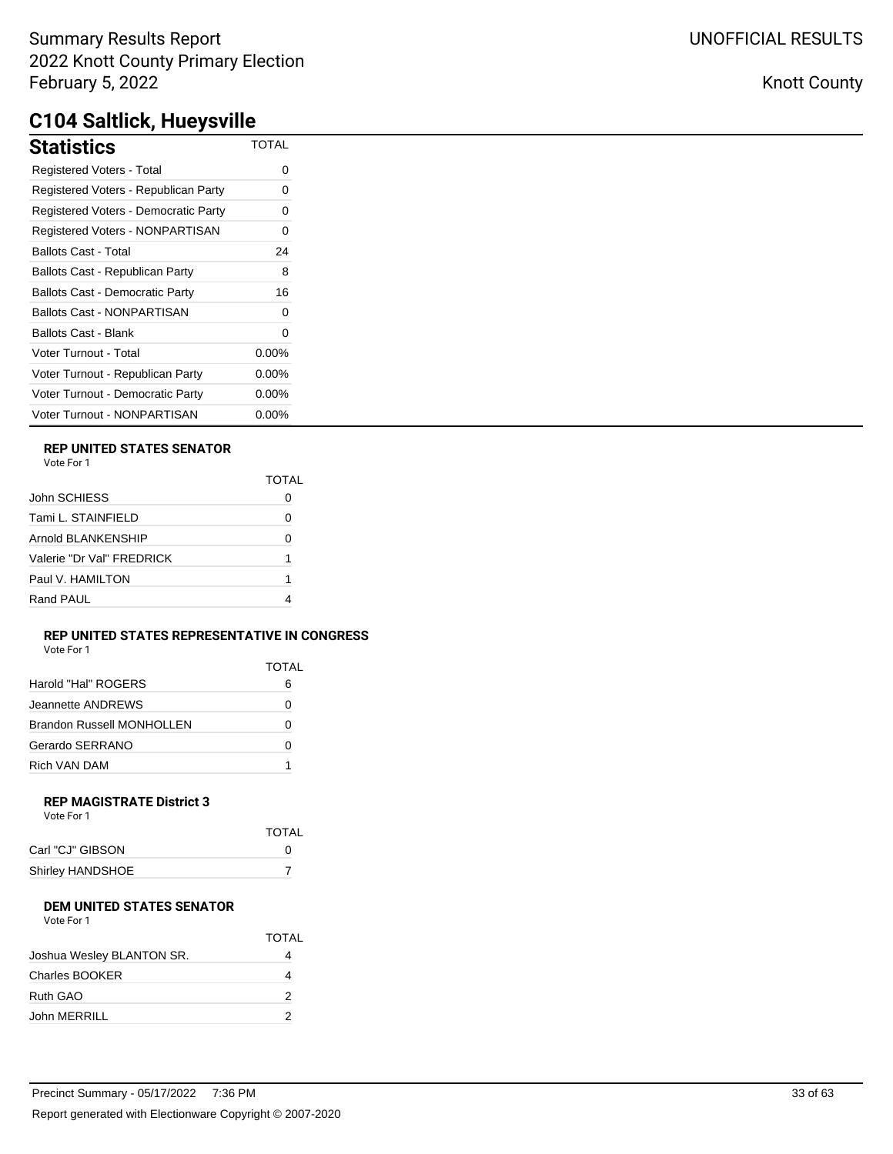| Statistics                             | <b>TOTAL</b> |
|----------------------------------------|--------------|
| Registered Voters - Total              | ი            |
| Registered Voters - Republican Party   | 0            |
| Registered Voters - Democratic Party   | 0            |
| Registered Voters - NONPARTISAN        | 0            |
| Ballots Cast - Total                   | 24           |
| Ballots Cast - Republican Party        | 8            |
| <b>Ballots Cast - Democratic Party</b> | 16           |
| Ballots Cast - NONPARTISAN             | 0            |
| Ballots Cast - Blank                   | 0            |
| Voter Turnout - Total                  | $0.00\%$     |
| Voter Turnout - Republican Party       | $0.00\%$     |
| Voter Turnout - Democratic Party       | $0.00\%$     |
| Voter Turnout - NONPARTISAN            | $0.00\%$     |

### **REP UNITED STATES SENATOR**

|                           | TOTAI |
|---------------------------|-------|
| John SCHIESS              |       |
| Tami L. STAINFIELD        | Ω     |
| Arnold BLANKENSHIP        | O     |
| Valerie "Dr Val" FREDRICK | 1     |
| Paul V. HAMILTON          | 1     |
| Rand PAUL                 |       |
|                           |       |

### **REP UNITED STATES REPRESENTATIVE IN CONGRESS** Vote For 1

| <b>VALLET LITTLE</b>             |              |
|----------------------------------|--------------|
|                                  | <b>TOTAL</b> |
| Harold "Hal" ROGERS              | 6            |
| Jeannette ANDREWS                |              |
| <b>Brandon Russell MONHOLLEN</b> | O            |
| Gerardo SERRANO                  | O            |
| Rich VAN DAM                     |              |

#### **REP MAGISTRATE District 3** Vote For 1

| VULTE FUILL      |              |
|------------------|--------------|
|                  | <b>TOTAL</b> |
| Carl "CJ" GIBSON | 0            |
| Shirley HANDSHOE |              |
|                  |              |

#### **DEM UNITED STATES SENATOR** Vote For 1

| VULE FUI I                |       |
|---------------------------|-------|
|                           | TOTAL |
| Joshua Wesley BLANTON SR. |       |
| Charles BOOKER            |       |
| Ruth GAO                  | 2     |
| John MERRILL              |       |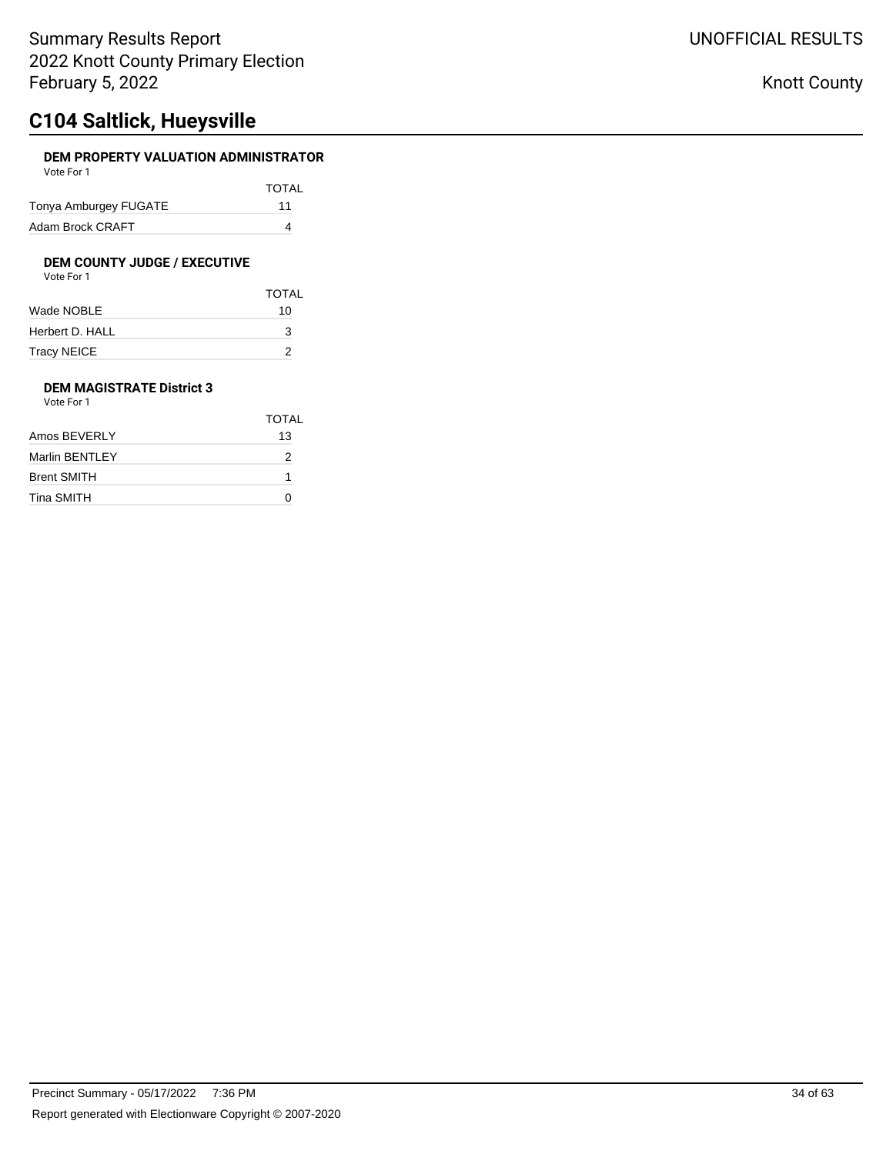# **C104 Saltlick, Hueysville**

### **DEM PROPERTY VALUATION ADMINISTRATOR** Vote For 1

| VULTE FUIL            |              |
|-----------------------|--------------|
|                       | <b>TOTAL</b> |
| Tonya Amburgey FUGATE | 11           |
| Adam Brock CRAFT      |              |

## **DEM COUNTY JUDGE / EXECUTIVE**

| Vote For 1 |  |  |
|------------|--|--|
|            |  |  |

|                 | <b>TOTAL</b> |
|-----------------|--------------|
| Wade NOBLE      | 10           |
| Herbert D. HALL | 3            |
| Tracy NEICE     | 2            |

### **DEM MAGISTRATE District 3** Vote For 1

| .                  |       |
|--------------------|-------|
|                    | TOTAL |
| Amos BEVERLY       | 13    |
| Marlin BENTLEY     | 2     |
| <b>Brent SMITH</b> |       |
| Tina SMITH         |       |
|                    |       |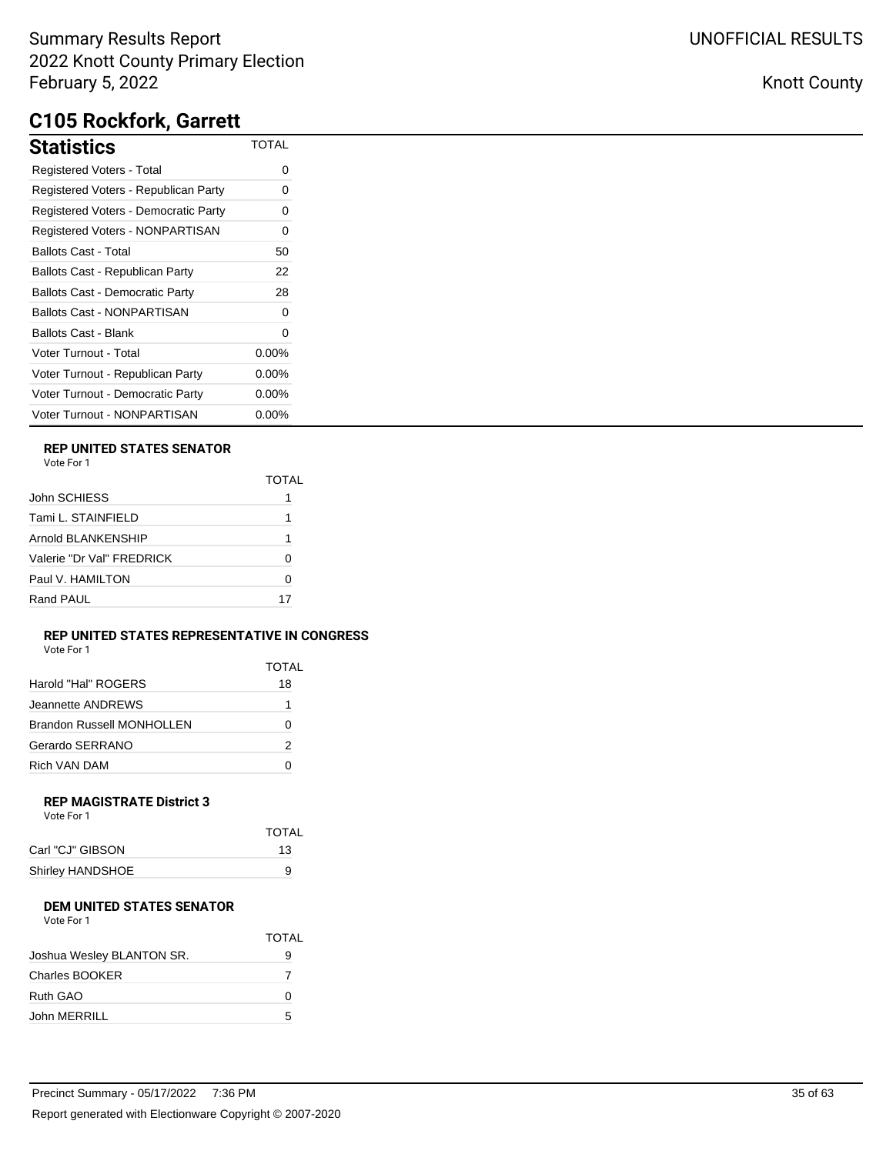# **C105 Rockfork, Garrett**

| <b>Statistics</b>                      | TOTAL    |
|----------------------------------------|----------|
| <b>Registered Voters - Total</b>       | 0        |
| Registered Voters - Republican Party   | Ω        |
| Registered Voters - Democratic Party   | ი        |
| Registered Voters - NONPARTISAN        | 0        |
| <b>Ballots Cast - Total</b>            | 50       |
| Ballots Cast - Republican Party        | 22       |
| <b>Ballots Cast - Democratic Party</b> | 28       |
| <b>Ballots Cast - NONPARTISAN</b>      | 0        |
| Ballots Cast - Blank                   | 0        |
| Voter Turnout - Total                  | $0.00\%$ |
| Voter Turnout - Republican Party       | $0.00\%$ |
| Voter Turnout - Democratic Party       | $0.00\%$ |
| Voter Turnout - NONPARTISAN            | $0.00\%$ |

## **REP UNITED STATES SENATOR**

| Vote For |  |
|----------|--|
|          |  |

| John SCHIESS              |    |
|---------------------------|----|
| Tami L. STAINFIELD        |    |
| Arnold BLANKENSHIP        |    |
| Valerie "Dr Val" FRFDRICK | O  |
| Paul V. HAMILTON          | O  |
| Rand PAUL                 | 17 |

#### **REP UNITED STATES REPRESENTATIVE IN CONGRESS** Vote For 1

| vuuttuu 1                        |       |
|----------------------------------|-------|
|                                  | TOTAL |
| Harold "Hal" ROGERS              | 18    |
| Jeannette ANDREWS                | 1     |
| <b>Brandon Russell MONHOLLEN</b> | 0     |
| Gerardo SERRANO                  | 2     |
| Rich VAN DAM                     |       |

#### **REP MAGISTRATE District 3** Vote For 1

| VULTE FUIL       |              |
|------------------|--------------|
|                  | <b>TOTAL</b> |
| Carl "CJ" GIBSON | 13           |
| Shirley HANDSHOE | 9            |
|                  |              |

#### **DEM UNITED STATES SENATOR** Vote For 1

| VULE FUI I                |       |
|---------------------------|-------|
|                           | TOTAL |
| Joshua Wesley BLANTON SR. | 9     |
| Charles BOOKER            |       |
| Ruth GAO                  | O     |
| John MERRILL              | 5     |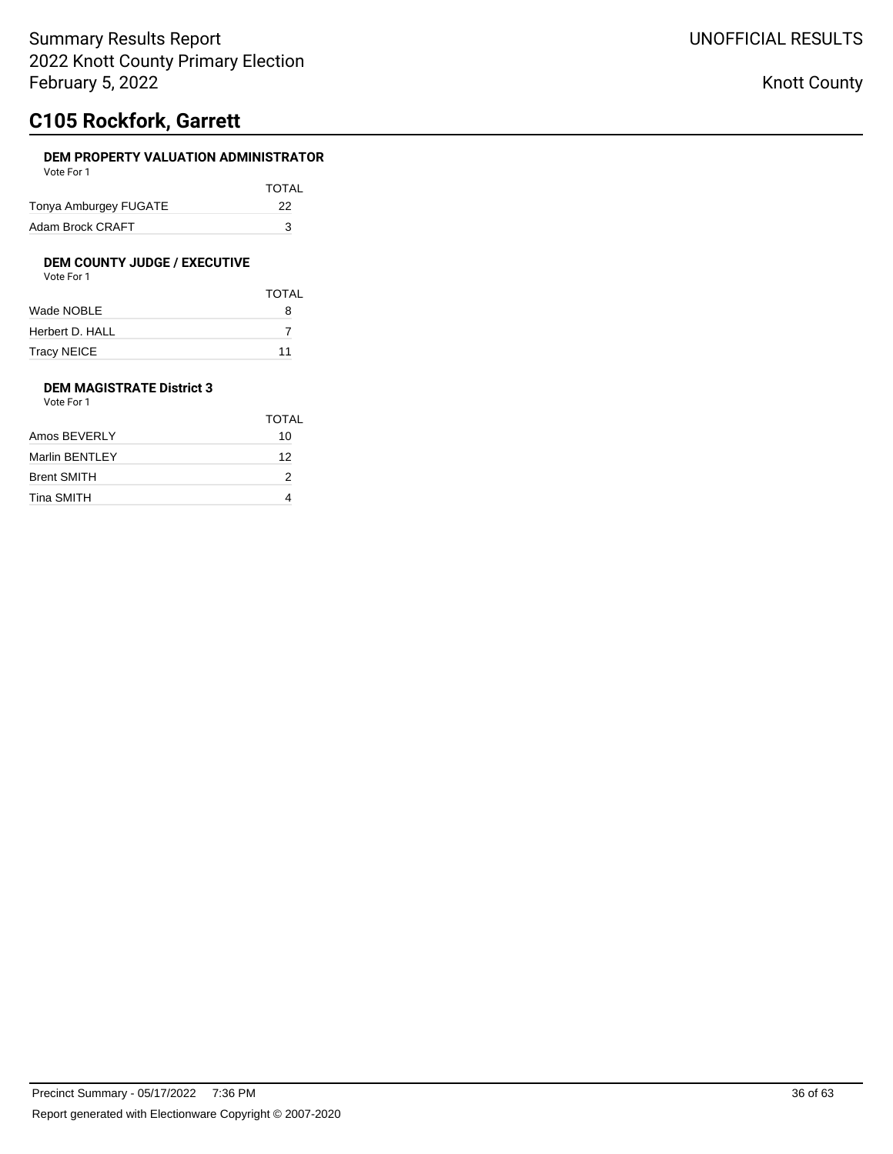# **C105 Rockfork, Garrett**

## **DEM PROPERTY VALUATION ADMINISTRATOR**

| Vote For 1            |       |
|-----------------------|-------|
|                       | TOTAL |
| Tonya Amburgey FUGATE | 22    |
| Adam Brock CRAFT      | З     |

# **DEM COUNTY JUDGE / EXECUTIVE**<br>Vote For 1

| Vote For 1 |  |  |
|------------|--|--|
|            |  |  |

|                 | <b>TOTAL</b> |
|-----------------|--------------|
| Wade NOBLE      | 8            |
| Herbert D. HALL |              |
| Tracy NEICE     | 11           |

### **DEM MAGISTRATE District 3** Vote For 1

| .                  |       |
|--------------------|-------|
|                    | TOTAL |
| Amos BEVERLY       | 10    |
| Marlin BENTLEY     | 12    |
| <b>Brent SMITH</b> | 2     |
| Tina SMITH         |       |
|                    |       |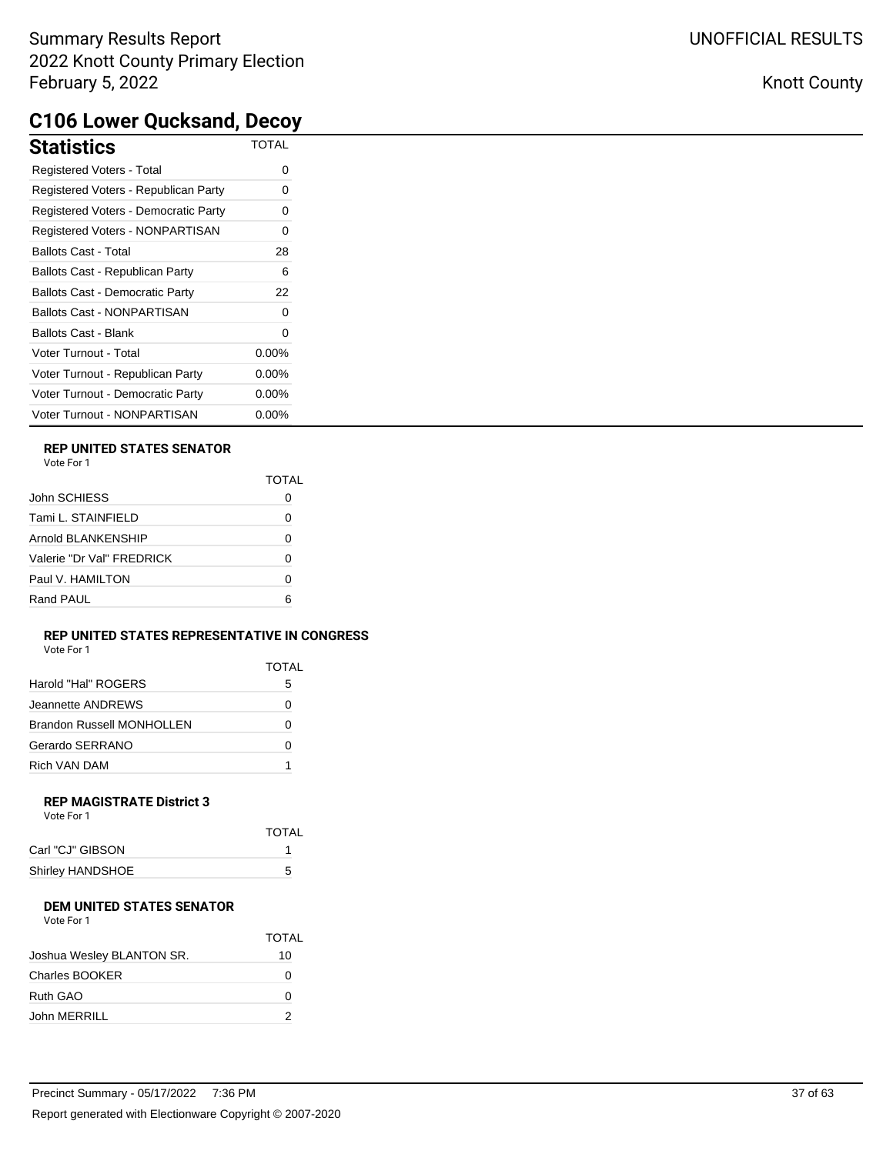## Knott County

# **C106 Lower Qucksand, Decoy**

| <b>Statistics</b>                      | <b>TOTAL</b> |
|----------------------------------------|--------------|
| Registered Voters - Total              | 0            |
| Registered Voters - Republican Party   | 0            |
| Registered Voters - Democratic Party   | 0            |
| Registered Voters - NONPARTISAN        | 0            |
| <b>Ballots Cast - Total</b>            | 28           |
| Ballots Cast - Republican Party        | 6            |
| <b>Ballots Cast - Democratic Party</b> | 22           |
| <b>Ballots Cast - NONPARTISAN</b>      | 0            |
| <b>Ballots Cast - Blank</b>            | 0            |
| Voter Turnout - Total                  | $0.00\%$     |
| Voter Turnout - Republican Party       | 0.00%        |
| Voter Turnout - Democratic Party       | $0.00\%$     |
| Voter Turnout - NONPARTISAN            | $0.00\%$     |

### **REP UNITED STATES SENATOR**

|                           | TOTAI |
|---------------------------|-------|
| John SCHIESS              |       |
| Tami L. STAINFIELD        | Ω     |
| Arnold BLANKENSHIP        | 0     |
| Valerie "Dr Val" FRFDRICK | 0     |
| Paul V. HAMILTON          | Ω     |
| Rand PAUL                 | ี     |
|                           |       |

### **REP UNITED STATES REPRESENTATIVE IN CONGRESS**

| Vote For 1 |  |
|------------|--|
|------------|--|

|                           | TOTAL |
|---------------------------|-------|
| Harold "Hal" ROGERS       | 5     |
| Jeannette ANDREWS         |       |
| Brandon Russell MONHOLLEN | Ω     |
| Gerardo SERRANO           | Ω     |
| Rich VAN DAM              |       |

#### **REP MAGISTRATE District 3** Vote For 1

| TOTAL |
|-------|
|       |
| 5     |
|       |

### **DEM UNITED STATES SENATOR**

|                           | <b>TOTAL</b> |
|---------------------------|--------------|
| Joshua Wesley BLANTON SR. | 10           |
| <b>Charles BOOKER</b>     | 0            |
| Ruth GAO                  | O            |
| John MERRILL              | 2            |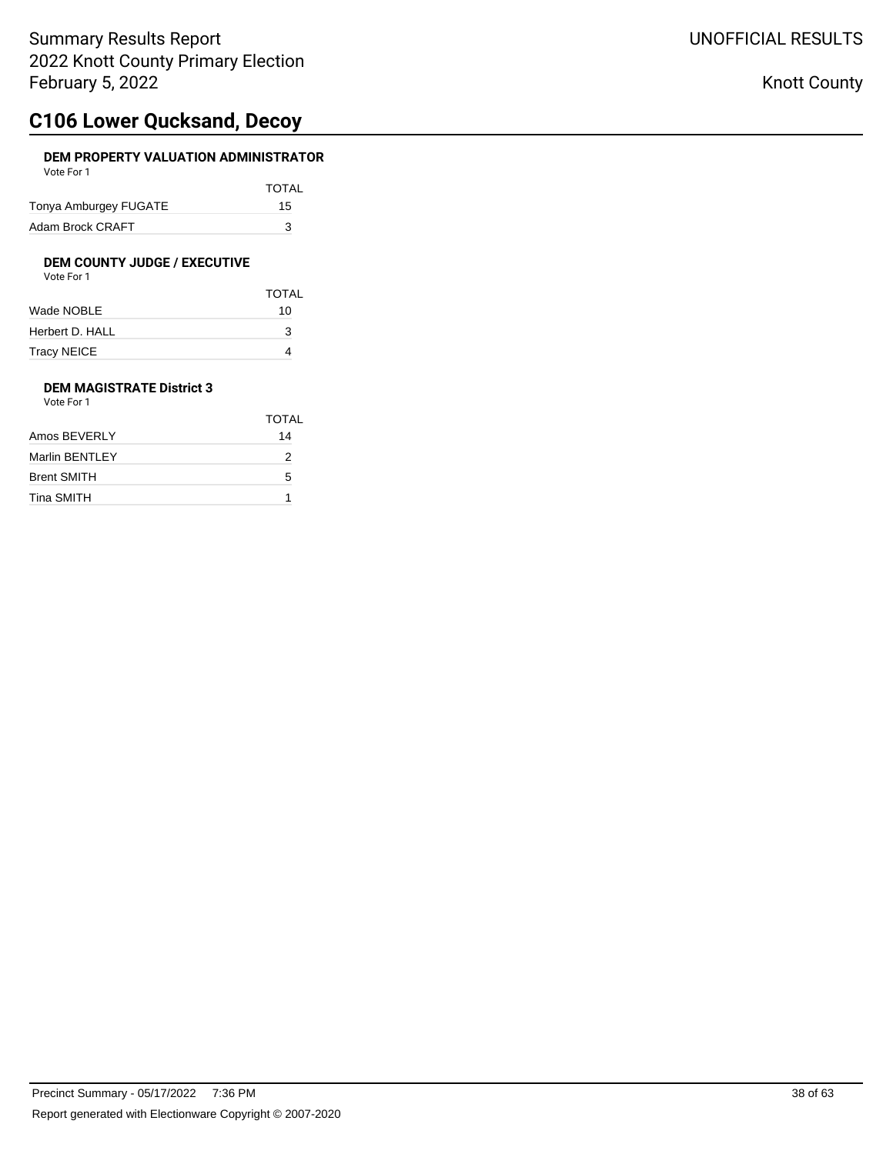# **C106 Lower Qucksand, Decoy**

### **DEM PROPERTY VALUATION ADMINISTRATOR** Vote For 1

| <b>VULLET UIL</b>     |              |
|-----------------------|--------------|
|                       | <b>TOTAL</b> |
| Tonya Amburgey FUGATE | 15           |
| Adam Brock CRAFT      | з            |

# **DEM COUNTY JUDGE / EXECUTIVE**<br>Vote For 1

| Vote For 1 |
|------------|
|------------|

|                 | <b>TOTAL</b> |
|-----------------|--------------|
| Wade NOBLE      | 10           |
| Herbert D. HALL | 3            |
| Tracy NEICE     |              |

### **DEM MAGISTRATE District 3** Vote For 1

|                    | TOTAL |
|--------------------|-------|
| Amos BEVERLY       | 14    |
| Marlin BENTLEY     | 2     |
| <b>Brent SMITH</b> | 5     |
| Tina SMITH         |       |
|                    |       |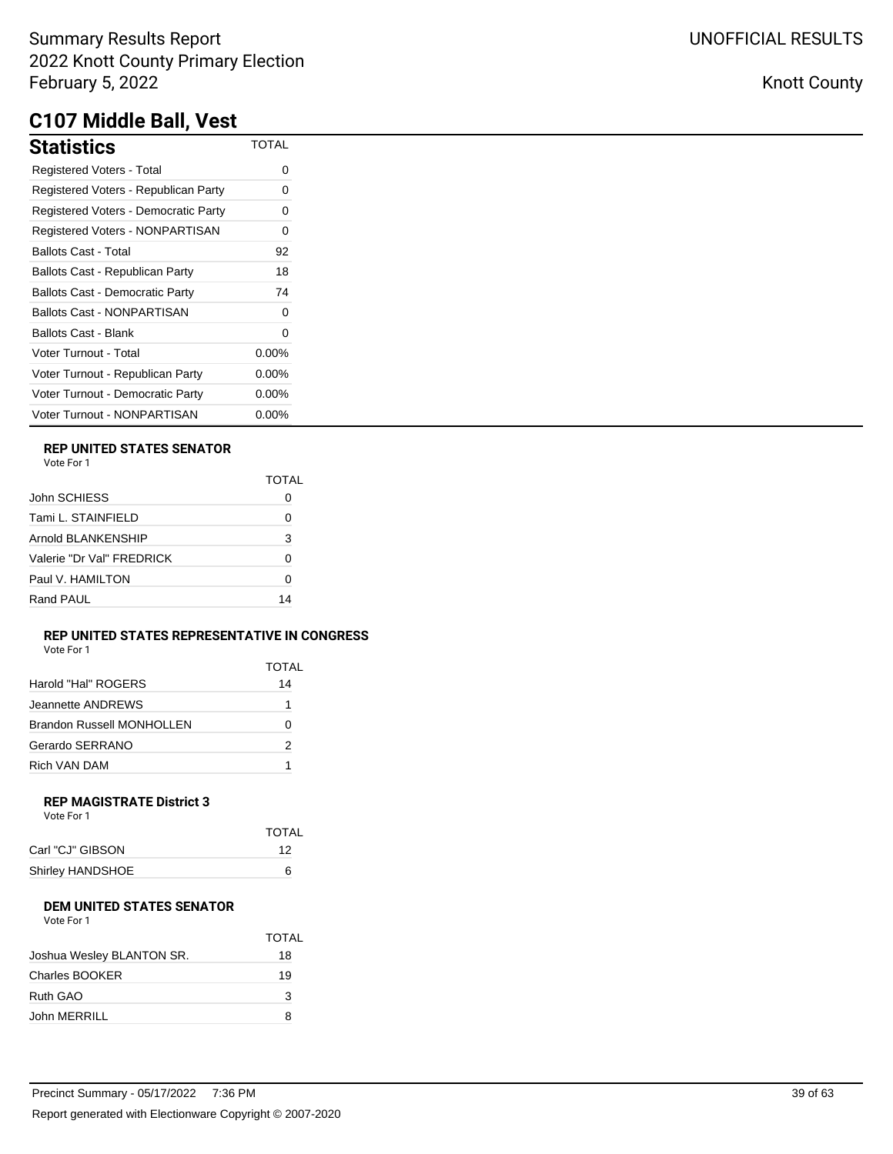# **C107 Middle Ball, Vest**

| <b>Statistics</b>                      | TOTAL    |
|----------------------------------------|----------|
| Registered Voters - Total              | ი        |
| Registered Voters - Republican Party   | 0        |
| Registered Voters - Democratic Party   | Ω        |
| Registered Voters - NONPARTISAN        | 0        |
| <b>Ballots Cast - Total</b>            | 92       |
| Ballots Cast - Republican Party        | 18       |
| <b>Ballots Cast - Democratic Party</b> | 74       |
| Ballots Cast - NONPARTISAN             | 0        |
| Ballots Cast - Blank                   | 0        |
| Voter Turnout - Total                  | $0.00\%$ |
| Voter Turnout - Republican Party       | $0.00\%$ |
| Voter Turnout - Democratic Party       | $0.00\%$ |
| Voter Turnout - NONPARTISAN            | 0.00%    |

## **REP UNITED STATES SENATOR**

|                           | TOTAI |
|---------------------------|-------|
| John SCHIESS              |       |
| Tami L. STAINFIELD        | 0     |
| Arnold BLANKENSHIP        | 3     |
| Valerie "Dr Val" FRFDRICK | ŋ     |
| Paul V. HAMILTON          | ŋ     |
| Rand PAUL                 | 14    |

#### **REP UNITED STATES REPRESENTATIVE IN CONGRESS** Vote For 1

| VUIP FUI I                |       |
|---------------------------|-------|
|                           | TOTAL |
| Harold "Hal" ROGERS       | 14    |
| Jeannette ANDREWS         | 1     |
| Brandon Russell MONHOLLEN |       |
| Gerardo SERRANO           | 2     |
| Rich VAN DAM              |       |

### **REP MAGISTRATE District 3**

| Vote For 1       |              |
|------------------|--------------|
|                  | <b>TOTAL</b> |
| Carl "CJ" GIBSON | 12           |
| Shirley HANDSHOE | ิค           |

## **DEM UNITED STATES SENATOR**

| Vote For 1 |  |
|------------|--|
|            |  |

|                           | <b>TOTAL</b> |
|---------------------------|--------------|
| Joshua Wesley BLANTON SR. | 18           |
| Charles BOOKER            | 19           |
| Ruth GAO                  | 3            |
| John MERRILL              | 8            |

| olalıslıcs                             | .        |
|----------------------------------------|----------|
| Registered Voters - Total              | 0        |
| Registered Voters - Republican Party   | 0        |
| Registered Voters - Democratic Party   | 0        |
| Registered Voters - NONPARTISAN        | 0        |
| <b>Ballots Cast - Total</b>            | 92       |
| Ballots Cast - Republican Party        | 18       |
| <b>Ballots Cast - Democratic Party</b> | 74       |
| <b>Ballots Cast - NONPARTISAN</b>      |          |
| <b>Ballots Cast - Blank</b>            |          |
| Voter Turnout - Total                  | $0.00\%$ |
| Voter Turnout - Republican Party       | $0.00\%$ |
| Voter Turnout - Democratic Party       | $0.00\%$ |
|                                        |          |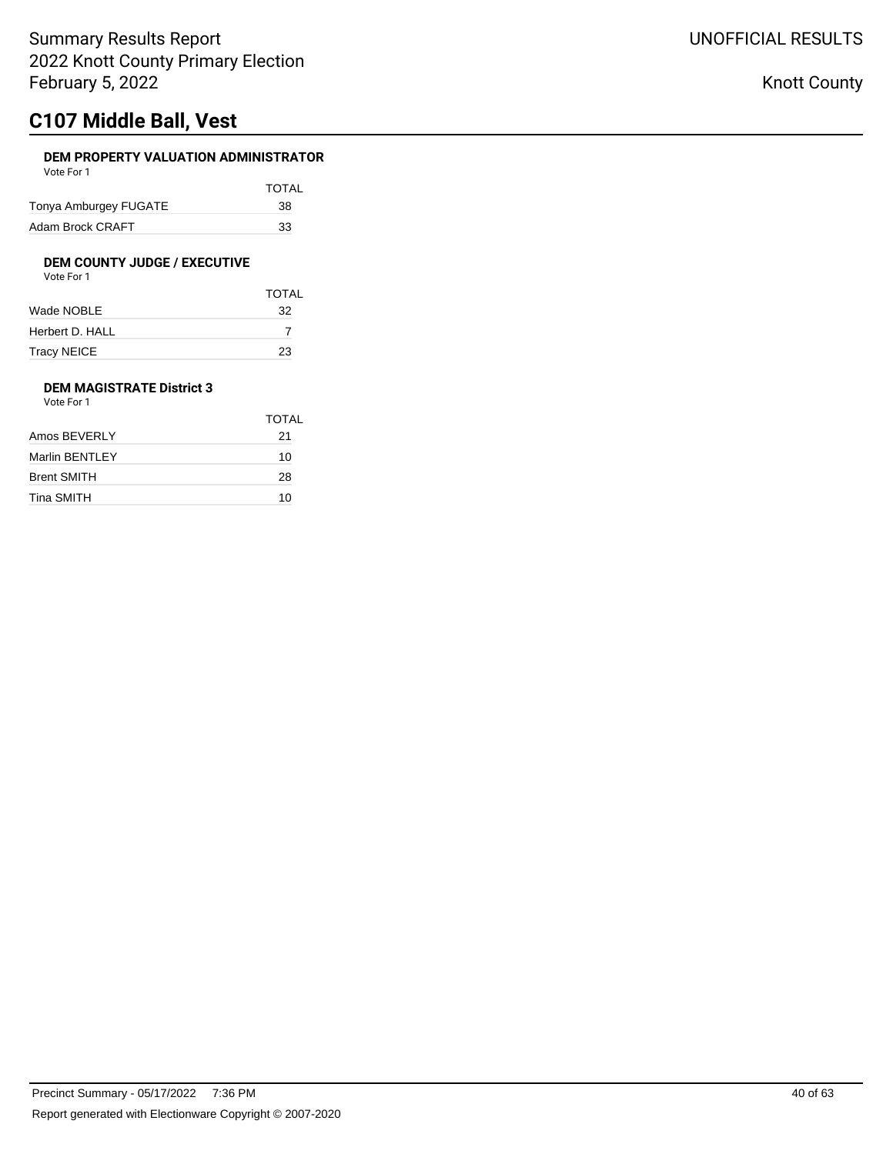# **C107 Middle Ball, Vest**

## **DEM PROPERTY VALUATION ADMINISTRATOR**

| Vote For 1            |       |
|-----------------------|-------|
|                       | TOTAL |
| Tonya Amburgey FUGATE | 38    |
| Adam Brock CRAFT      | 33    |

## **DEM COUNTY JUDGE / EXECUTIVE**

| Vote For 1 |  |
|------------|--|
|            |  |

|                 | <b>TOTAL</b> |
|-----------------|--------------|
| Wade NOBLE      | 32           |
| Herbert D. HALL |              |
| Tracy NEICE     | 23           |

### **DEM MAGISTRATE District 3** Vote For 1

|                    | TOTAL |
|--------------------|-------|
| Amos BEVERLY       | 21    |
| Marlin BENTLEY     | 10    |
| <b>Brent SMITH</b> | 28    |
| Tina SMITH         | 10    |
|                    |       |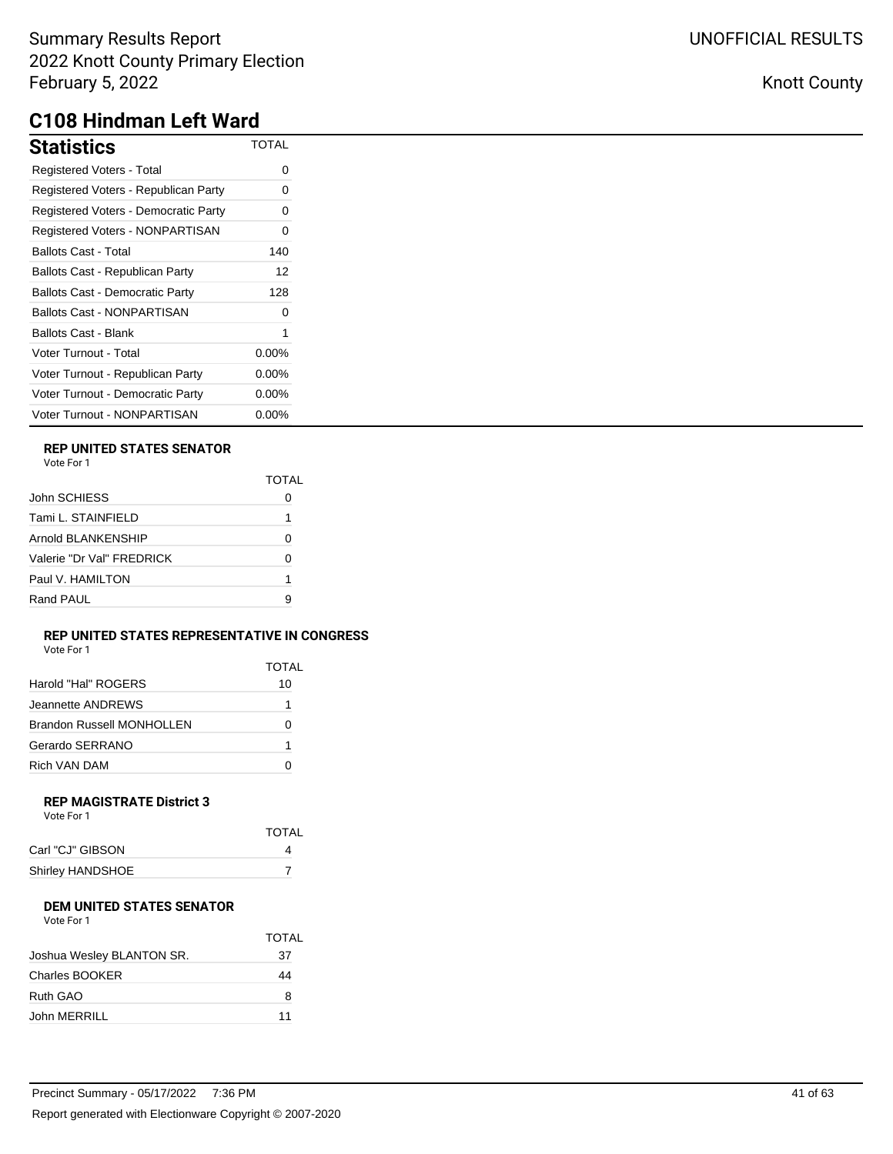| Statistics                             | <b>TOTAL</b> |
|----------------------------------------|--------------|
| <b>Registered Voters - Total</b>       | Ω            |
| Registered Voters - Republican Party   | 0            |
| Registered Voters - Democratic Party   | 0            |
| Registered Voters - NONPARTISAN        | 0            |
| Ballots Cast - Total                   | 140          |
| Ballots Cast - Republican Party        | 12           |
| <b>Ballots Cast - Democratic Party</b> | 128          |
| Ballots Cast - NONPARTISAN             | 0            |
| Ballots Cast - Blank                   | 1            |
| Voter Turnout - Total                  | $0.00\%$     |
| Voter Turnout - Republican Party       | $0.00\%$     |
| Voter Turnout - Democratic Party       | $0.00\%$     |
| Voter Turnout - NONPARTISAN            | $0.00\%$     |

## **REP UNITED STATES SENATOR**

| TOTAL |
|-------|
|       |
|       |
|       |
| ŋ     |
| 1     |
| я     |
|       |

#### **REP UNITED STATES REPRESENTATIVE IN CONGRESS** Vote For 1

| TOTAL |
|-------|
| 10    |
|       |
|       |
| 1     |
|       |
|       |

#### **REP MAGISTRATE District 3** Vote For 1

| <b>TOTAL</b> |
|--------------|
|              |
|              |
|              |

#### **DEM UNITED STATES SENATOR**  $V$ oto Fo

| VOTE FOL L                |              |
|---------------------------|--------------|
|                           | <b>TOTAL</b> |
| Joshua Wesley BLANTON SR. | 37           |
| <b>Charles BOOKER</b>     | 44           |
| Ruth GAO                  | 8            |
| John MERRILL              | 11           |
|                           |              |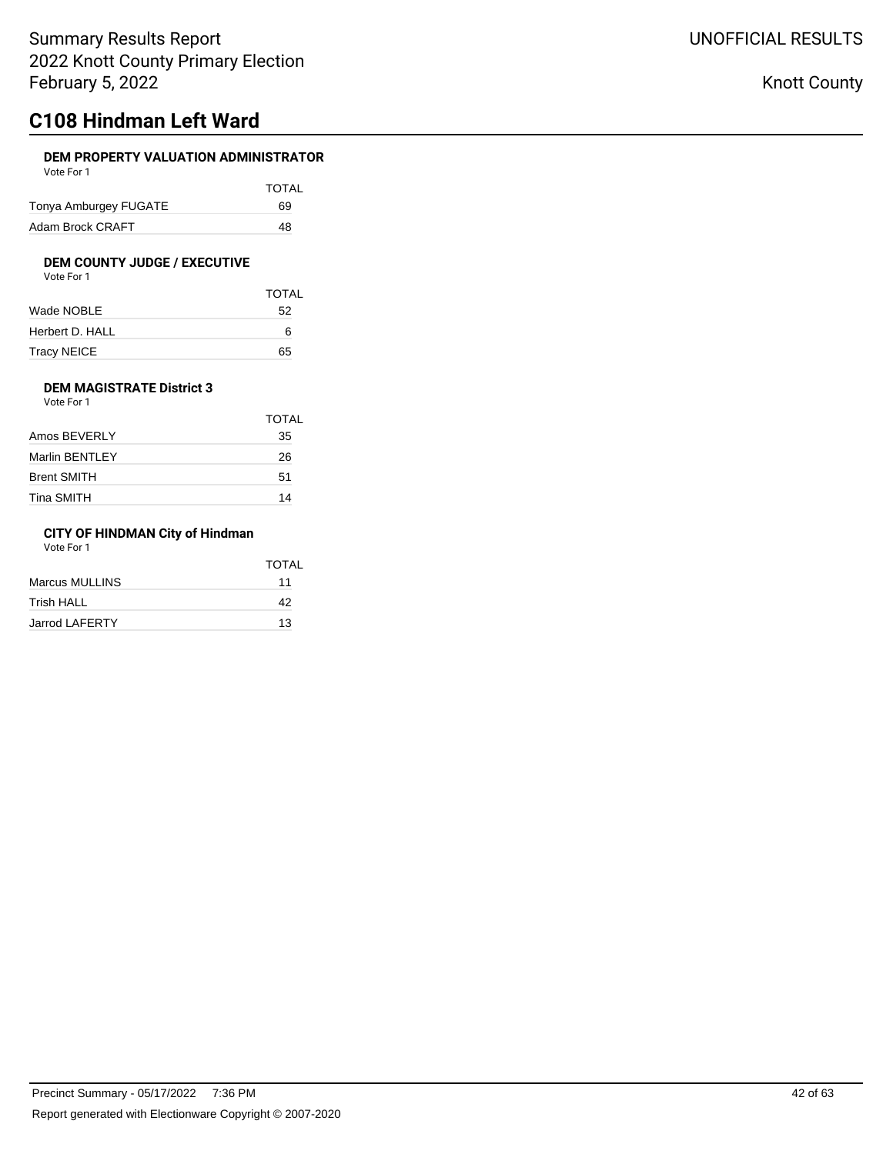# **C108 Hindman Left Ward**

## **DEM PROPERTY VALUATION ADMINISTRATOR**

| Vote For 1            |       |
|-----------------------|-------|
|                       | TOTAL |
| Tonya Amburgey FUGATE | 69    |
| Adam Brock CRAFT      | 48    |

# **DEM COUNTY JUDGE / EXECUTIVE**<br>Vote For 1

| Vote For 1 |  |  |
|------------|--|--|
|            |  |  |

|                 | <b>TOTAL</b> |
|-----------------|--------------|
| Wade NOBLE      | 52           |
| Herbert D. HALL | 6            |
| Tracy NEICE     | 65           |

### **DEM MAGISTRATE District 3** Vote For 1

|                    | TOTAL |
|--------------------|-------|
| Amos BEVERLY       | 35    |
| Marlin BENTLEY     | 26    |
| <b>Brent SMITH</b> | 51    |
| Tina SMITH         | 14    |
|                    |       |

## **CITY OF HINDMAN City of Hindman**

Vote For 1

|                       | TOTAL |
|-----------------------|-------|
| Marcus MULLINS        | 11    |
| Trish HALL            | 42    |
| <b>Jarrod LAFERTY</b> | 13    |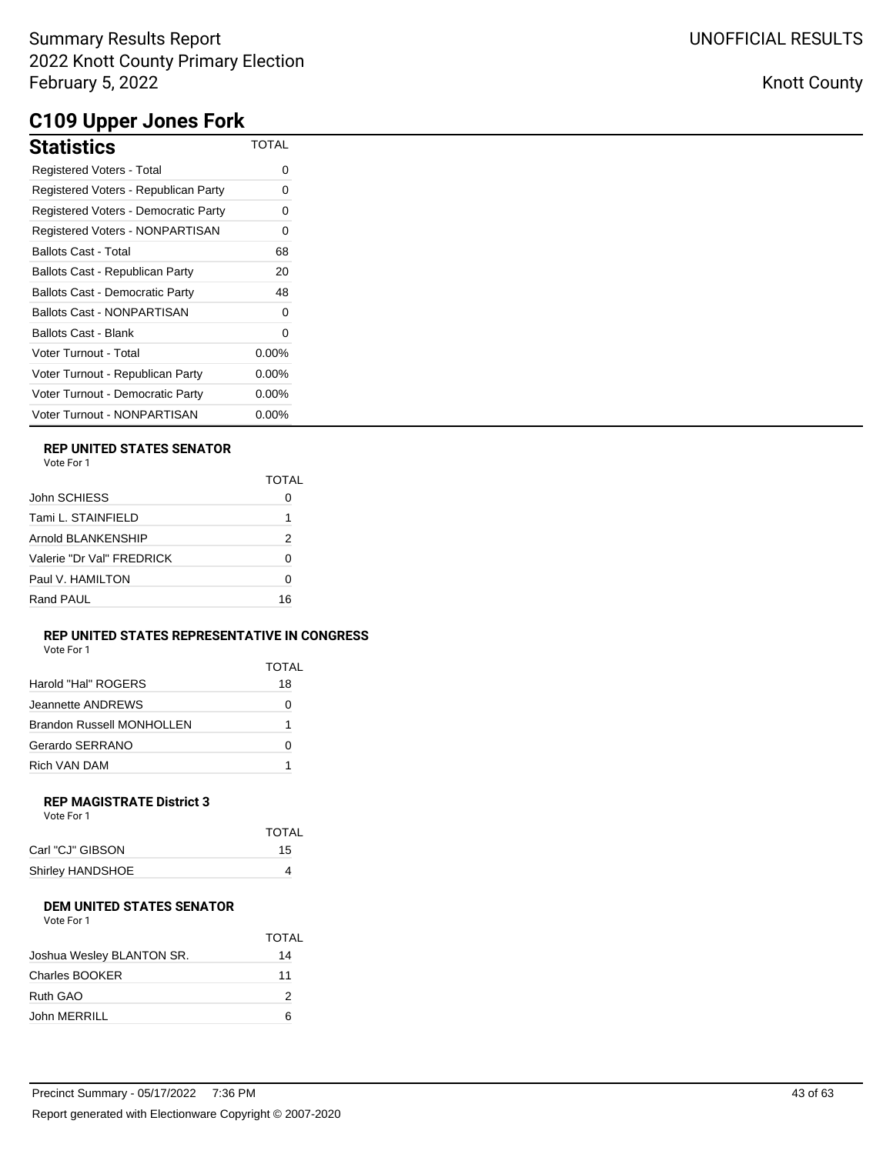# **C109 Upper Jones Fork**

| <b>Statistics</b>                      | <b>TOTAL</b> |
|----------------------------------------|--------------|
| <b>Registered Voters - Total</b>       | 0            |
| Registered Voters - Republican Party   | Ω            |
| Registered Voters - Democratic Party   | ი            |
| <b>Registered Voters - NONPARTISAN</b> | 0            |
| <b>Ballots Cast - Total</b>            | 68           |
| Ballots Cast - Republican Party        | 20           |
| <b>Ballots Cast - Democratic Party</b> | 48           |
| <b>Ballots Cast - NONPARTISAN</b>      | 0            |
| Ballots Cast - Blank                   | 0            |
| Voter Turnout - Total                  | $0.00\%$     |
| Voter Turnout - Republican Party       | $0.00\%$     |
| Voter Turnout - Democratic Party       | $0.00\%$     |
| Voter Turnout - NONPARTISAN            | $0.00\%$     |

## **REP UNITED STATES SENATOR**

|                           | TOTAL |
|---------------------------|-------|
| John SCHIESS              |       |
| Tami L. STAINFIELD        |       |
| Arnold BLANKENSHIP        | 2     |
| Valerie "Dr Val" FRFDRICK | 0     |
| Paul V. HAMILTON          | O     |
| Rand PAUL                 | 16    |

#### **REP UNITED STATES REPRESENTATIVE IN CONGRESS** Vote For 1

| VUIP FUI I                       |       |
|----------------------------------|-------|
|                                  | TOTAL |
| Harold "Hal" ROGERS              | 18    |
| Jeannette ANDREWS                |       |
| <b>Brandon Russell MONHOLLEN</b> | 1     |
| Gerardo SERRANO                  |       |
| Rich VAN DAM                     |       |

#### **REP MAGISTRATE District 3** Vote For 1

| <b>TOTAL</b> |
|--------------|
| 15           |
| 4            |
|              |

#### **DEM UNITED STATES SENATOR** Vote For 1

| VULE FUI I                |       |
|---------------------------|-------|
|                           | TOTAL |
| Joshua Wesley BLANTON SR. | 14    |
| <b>Charles BOOKER</b>     | 11    |
| Ruth GAO                  | 2     |
| John MERRILL              | ี     |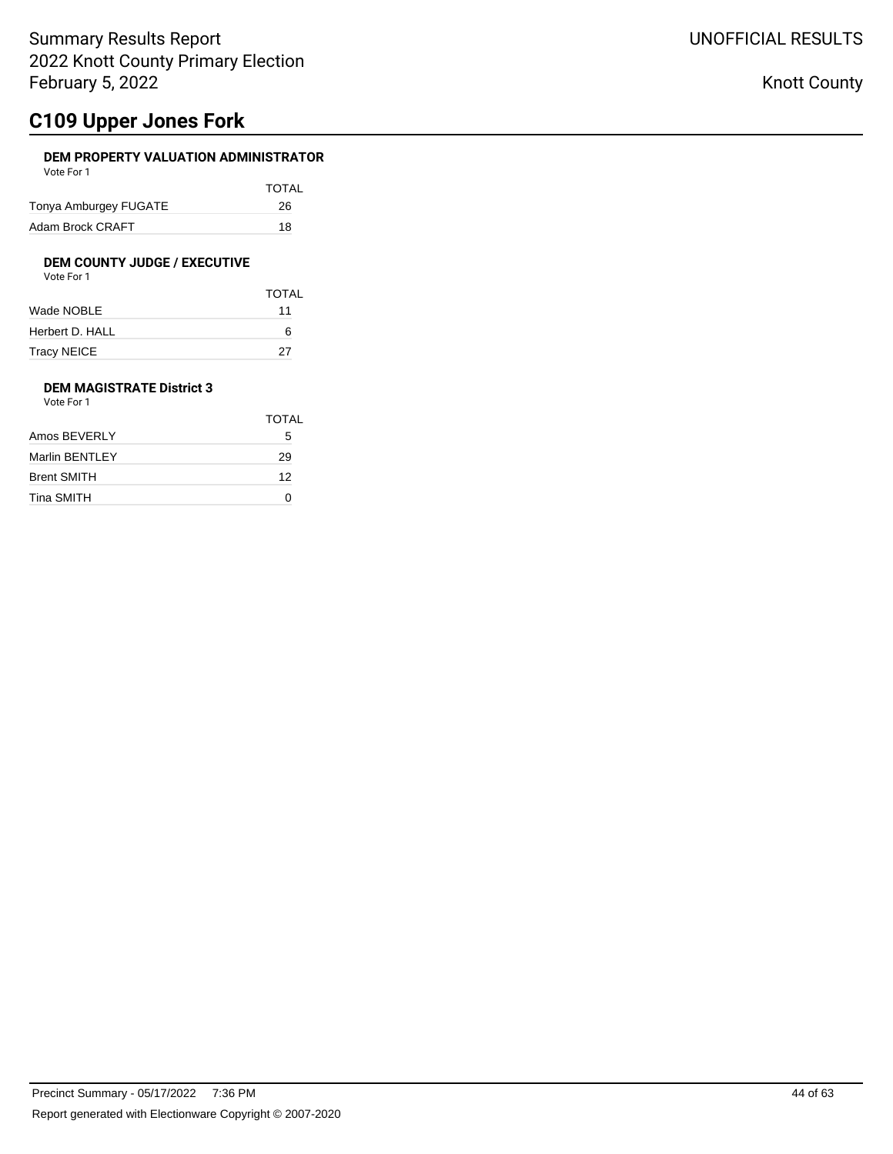# **C109 Upper Jones Fork**

## **DEM PROPERTY VALUATION ADMINISTRATOR**

| Vote For 1            |       |
|-----------------------|-------|
|                       | TOTAL |
| Tonya Amburgey FUGATE | 26    |
| Adam Brock CRAFT      | 18    |

## **DEM COUNTY JUDGE / EXECUTIVE**

| Vote For 1 |  |
|------------|--|
|            |  |

|                 | <b>TOTAL</b> |
|-----------------|--------------|
| Wade NOBLE      | 11           |
| Herbert D. HALL | 6            |
| Tracy NEICE     | 27           |

### **DEM MAGISTRATE District 3** Vote For 1

| <b>VULLET UIL</b>  |       |
|--------------------|-------|
|                    | TOTAL |
| Amos BEVERLY       | 5     |
| Marlin BENTLEY     | 29    |
| <b>Brent SMITH</b> | 12    |
| Tina SMITH         |       |
|                    |       |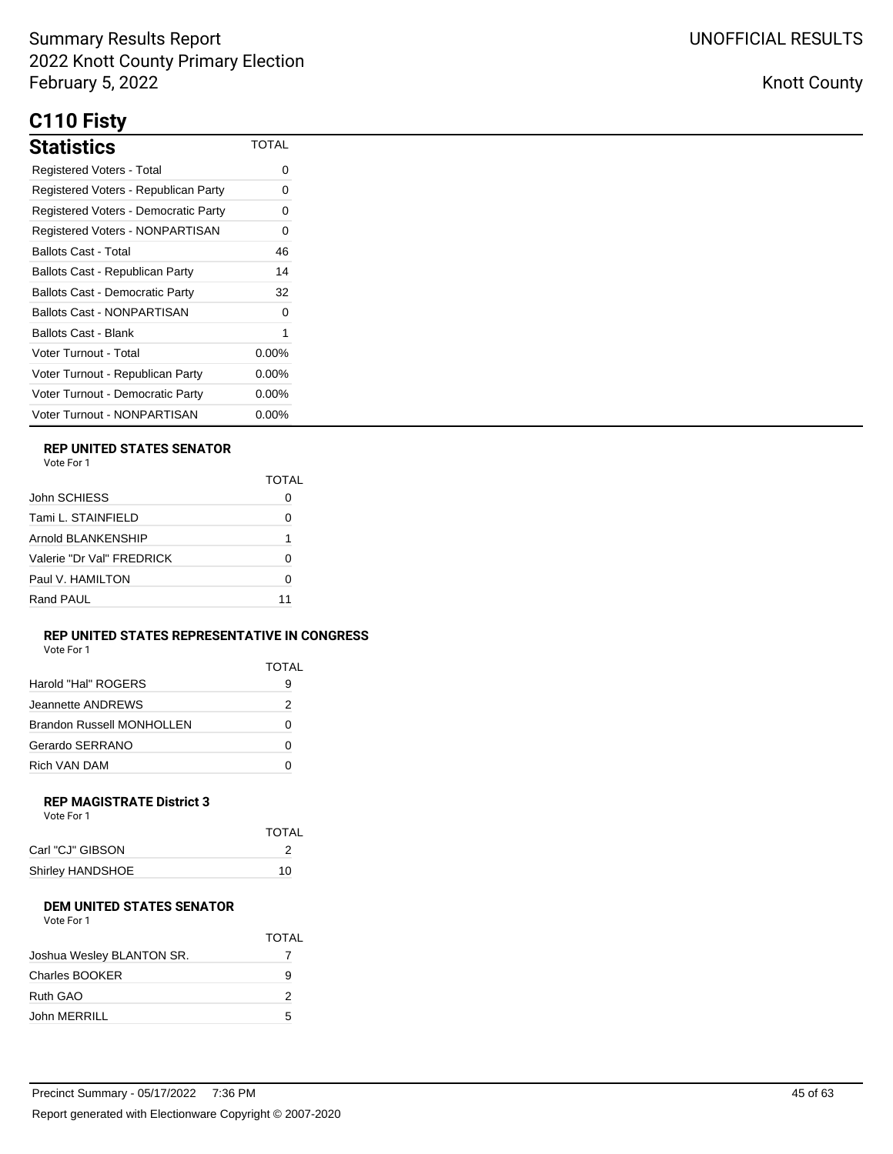# **C110 Fisty**

| <b>Statistics</b>                      | <b>TOTAL</b> |
|----------------------------------------|--------------|
| <b>Registered Voters - Total</b>       | 0            |
| Registered Voters - Republican Party   | 0            |
| Registered Voters - Democratic Party   | 0            |
| Registered Voters - NONPARTISAN        | 0            |
| Ballots Cast - Total                   | 46           |
| Ballots Cast - Republican Party        | 14           |
| <b>Ballots Cast - Democratic Party</b> | 32           |
| Ballots Cast - NONPARTISAN             | ∩            |
| Ballots Cast - Blank                   | 1            |
| Voter Turnout - Total                  | $0.00\%$     |
| Voter Turnout - Republican Party       | $0.00\%$     |
| Voter Turnout - Democratic Party       | $0.00\%$     |
| Voter Turnout - NONPARTISAN            | $0.00\%$     |

## **REP UNITED STATES SENATOR**

|                           | TOTAI |
|---------------------------|-------|
| John SCHIESS              |       |
| Tami L. STAINFIELD        | O     |
| Arnold BLANKENSHIP        | 1     |
| Valerie "Dr Val" FREDRICK | ŋ     |
| Paul V. HAMII TON         | O     |
| Rand PAUL                 | 11    |

### **REP UNITED STATES REPRESENTATIVE IN CONGRESS**

| Vote For 1                |       |  |
|---------------------------|-------|--|
|                           | TOTAL |  |
| Harold "Hal" ROGERS       | 9     |  |
| Jeannette ANDREWS         | 2     |  |
| Brandon Russell MONHOLLEN | 0     |  |
| Gerardo SERRANO           | O     |  |
| Rich VAN DAM              |       |  |

#### **REP MAGISTRATE District 3** Vote For 1

| <b>TOTAL</b> |  |
|--------------|--|
|              |  |
| 10           |  |
|              |  |

## **DEM UNITED STATES SENATOR**

| Vote For 1                |              |
|---------------------------|--------------|
|                           | <b>TOTAL</b> |
| Joshua Wesley BLANTON SR. |              |
| Charles BOOKER            | 9            |
| Ruth GAO                  | 2            |
| John MERRILL              | 5            |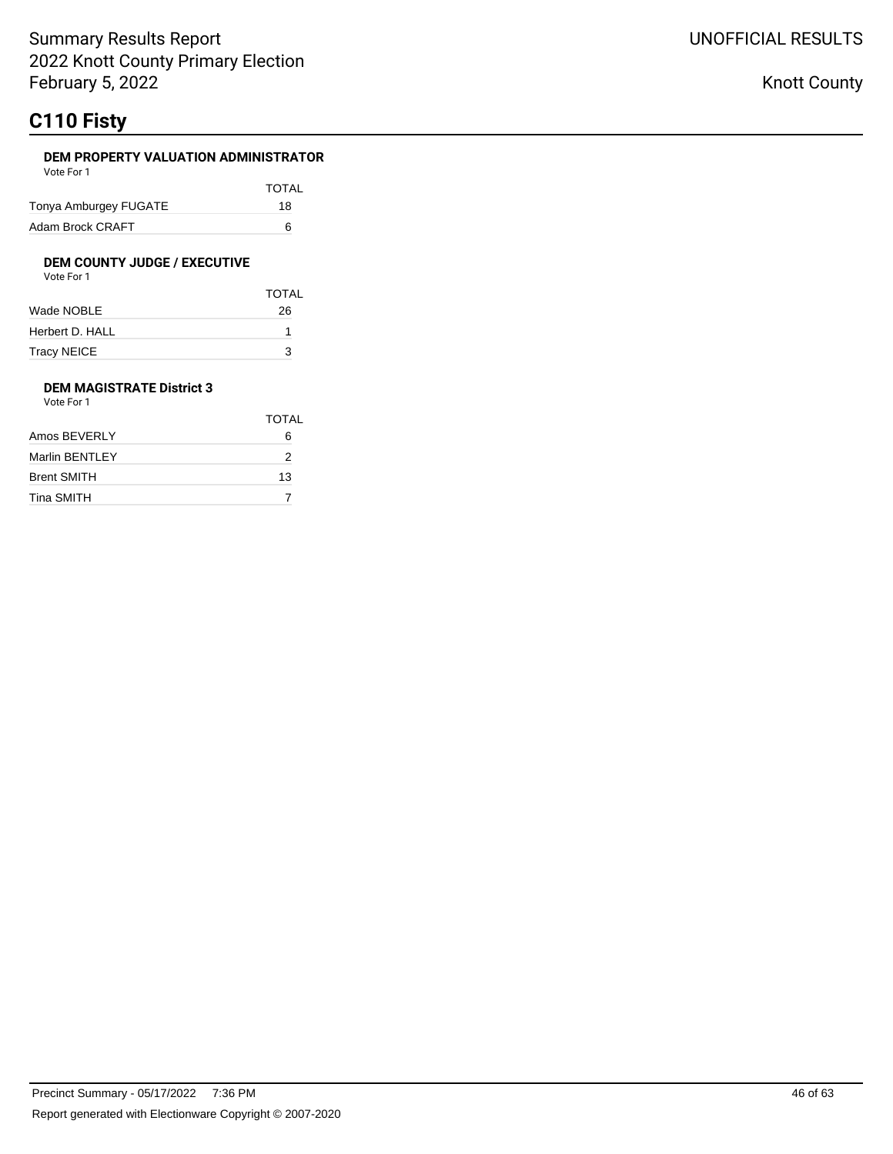# **C110 Fisty**

### **DEM PROPERTY VALUATION ADMINISTRATOR**

| Vote For 1            |       |
|-----------------------|-------|
|                       | TOTAL |
| Tonya Amburgey FUGATE | 18    |
| Adam Brock CRAFT      | ิค    |

### **DEM COUNTY JUDGE / EXECUTIVE**

| Vote For 1         |              |
|--------------------|--------------|
|                    | <b>TOTAL</b> |
| Wade NOBLE         | 26           |
| Herbert D. HALL    |              |
| <b>Tracy NEICE</b> |              |

### **DEM MAGISTRATE District 3** Vote For 1

|                    | TOTAL |
|--------------------|-------|
| Amos BEVERLY       | 6     |
| Marlin BENTLEY     | 2     |
| <b>Brent SMITH</b> | 13    |
| Tina SMITH         |       |
|                    |       |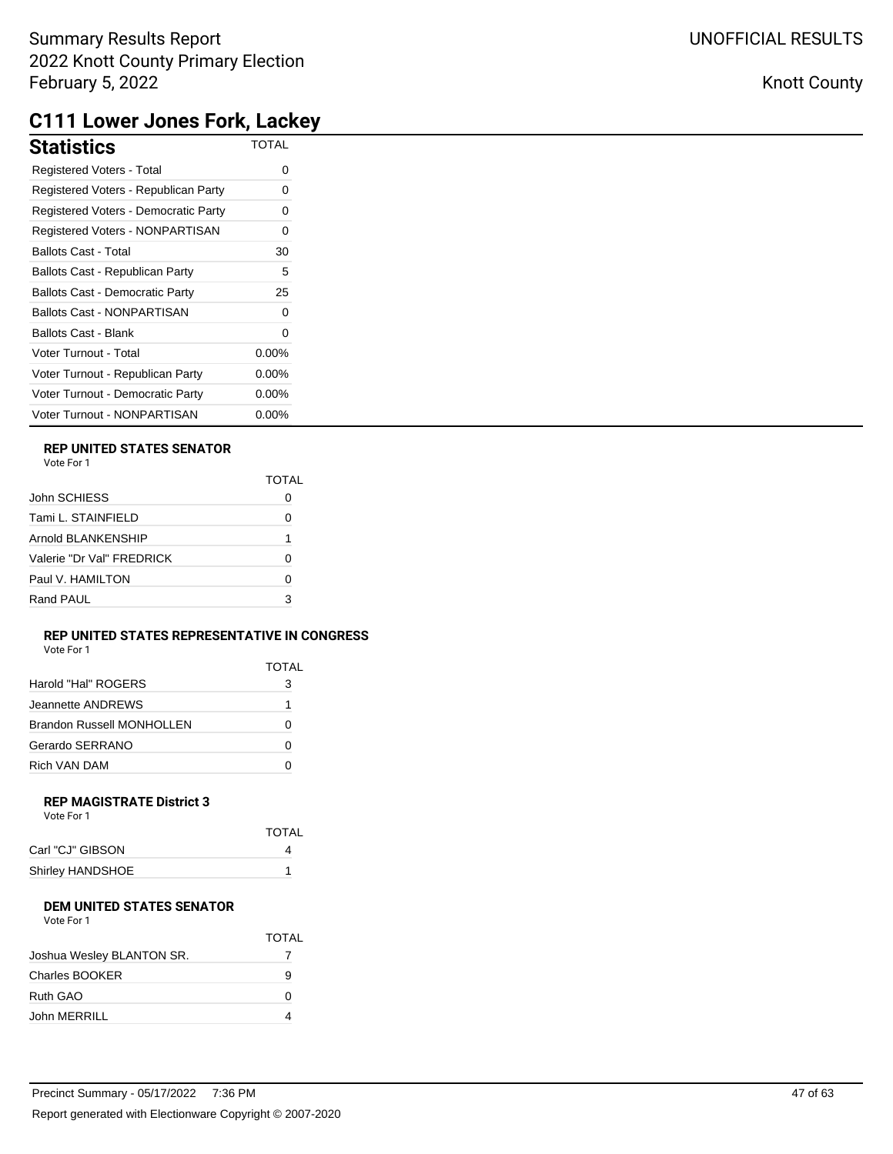# **C111 Lower Jones Fork, Lackey**

| <b>Statistics</b>                      | <b>TOTAL</b> |
|----------------------------------------|--------------|
| Registered Voters - Total              | 0            |
| Registered Voters - Republican Party   | 0            |
| Registered Voters - Democratic Party   | 0            |
| Registered Voters - NONPARTISAN        | 0            |
| <b>Ballots Cast - Total</b>            | 30           |
| Ballots Cast - Republican Party        | 5            |
| <b>Ballots Cast - Democratic Party</b> | 25           |
| <b>Ballots Cast - NONPARTISAN</b>      | 0            |
| <b>Ballots Cast - Blank</b>            | 0            |
| Voter Turnout - Total                  | $0.00\%$     |
| Voter Turnout - Republican Party       | $0.00\%$     |
| Voter Turnout - Democratic Party       | $0.00\%$     |
| Voter Turnout - NONPARTISAN            | $0.00\%$     |

### **REP UNITED STATES SENATOR**

| Vote For |  |
|----------|--|
|          |  |

| TOTAI |
|-------|
|       |
| Ω     |
| 1     |
| O     |
| Ω     |
| з     |
|       |

### **REP UNITED STATES REPRESENTATIVE IN CONGRESS**

| Vote For 1 |  |  |
|------------|--|--|
|            |  |  |

|                           | TOTAI        |
|---------------------------|--------------|
| Harold "Hal" ROGERS       | З            |
| Jeannette ANDREWS         |              |
| Brandon Russell MONHOLLEN | $\mathbf{0}$ |
| Gerardo SERRANO           |              |
| Rich VAN DAM              |              |

#### **REP MAGISTRATE District 3** Vote For 1

| <b>TOTAL</b> |  |
|--------------|--|
|              |  |
|              |  |
|              |  |

### **DEM UNITED STATES SENATOR**

| Vote For 1 |  |
|------------|--|
|------------|--|

|                           | <b>TOTAL</b> |
|---------------------------|--------------|
| Joshua Wesley BLANTON SR. |              |
| <b>Charles BOOKER</b>     | 9            |
| Ruth GAO                  | Ω            |
| John MERRILL              |              |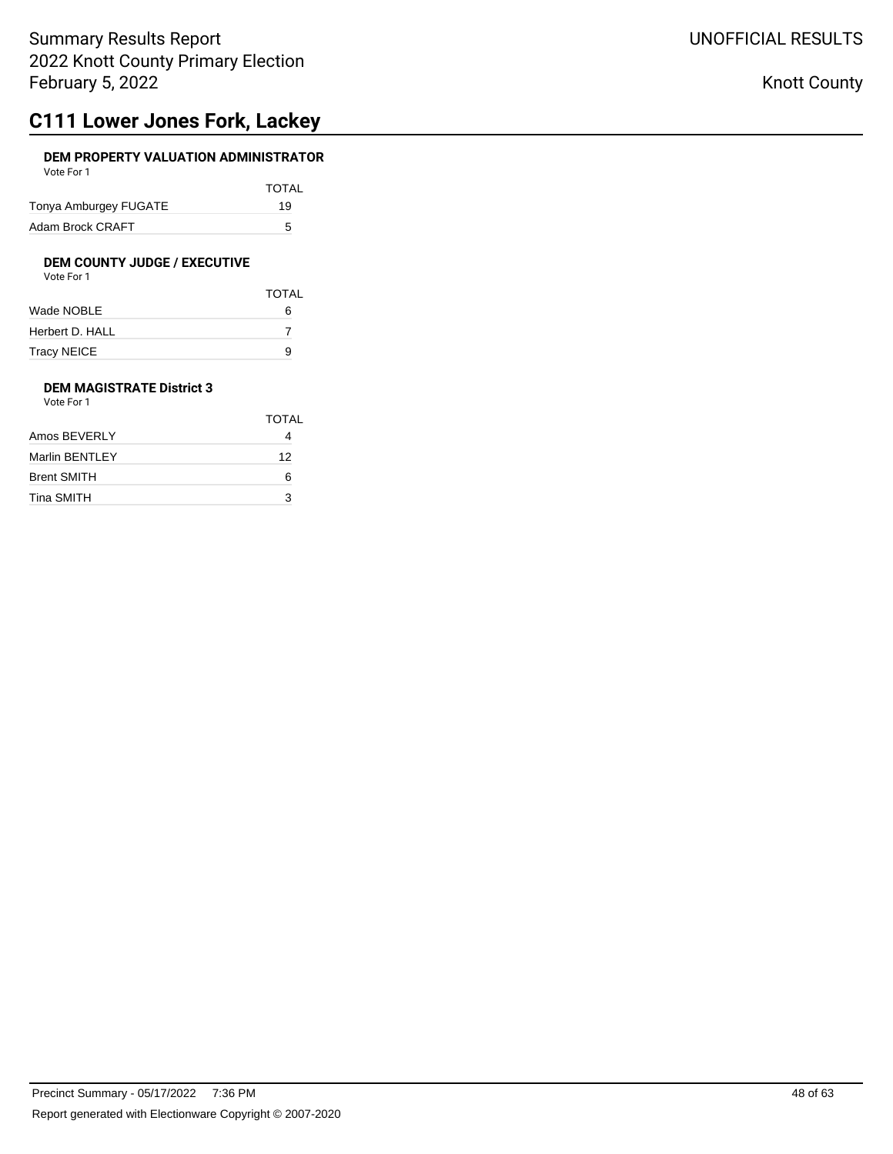## **C111 Lower Jones Fork, Lackey**

### **DEM PROPERTY VALUATION ADMINISTRATOR** Vote For 1

| <b>VULLET UIL</b>     |              |
|-----------------------|--------------|
|                       | <b>TOTAL</b> |
| Tonya Amburgey FUGATE | 19           |
| Adam Brock CRAFT      | 5            |

# **DEM COUNTY JUDGE / EXECUTIVE**<br>Vote For 1

| Vote For 1 |  |
|------------|--|
|            |  |

|                 | <b>TOTAL</b> |
|-----------------|--------------|
| Wade NOBLE      | 6            |
| Herbert D. HALL |              |
| Tracy NEICE     | 9            |

### **DEM MAGISTRATE District 3** Vote For 1

|                    | TOTAL |
|--------------------|-------|
| Amos BEVERLY       |       |
| Marlin BENTLEY     | 12    |
| <b>Brent SMITH</b> | 6     |
| Tina SMITH         | 3     |
|                    |       |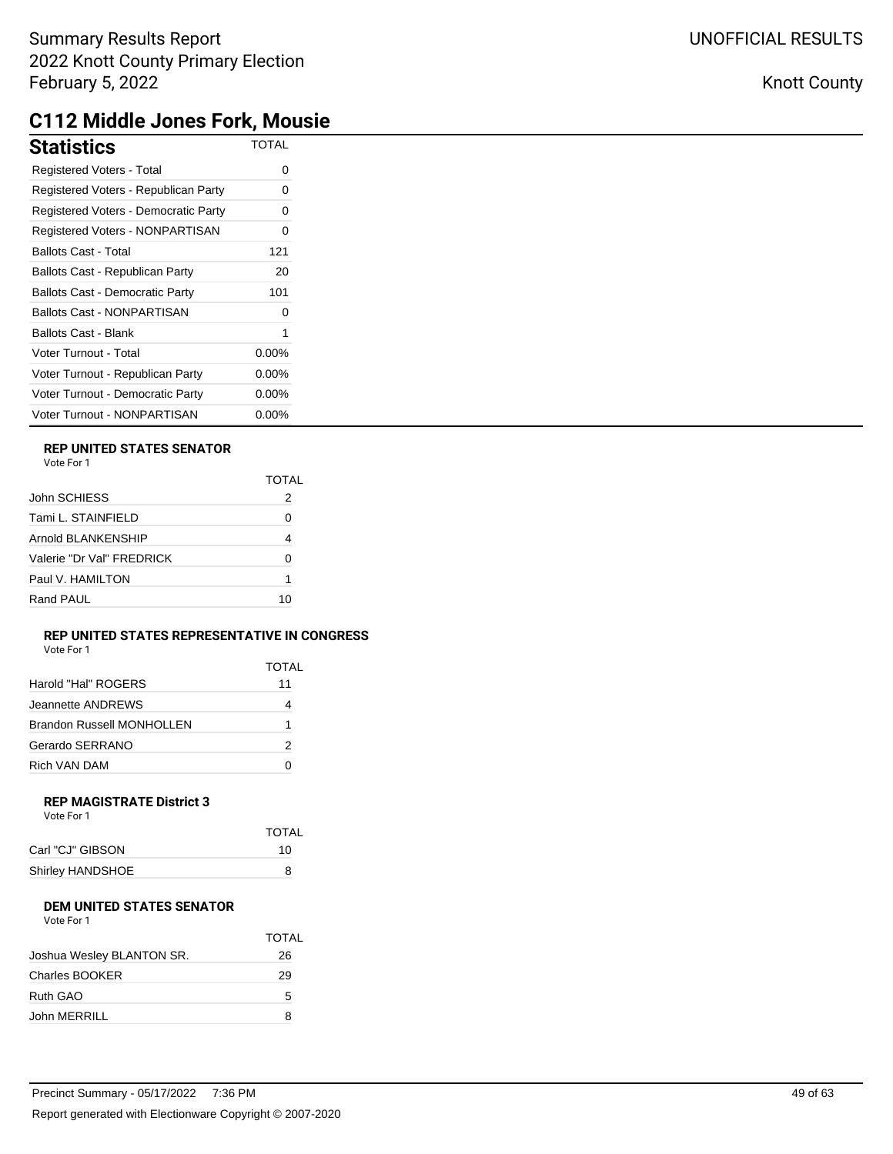# **C112 Middle Jones Fork, Mousie**

| <b>Statistics</b>                      | <b>TOTAL</b> |
|----------------------------------------|--------------|
| Registered Voters - Total              | 0            |
| Registered Voters - Republican Party   | 0            |
| Registered Voters - Democratic Party   | 0            |
| Registered Voters - NONPARTISAN        | 0            |
| <b>Ballots Cast - Total</b>            | 121          |
| Ballots Cast - Republican Party        | 20           |
| <b>Ballots Cast - Democratic Party</b> | 101          |
| <b>Ballots Cast - NONPARTISAN</b>      | 0            |
| <b>Ballots Cast - Blank</b>            |              |
| Voter Turnout - Total                  | $0.00\%$     |
| Voter Turnout - Republican Party       | $0.00\%$     |
| Voter Turnout - Democratic Party       | $0.00\%$     |
| Voter Turnout - NONPARTISAN            | 0.00%        |

### **REP UNITED STATES SENATOR**

| Vote For 1 |  |
|------------|--|
|------------|--|

|                           | TOTAI |
|---------------------------|-------|
| John SCHIESS              | 2     |
| Tami L. STAINFIELD        |       |
| Arnold BI ANKFNSHIP       | 4     |
| Valerie "Dr Val" FRFDRICK | O     |
| Paul V. HAMILTON          |       |
| Rand PAUL                 | 10    |

### **REP UNITED STATES REPRESENTATIVE IN CONGRESS**

| Vote For 1 |  |
|------------|--|
|------------|--|

|                                  | TOTAL |
|----------------------------------|-------|
| Harold "Hal" ROGERS              | 11    |
| Jeannette ANDREWS                |       |
| <b>Brandon Russell MONHOLLEN</b> | 1     |
| Gerardo SERRANO                  | 2     |
| Rich VAN DAM                     |       |

### **REP MAGISTRATE District 3** Vote For 1

| <b>VULLET UIL</b> |       |
|-------------------|-------|
|                   | TOTAL |
| Carl "CJ" GIBSON  | 10    |
| Shirley HANDSHOE  | 8     |
|                   |       |

### **DEM UNITED STATES SENATOR**

| Vote For 1 |
|------------|
|------------|

|                           | <b>TOTAL</b> |
|---------------------------|--------------|
| Joshua Wesley BLANTON SR. | 26           |
| <b>Charles BOOKER</b>     | 29           |
| Ruth GAO                  | 5            |
| John MERRILL              | 8            |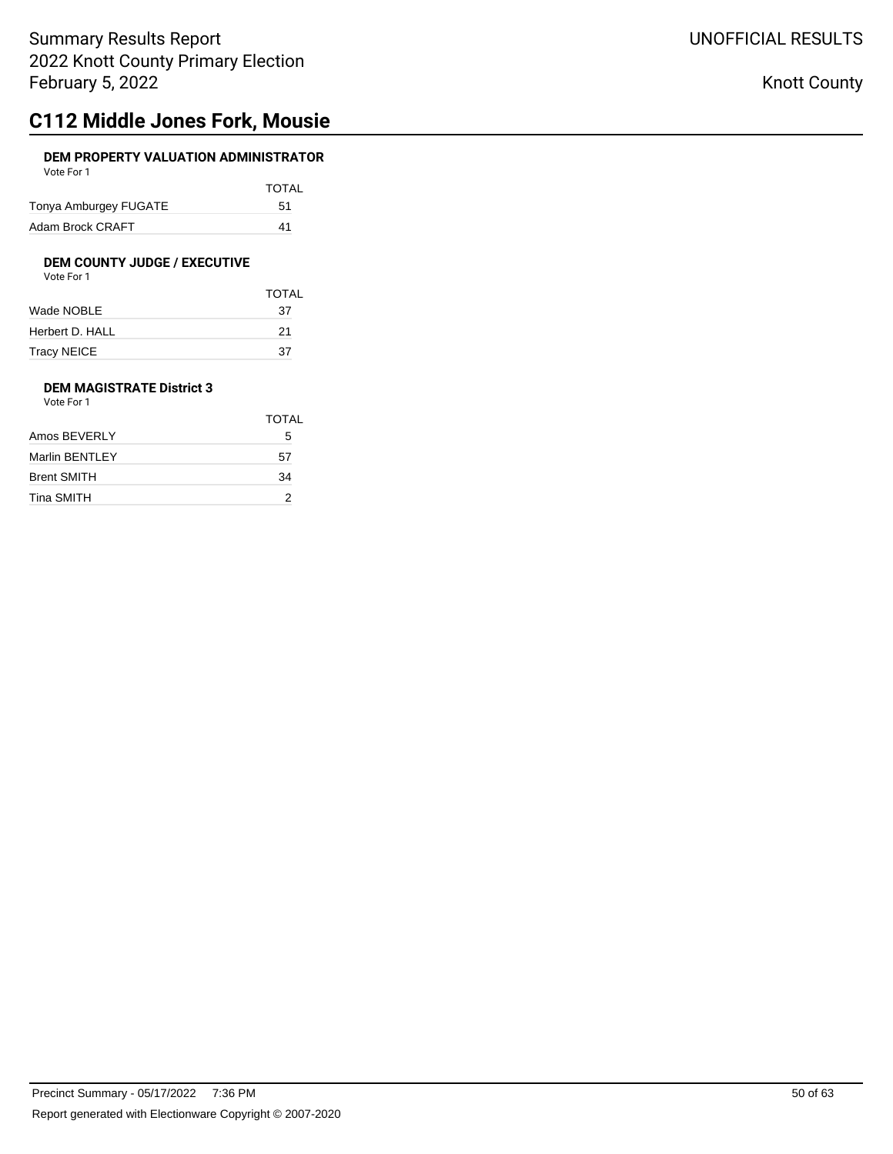## **C112 Middle Jones Fork, Mousie**

### **DEM PROPERTY VALUATION ADMINISTRATOR** Vote For 1

| <b>VULLET UIL</b>     |              |
|-----------------------|--------------|
|                       | <b>TOTAL</b> |
| Tonya Amburgey FUGATE | 51           |
| Adam Brock CRAFT      | 41           |

# **DEM COUNTY JUDGE / EXECUTIVE**<br>Vote For 1

| Vote For 1 |  |  |
|------------|--|--|
|            |  |  |

|                 | <b>TOTAL</b> |
|-----------------|--------------|
| Wade NOBLE      | 37           |
| Herbert D. HALL | 21           |
| Tracy NEICE     | 37           |

### **DEM MAGISTRATE District 3** Vote For 1

|                    | TOTAL |
|--------------------|-------|
| Amos BEVERLY       | 5     |
| Marlin BENTLEY     | 57    |
| <b>Brent SMITH</b> | 34    |
| Tina SMITH         | 2     |
|                    |       |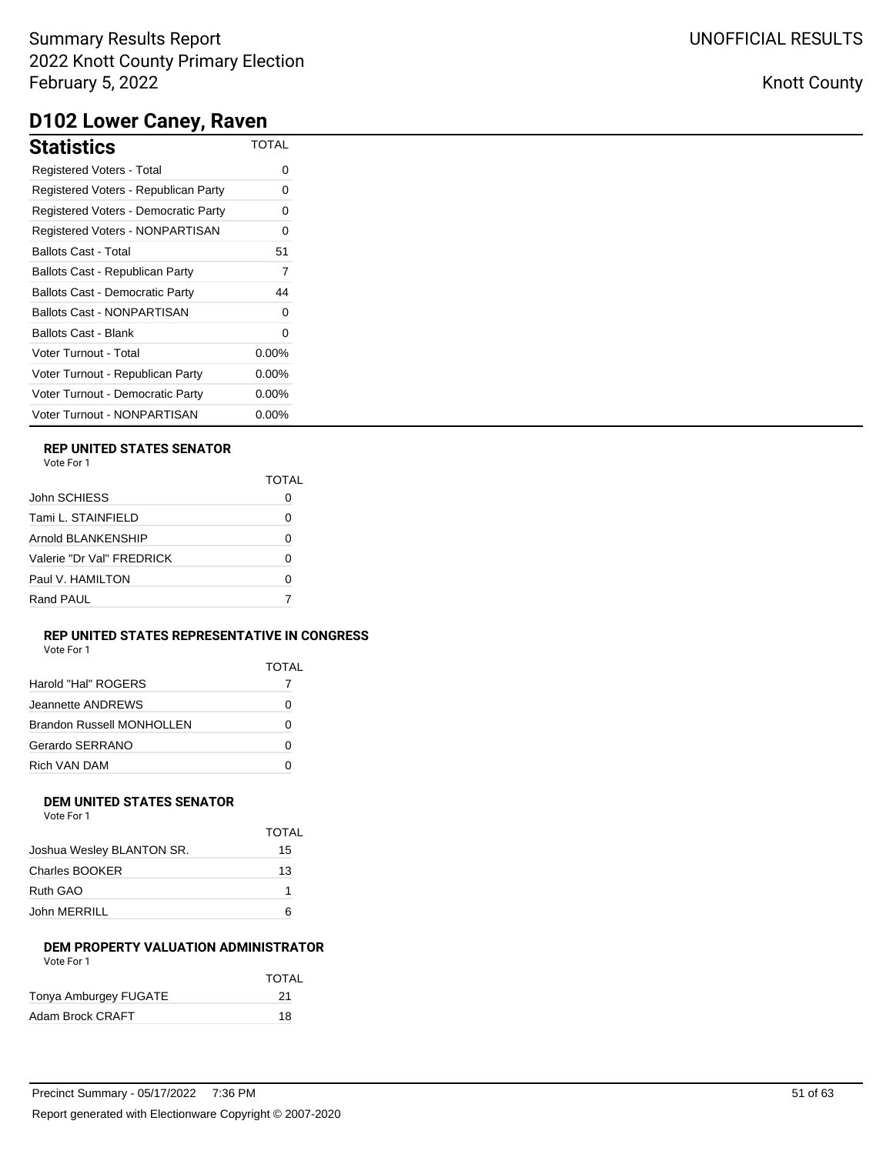| Statistics                             | <b>TOTAL</b> |
|----------------------------------------|--------------|
| <b>Registered Voters - Total</b>       | 0            |
| Registered Voters - Republican Party   | 0            |
| Registered Voters - Democratic Party   | 0            |
| <b>Registered Voters - NONPARTISAN</b> | 0            |
| Ballots Cast - Total                   | 51           |
| Ballots Cast - Republican Party        | 7            |
| <b>Ballots Cast - Democratic Party</b> | 44           |
| Ballots Cast - NONPARTISAN             | 0            |
| Ballots Cast - Blank                   | 0            |
| Voter Turnout - Total                  | $0.00\%$     |
| Voter Turnout - Republican Party       | $0.00\%$     |
| Voter Turnout - Democratic Party       | $0.00\%$     |
| Voter Turnout - NONPARTISAN            | $0.00\%$     |

## **REP UNITED STATES SENATOR**

Vote For 1

|                           | TOTAL |
|---------------------------|-------|
| John SCHIESS              |       |
| Tami L. STAINFIELD        | Ω     |
| Arnold BLANKENSHIP        |       |
| Valerie "Dr Val" FRFDRICK | O     |
| Paul V. HAMILTON          | Ω     |
| Rand PAUL                 |       |
|                           |       |

### **REP UNITED STATES REPRESENTATIVE IN CONGRESS**

Vote For 1

|                                  | TOTAL |
|----------------------------------|-------|
| Harold "Hal" ROGERS              |       |
| Jeannette ANDRFWS                | 0     |
| <b>Brandon Russell MONHOLLEN</b> | 0     |
| Gerardo SERRANO                  | ŋ     |
| Rich VAN DAM                     |       |

#### **DEM UNITED STATES SENATOR** Vote For 1

| VULTUII |  |
|---------|--|
|         |  |
|         |  |
|         |  |

|                           | <b>TOTAL</b> |
|---------------------------|--------------|
| Joshua Wesley BLANTON SR. | 15           |
| Charles BOOKER            | 13           |
| Ruth GAO                  |              |
| John MERRILL              |              |

### **DEM PROPERTY VALUATION ADMINISTRATOR** Vote For 1

|                       | <b>TOTAL</b> |
|-----------------------|--------------|
| Tonya Amburgey FUGATE | -21          |
| Adam Brock CRAFT      | 18           |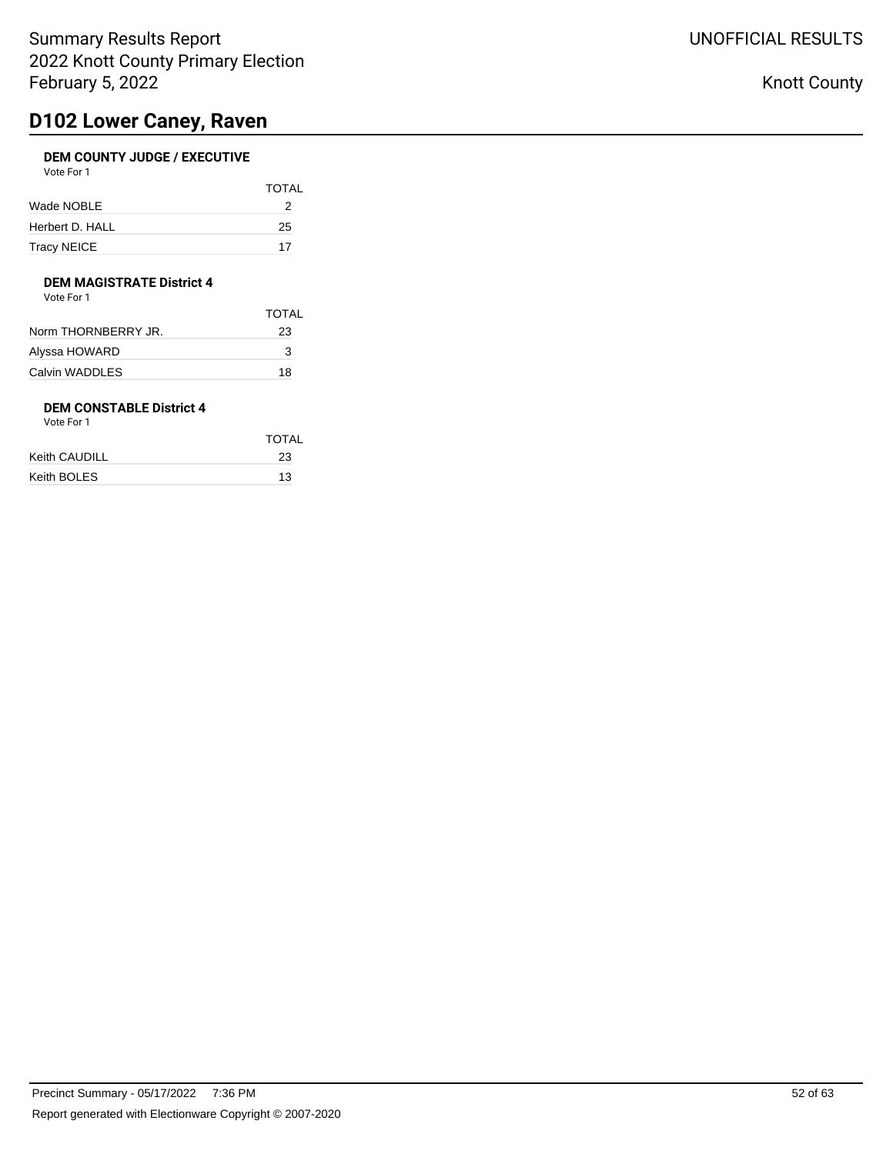## **D102 Lower Caney, Raven**

## **DEM COUNTY JUDGE / EXECUTIVE**

| Vote For 1         |              |
|--------------------|--------------|
|                    | <b>TOTAL</b> |
| Wade NOBLE         |              |
| Herbert D. HALL    | 25           |
| <b>Tracy NEICE</b> | 17           |

### **DEM MAGISTRATE District 4**

Vote For 1

|                     | TOTAL |
|---------------------|-------|
| Norm THORNBERRY JR. | 23    |
| Alyssa HOWARD       | 3     |
| Calvin WADDLES      | 18    |
|                     |       |

## **DEM CONSTABLE District 4**

|               | <b>TOTAL</b> |
|---------------|--------------|
| Keith CAUDILL | 23           |
| Keith BOLES   | 13           |
|               |              |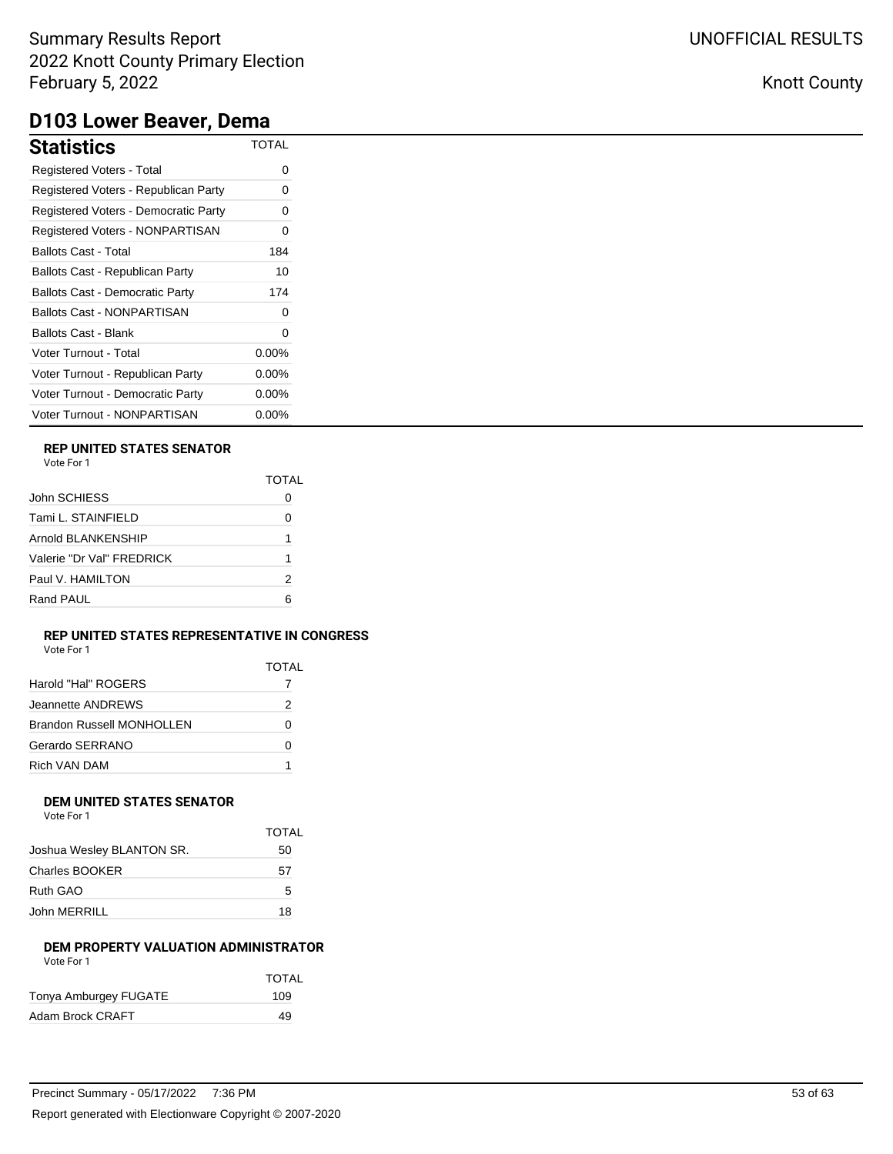# **D103 Lower Beaver, Dema**

| <b>Statistics</b>                      | TOTAL    |
|----------------------------------------|----------|
| <b>Registered Voters - Total</b>       | 0        |
| Registered Voters - Republican Party   | 0        |
| Registered Voters - Democratic Party   | 0        |
| Registered Voters - NONPARTISAN        | 0        |
| Ballots Cast - Total                   | 184      |
| Ballots Cast - Republican Party        | 10       |
| <b>Ballots Cast - Democratic Party</b> | 174      |
| Ballots Cast - NONPARTISAN             | 0        |
| <b>Ballots Cast - Blank</b>            | O        |
| Voter Turnout - Total                  | $0.00\%$ |
| Voter Turnout - Republican Party       | $0.00\%$ |
| Voter Turnout - Democratic Party       | $0.00\%$ |
| Voter Turnout - NONPARTISAN            | $0.00\%$ |

### **REP UNITED STATES SENATOR**

| Vote For |  |
|----------|--|
|          |  |

| O |
|---|
| 1 |
|   |
| 2 |
| ี |
|   |

### **REP UNITED STATES REPRESENTATIVE IN CONGRESS**

TOTAL

|                           | TOTAI |
|---------------------------|-------|
| Harold "Hal" ROGERS       |       |
| Jeannette ANDREWS         | 2     |
| Brandon Russell MONHOLLEN | 0     |
| Gerardo SERRANO           | 0     |
| Rich VAN DAM              |       |

#### **DEM UNITED STATES SENATOR** Vote For 1

| VOLE FOL 1 |  |  |
|------------|--|--|
|            |  |  |

|                           | IUIAL |
|---------------------------|-------|
| Joshua Wesley BLANTON SR. | 50    |
| <b>Charles BOOKER</b>     | 57    |
| Ruth GAO                  | 5     |
| John MERRILL              | 18    |

### **DEM PROPERTY VALUATION ADMINISTRATOR** Vote For 1

|                       | <b>TOTAL</b> |
|-----------------------|--------------|
| Tonya Amburgey FUGATE | 109          |
| Adam Brock CRAFT      | 49           |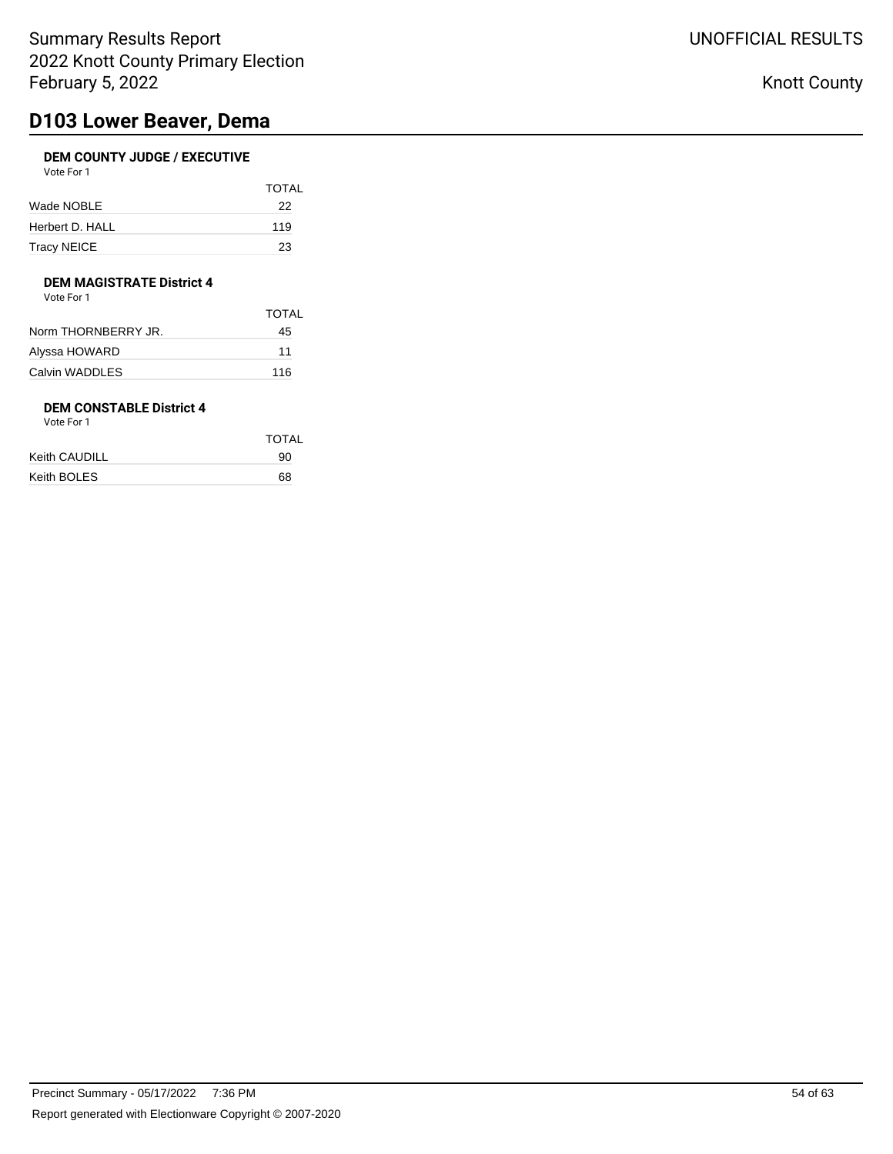## **D103 Lower Beaver, Dema**

## **DEM COUNTY JUDGE / EXECUTIVE**

| Vote For 1      |              |
|-----------------|--------------|
|                 | <b>TOTAL</b> |
| Wade NOBLE      | 22           |
| Herbert D. HALL | 119          |

Tracy NEICE 23

### **DEM MAGISTRATE District 4**

Vote For 1

|                     | TOTAI |
|---------------------|-------|
| Norm THORNBERRY JR. | 45    |
| Alyssa HOWARD       | 11    |
| Calvin WADDLES      | 116   |
|                     |       |

## **DEM CONSTABLE District 4**

| Vote For 1 |  |
|------------|--|
|------------|--|

|               | TOTAL |
|---------------|-------|
| Keith CAUDILL | 90    |
| Keith BOLES   | 68    |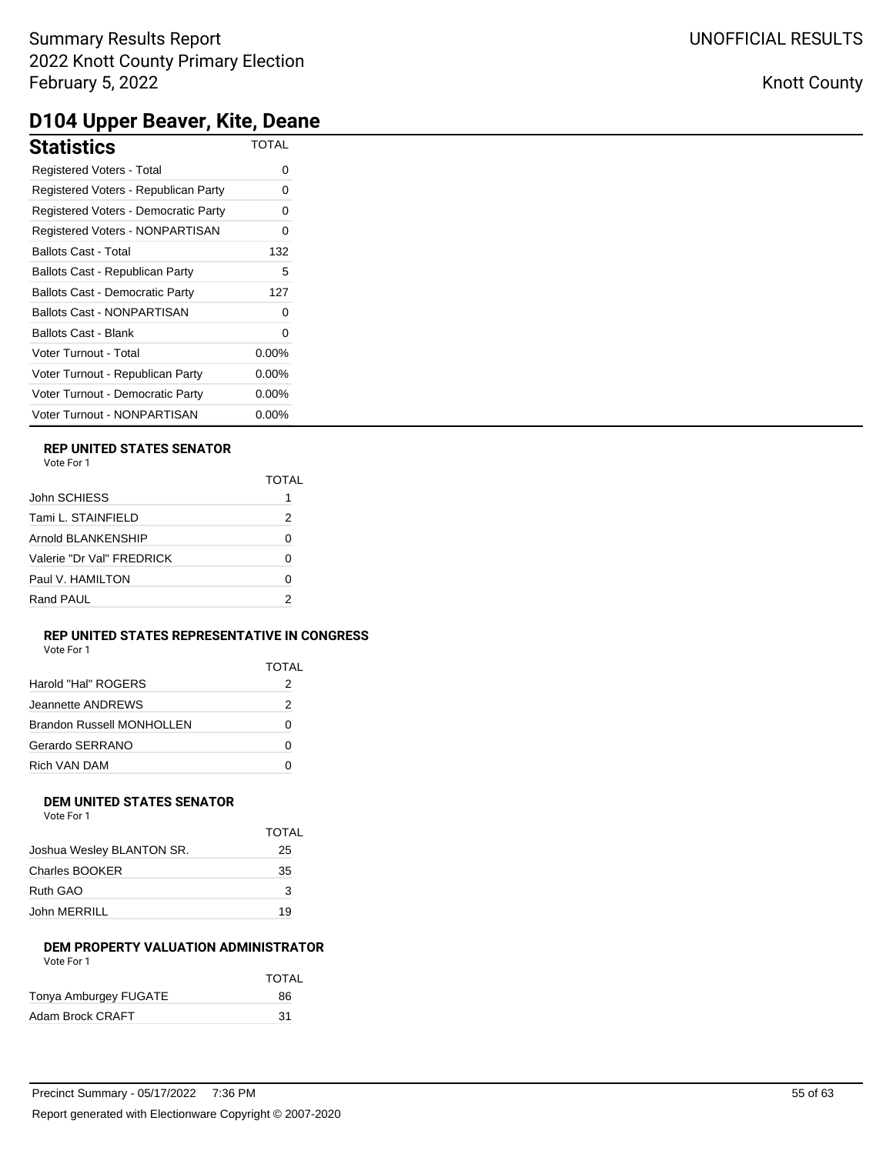# **D104 Upper Beaver, Kite, Deane**

| <b>Statistics</b>                      | <b>TOTAL</b> |
|----------------------------------------|--------------|
| Registered Voters - Total              | 0            |
| Registered Voters - Republican Party   | 0            |
| Registered Voters - Democratic Party   | 0            |
| Registered Voters - NONPARTISAN        | 0            |
| <b>Ballots Cast - Total</b>            | 132          |
| Ballots Cast - Republican Party        | 5            |
| <b>Ballots Cast - Democratic Party</b> | 127          |
| <b>Ballots Cast - NONPARTISAN</b>      |              |
| <b>Ballots Cast - Blank</b>            | 0            |
| Voter Turnout - Total                  | $0.00\%$     |
| Voter Turnout - Republican Party       | 0.00%        |
| Voter Turnout - Democratic Party       | $0.00\%$     |
| Voter Turnout - NONPARTISAN            | $0.00\%$     |

### **REP UNITED STATES SENATOR**

|                           | TOTAI |
|---------------------------|-------|
| John SCHIESS              |       |
| Tami L. STAINFIELD        | 2     |
| Arnold BLANKENSHIP        | 0     |
| Valerie "Dr Val" FRFDRICK | O     |
| Paul V. HAMILTON          | Ω     |
| Rand PAUL                 | 2     |
|                           |       |

### **REP UNITED STATES REPRESENTATIVE IN CONGRESS**

| Vote For 1 |  |  |
|------------|--|--|
|------------|--|--|

| VOTE FOL L                |              |
|---------------------------|--------------|
|                           | <b>TOTAL</b> |
| Harold "Hal" ROGERS       | 2            |
| Jeannette ANDREWS         | 2            |
| Brandon Russell MONHOLLEN |              |

# **DEM UNITED STATES SENATOR**

Gerardo SERRANO 0 Rich VAN DAM 0

Vote For 1

|                           | <b>TOTAL</b> |
|---------------------------|--------------|
| Joshua Wesley BLANTON SR. | 25           |
| Charles BOOKER            | 35           |
| Ruth GAO                  | 3            |
| John MERRILL              | 19           |

### **DEM PROPERTY VALUATION ADMINISTRATOR** Vote For 1

|                       | <b>TOTAL</b> |
|-----------------------|--------------|
| Tonya Amburgey FUGATE | 86           |
| Adam Brock CRAFT      | .31          |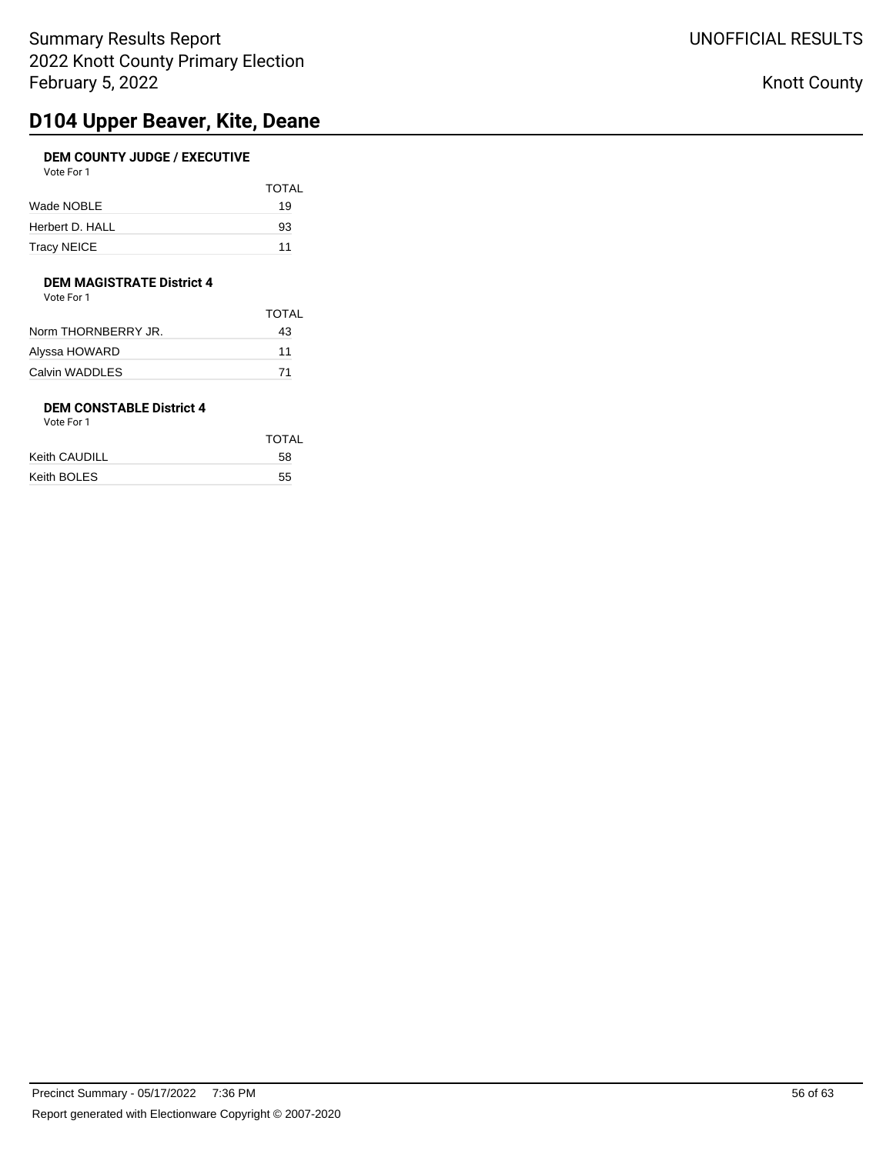# **D104 Upper Beaver, Kite, Deane**

### **DEM COUNTY JUDGE / EXECUTIVE** Vote For 1

| <b>VULLET UIL</b> |              |
|-------------------|--------------|
|                   | <b>TOTAL</b> |
| Wade NOBLE        | 19           |
| Herbert D. HALL   | 93           |
| Tracy NEICE       | 11           |

### **DEM MAGISTRATE District 4**

Vote For 1

|                     | TOTAL |
|---------------------|-------|
| Norm THORNBERRY JR. | 43    |
| Alyssa HOWARD       | 11    |
| Calvin WADDLES      | 71    |
|                     |       |

## **DEM CONSTABLE District 4**

| Vote For 1 |  |
|------------|--|
|------------|--|

| TOTAL |
|-------|
| 58    |
| 55    |
|       |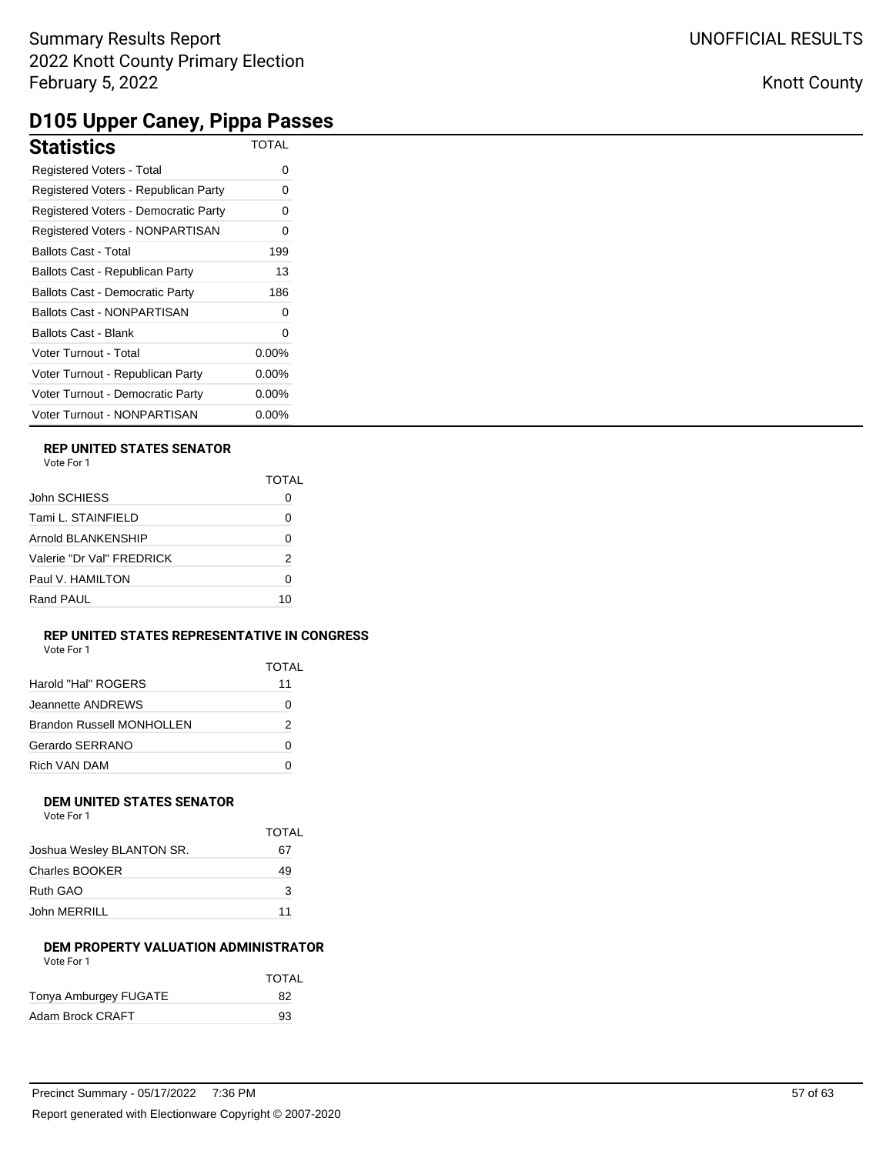# **D105 Upper Caney, Pippa Passes**

| . .<br>. .                             | . .          |
|----------------------------------------|--------------|
| <b>Statistics</b>                      | <b>TOTAL</b> |
| Registered Voters - Total              | 0            |
| Registered Voters - Republican Party   |              |
| Registered Voters - Democratic Party   |              |
| Registered Voters - NONPARTISAN        |              |
| <b>Ballots Cast - Total</b>            | 199          |
| Ballots Cast - Republican Party        | 13           |
| <b>Ballots Cast - Democratic Party</b> | 186          |
| <b>Ballots Cast - NONPARTISAN</b>      | 0            |
| <b>Ballots Cast - Blank</b>            |              |
| Voter Turnout - Total                  | $0.00\%$     |
| Voter Turnout - Republican Party       | $0.00\%$     |
| Voter Turnout - Democratic Party       | 0.00%        |
| Voter Turnout - NONPARTISAN            | 0.00%        |

### **REP UNITED STATES SENATOR**

| Vote For |  |
|----------|--|
|          |  |

|                           | TOTAI |
|---------------------------|-------|
| John SCHIESS              |       |
| Tami L. STAINFIELD        | Ω     |
| Arnold BLANKENSHIP        | 0     |
| Valerie "Dr Val" FRFDRICK | 2     |
| Paul V. HAMILTON          | Ω     |
| Rand PAUL                 | 10    |

### **REP UNITED STATES REPRESENTATIVE IN CONGRESS**

Vote For 1

| TOTAL |
|-------|
| 11    |
| 0     |
| 2     |
| Ω     |
|       |
|       |

## **DEM UNITED STATES SENATOR**

| Vote For 1 |  |  |
|------------|--|--|
|            |  |  |

|                           | TOTAL |
|---------------------------|-------|
| Joshua Wesley BLANTON SR. | 67    |
| Charles BOOKER            | 49    |
| Ruth GAO                  | 3     |
| John MERRILL              | 11    |

### **DEM PROPERTY VALUATION ADMINISTRATOR** Vote For 1

|                       | <b>TOTAL</b> |
|-----------------------|--------------|
| Tonya Amburgey FUGATE | 82           |
| Adam Brock CRAFT      | 93           |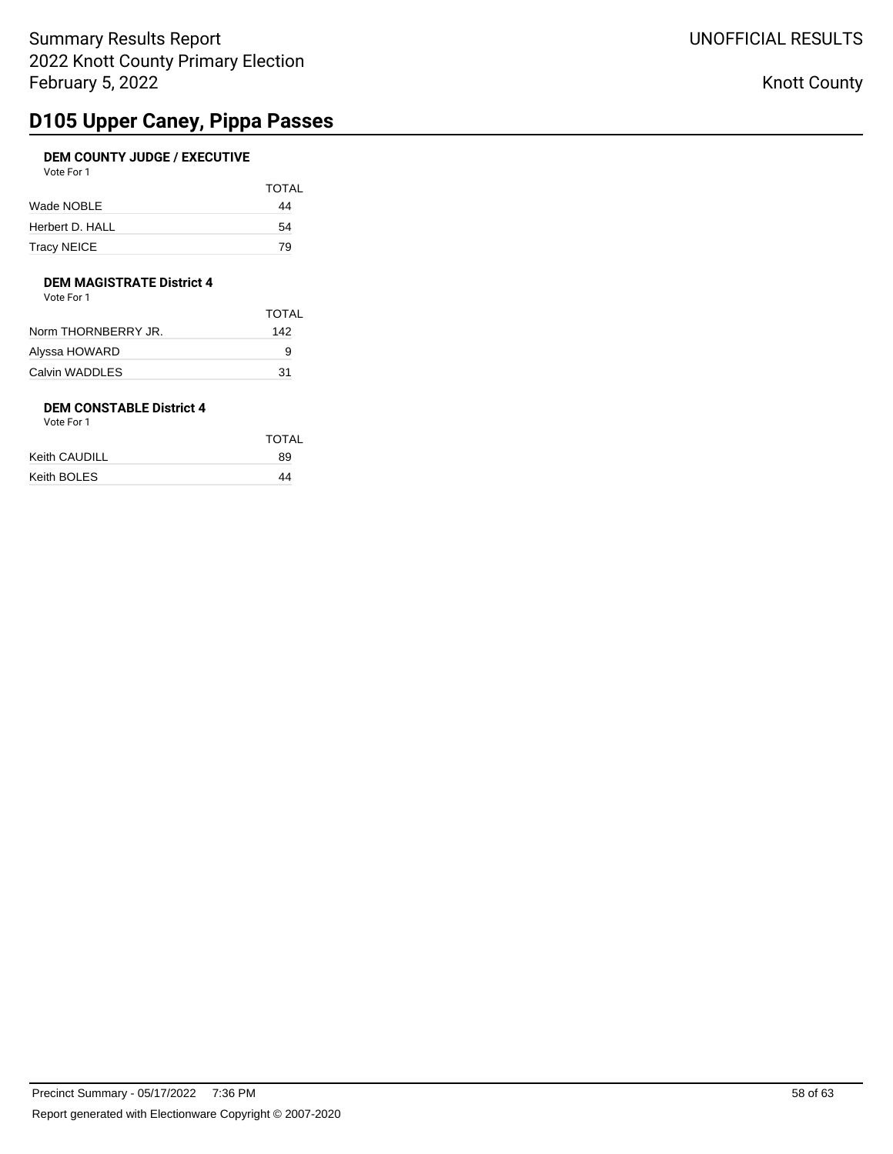# **D105 Upper Caney, Pippa Passes**

### **DEM COUNTY JUDGE / EXECUTIVE** Vote For 1

| <b>VULCIUI</b>  |              |
|-----------------|--------------|
|                 | <b>TOTAL</b> |
| Wade NOBLE      | 44           |
| Herbert D. HALL | 54           |
| Tracy NEICE     | 79           |

## **DEM MAGISTRATE District 4**

Vote For 1

|                     | TOTAI |
|---------------------|-------|
| Norm THORNBERRY JR. | 142   |
| Alyssa HOWARD       | 9     |
| Calvin WADDLES      | 31    |
|                     |       |

## **DEM CONSTABLE District 4**

| Vote For 1 |  |
|------------|--|
|------------|--|

|               | <b>TOTAL</b> |
|---------------|--------------|
| Keith CAUDILL | 89           |
| Keith BOLES   | 44           |
|               |              |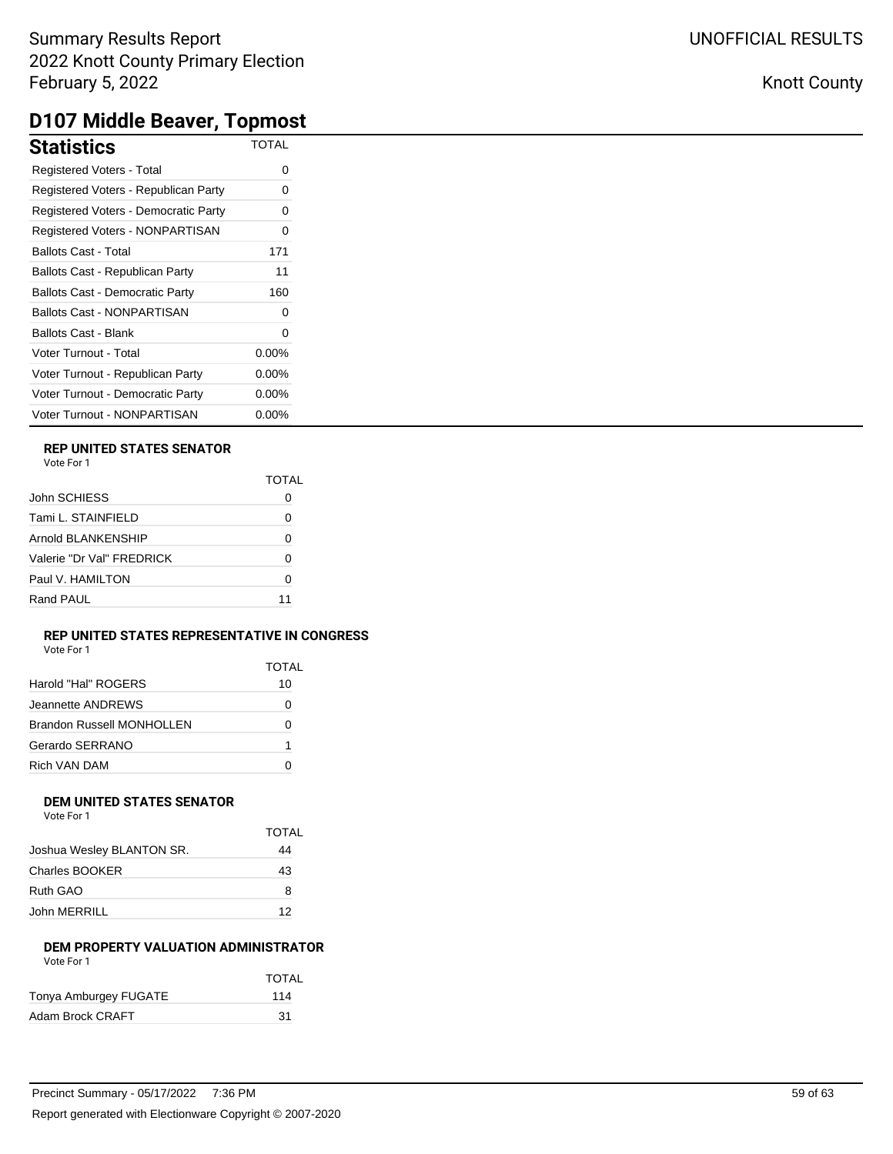## Knott County

# **D107 Middle Beaver, Topmost**

| <b>Statistics</b>                      | <b>TOTAL</b> |
|----------------------------------------|--------------|
| Registered Voters - Total              | 0            |
| Registered Voters - Republican Party   | 0            |
| Registered Voters - Democratic Party   | 0            |
| Registered Voters - NONPARTISAN        | 0            |
| <b>Ballots Cast - Total</b>            | 171          |
| Ballots Cast - Republican Party        | 11           |
| <b>Ballots Cast - Democratic Party</b> | 160          |
| <b>Ballots Cast - NONPARTISAN</b>      | 0            |
| <b>Ballots Cast - Blank</b>            | $\Omega$     |
| Voter Turnout - Total                  | $0.00\%$     |
| Voter Turnout - Republican Party       | 0.00%        |
| Voter Turnout - Democratic Party       | $0.00\%$     |
| Voter Turnout - NONPARTISAN            | 0.00%        |

### **REP UNITED STATES SENATOR**

|                           | TOTAI |
|---------------------------|-------|
| John SCHIESS              |       |
| Tami L. STAINFIELD        | O     |
| Arnold BLANKENSHIP        | 0     |
| Valerie "Dr Val" FRFDRICK | O     |
| Paul V. HAMILTON          | Ω     |
| Rand PAUL                 | 11    |

### **REP UNITED STATES REPRESENTATIVE IN CONGRESS**

| Vote For 1 |  |  |
|------------|--|--|
|------------|--|--|

|                           | TOTAL |
|---------------------------|-------|
| Harold "Hal" ROGERS       | 10    |
| Jeannette ANDRFWS         | O     |
| Brandon Russell MONHOLLEN | 0     |
| Gerardo SERRANO           | 1     |
| Rich VAN DAM              |       |

## **DEM UNITED STATES SENATOR**

| Vote For 1 |  |  |
|------------|--|--|
|            |  |  |

|                           | TOTAL |
|---------------------------|-------|
| Joshua Wesley BLANTON SR. | 44    |
| Charles BOOKER            | 43    |
| Ruth GAO                  | 8     |
| John MERRILL              | 12    |

### **DEM PROPERTY VALUATION ADMINISTRATOR** Vote For 1

|                       | TOTAL |
|-----------------------|-------|
| Tonya Amburgey FUGATE | 114   |
| Adam Brock CRAFT      | .31   |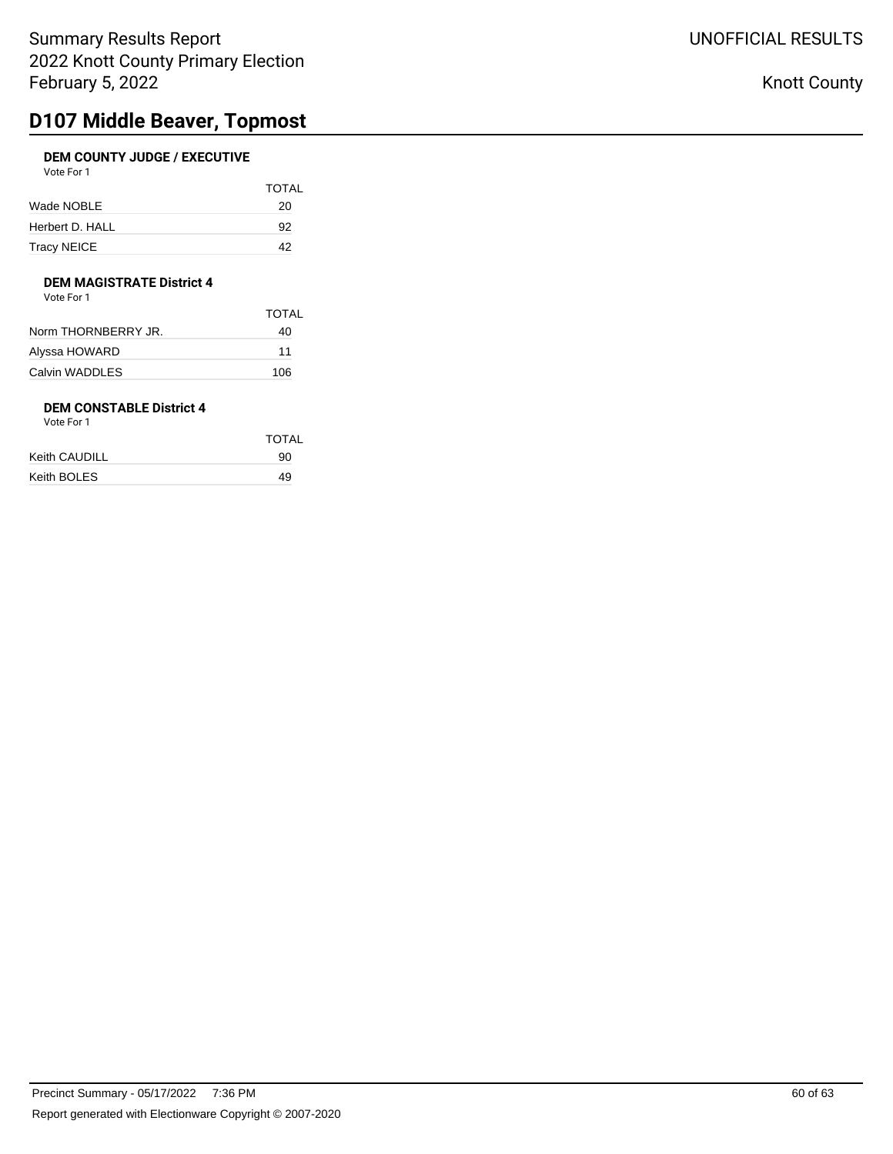# **D107 Middle Beaver, Topmost**

### **DEM COUNTY JUDGE / EXECUTIVE** Vote For 1

| <b>TOTAL</b> |
|--------------|
| 20           |
| 92           |
| 42           |
|              |

## **DEM MAGISTRATE District 4**

Vote For 1

|                     | TOTAI |
|---------------------|-------|
| Norm THORNBERRY JR. | 40    |
| Alyssa HOWARD       | 11    |
| Calvin WADDLES      | 106   |
|                     |       |

## **DEM CONSTABLE District 4**

| Vote For 1 |  |
|------------|--|
|------------|--|

|               | <b>TOTAL</b> |  |
|---------------|--------------|--|
| Keith CAUDILL | 90           |  |
| Keith BOLES   | 49           |  |
|               |              |  |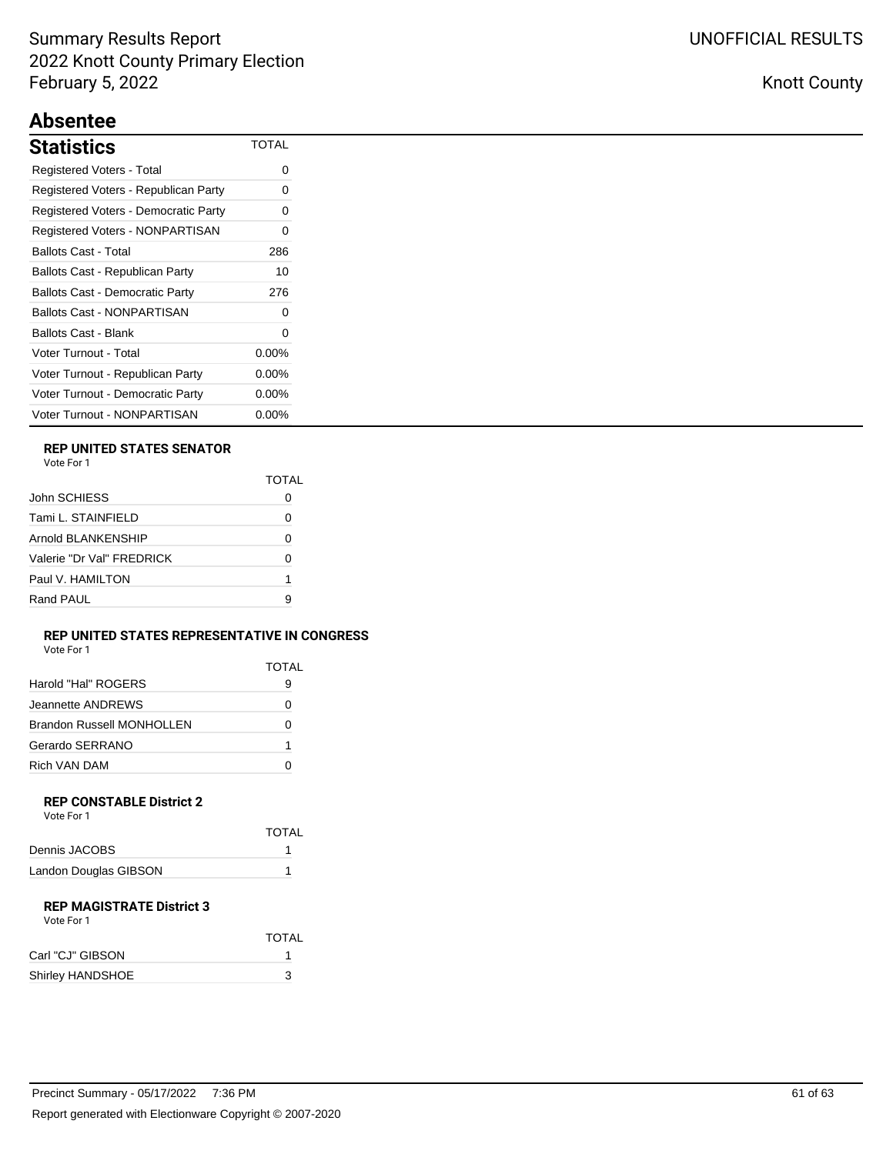## **Absentee**

| Statistics                             | <b>TOTAL</b> |
|----------------------------------------|--------------|
| Registered Voters - Total              | 0            |
| Registered Voters - Republican Party   | 0            |
| Registered Voters - Democratic Party   | 0            |
| Registered Voters - NONPARTISAN        | 0            |
| Ballots Cast - Total                   | 286          |
| Ballots Cast - Republican Party        | 10           |
| <b>Ballots Cast - Democratic Party</b> | 276          |
| <b>Ballots Cast - NONPARTISAN</b>      | $\Omega$     |
| Ballots Cast - Blank                   | 0            |
| Voter Turnout - Total                  | $0.00\%$     |
| Voter Turnout - Republican Party       | $0.00\%$     |
| Voter Turnout - Democratic Party       | $0.00\%$     |
| Voter Turnout - NONPARTISAN            | $0.00\%$     |

### **REP UNITED STATES SENATOR**

| Vote For |  |
|----------|--|
|          |  |

|                           | TOTAI |
|---------------------------|-------|
| John SCHIESS              |       |
| Tami L. STAINFIELD        | Ω     |
| Arnold BI ANKENSHIP       | 0     |
| Valerie "Dr Val" FREDRICK | 0     |
| Paul V. HAMILTON          | 1     |
| Rand PAUL                 | р     |

### **REP UNITED STATES REPRESENTATIVE IN CONGRESS** Vote For 1

|                           | <b>TOTAL</b> |
|---------------------------|--------------|
| Harold "Hal" ROGERS       | 9            |
| Jeannette ANDREWS         |              |
| Brandon Russell MONHOLLEN |              |
| Gerardo SERRANO           |              |
| Rich VAN DAM              |              |
|                           |              |

#### **REP CONSTABLE District 2** Vote For 1

| VOLE FOI I            |              |  |
|-----------------------|--------------|--|
|                       | <b>TOTAL</b> |  |
| Dennis JACOBS         |              |  |
| Landon Douglas GIBSON |              |  |

### **REP MAGISTRATE District 3**

| Vote For 1       |              |  |
|------------------|--------------|--|
|                  | <b>TOTAL</b> |  |
| Carl "CJ" GIBSON |              |  |
| Shirley HANDSHOE | 3            |  |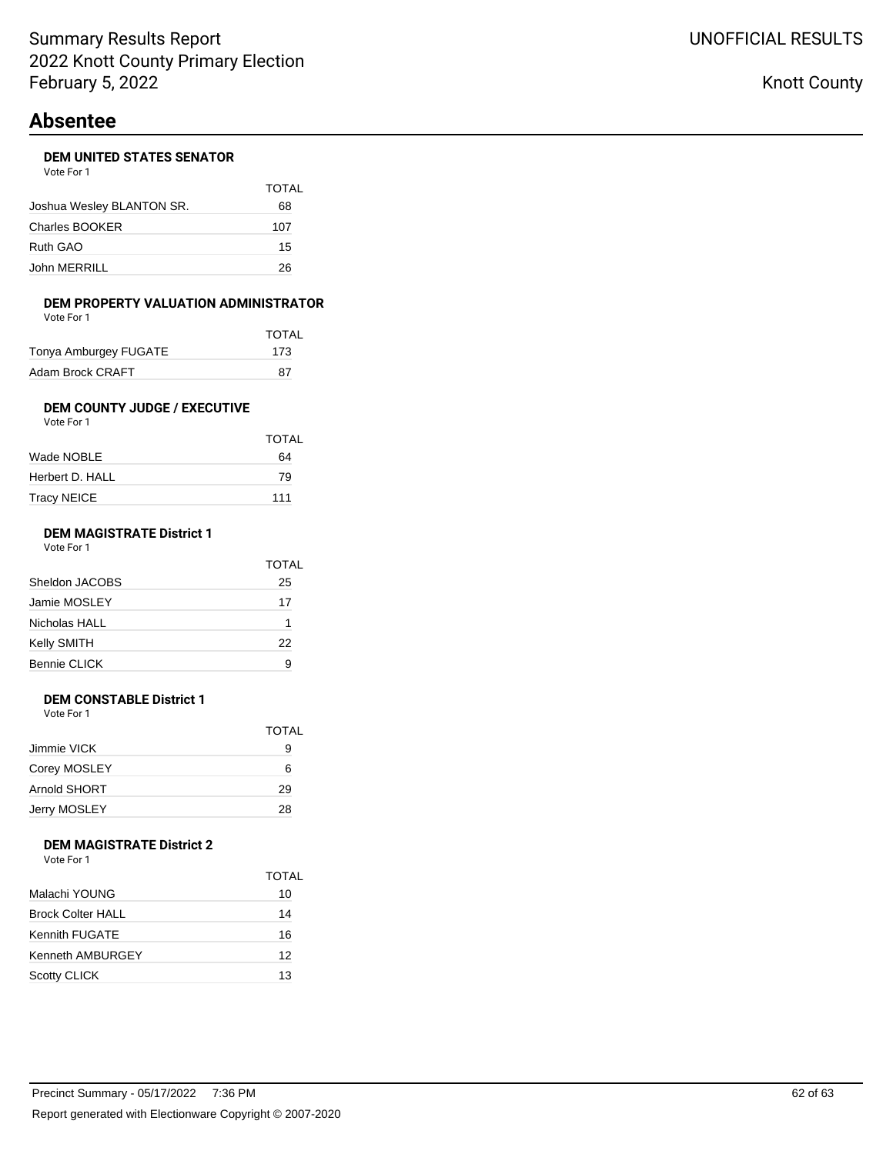## **Absentee**

### **DEM UNITED STATES SENATOR**

| Vote For 1                |       |
|---------------------------|-------|
|                           | TOTAL |
| Joshua Wesley BLANTON SR. | 68    |
| Charles BOOKER            | 107   |
| Ruth GAO                  | 15    |
| John MERRILL              | ンド    |

### **DEM PROPERTY VALUATION ADMINISTRATOR**

| Vote For 1            |              |
|-----------------------|--------------|
|                       | <b>TOTAL</b> |
| Tonya Amburgey FUGATE | 173          |
| Adam Brock CRAFT      | 87           |

#### **DEM COUNTY JUDGE / EXECUTIVE** Vote For 1

| TOTAL |
|-------|
| 64    |
| 79    |
| 111   |
|       |

## **DEM MAGISTRATE District 1**

| Vote For 1 |  |
|------------|--|
|------------|--|

|                | <b>TOTAL</b> |
|----------------|--------------|
| Sheldon JACOBS | 25           |
| Jamie MOSLEY   | 17           |
| Nicholas HALL  | 1            |
| Kelly SMITH    | 22           |
| Bennie CLICK   | 9            |
|                |              |

### **DEM CONSTABLE District 1**

Vote For 1

| TOTAL |
|-------|
| 9     |
| 6     |
| 29    |
| 28    |
|       |

### **DEM MAGISTRATE District 2** Vote For 1

|                          | TOTAL |
|--------------------------|-------|
| Malachi YOUNG            | 10    |
| <b>Brock Colter HALL</b> | 14    |
| Kennith FUGATE           | 16    |
| Kenneth AMBURGEY         | 12    |
| <b>Scotty CLICK</b>      | 13    |